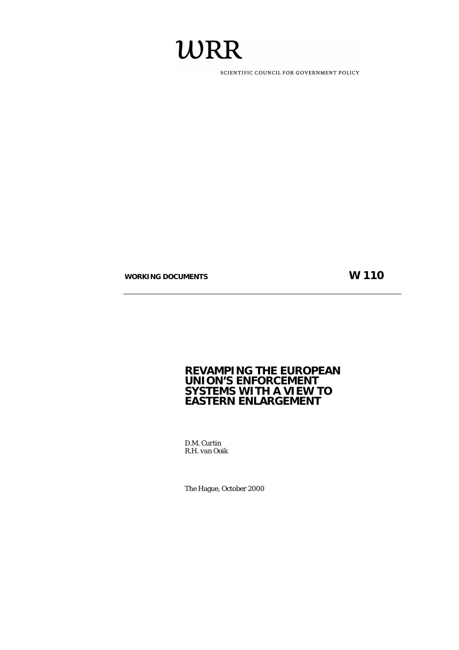# WRR

SCIENTIFIC COUNCIL FOR GOVERNMENT POLICY

WORKING DOCUMENTS WORKING AND THE SECOND FOR THE SECOND FOR THE SECOND FOR THE SECOND FOR THE SECOND FOR THE SECOND FOR THE SECOND FOR THE SECOND FOR THE SECOND FOR THE SECOND FOR THE SECOND FOR THE SECOND FOR THE SECOND F

# **REVAMPING THE EUROPEAN UNION'S ENFORCEMENT SYSTEMS WITH A VIEW TO EASTERN ENLARGEMENT**

*D.M. Curtin R.H. van Ooik* 

The Hague, October 2000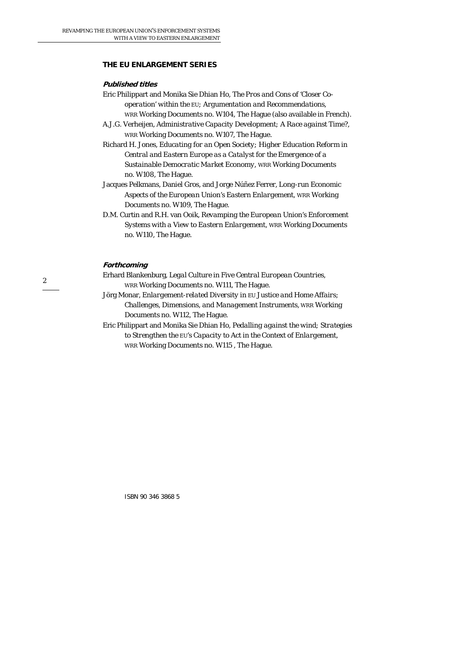#### **THE EU ENLARGEMENT SERIES**

#### **Published titles**

- Eric Philippart and Monika Sie Dhian Ho, *The Pros and Cons of 'Closer Cooperation' within the EU; Argumentation and Recommendations*, WRR Working Documents no. W104, The Hague (also available in French).
- A.J.G. Verheijen, *Administrative Capacity Development; A Race against Time*?, WRR Working Documents no. W107, The Hague.

Richard H. Jones, *Educating for an Open Society; Higher Education Reform in Central and Eastern Europe as a Catalyst for the Emergence of a Sustainable Democratic Market Economy*, WRR Working Documents no. W108, The Hague.

Jacques Pelkmans, Daniel Gros, and Jorge Núñez Ferrer, *Long-run Economic Aspects of the European Union's Eastern Enlargement*, WRR Working Documents no. W109, The Hague.

D.M. Curtin and R.H. van Ooik, *Revamping the European Union's Enforcement Systems with a View to Eastern Enlargement*, WRR Working Documents no. W110, The Hague.

#### **Forthcoming**

Erhard Blankenburg, *Legal Culture in Five Central European Countries*, WRR Working Documents no. W111, The Hague.

Jörg Monar, *Enlargement-related Diversity in EU Justice and Home Affairs; Challenges, Dimensions, and Management Instruments*, WRR Working Documents no. W112, The Hague.

Eric Philippart and Monika Sie Dhian Ho, *Pedalling against the wind; Strategies to Strengthen the EU's Capacity to Act in the Context of Enlargement*, WRR Working Documents no. W115 , The Hague.

ISBN 90 346 3868 5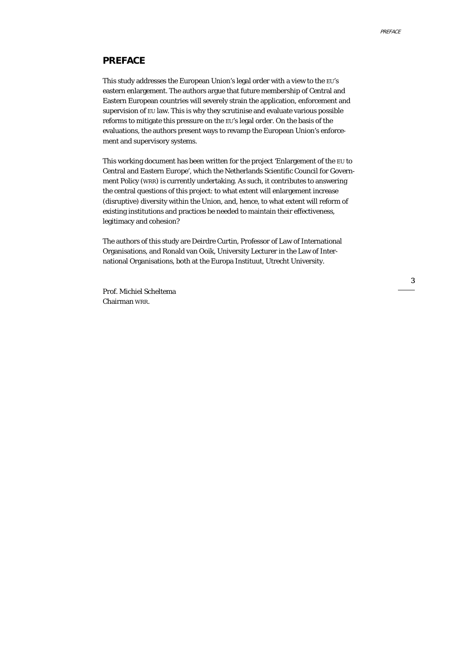#### **PREFACE**

This study addresses the European Union's legal order with a view to the EU's eastern enlargement. The authors argue that future membership of Central and Eastern European countries will severely strain the application, enforcement and supervision of EU law. This is why they scrutinise and evaluate various possible reforms to mitigate this pressure on the EU's legal order. On the basis of the evaluations, the authors present ways to revamp the European Union's enforcement and supervisory systems.

This working document has been written for the project 'Enlargement of the EU to Central and Eastern Europe', which the Netherlands Scientific Council for Government Policy (WRR) is currently undertaking. As such, it contributes to answering the central questions of this project: to what extent will enlargement increase (disruptive) diversity within the Union, and, hence, to what extent will reform of existing institutions and practices be needed to maintain their effectiveness, legitimacy and cohesion?

The authors of this study are Deirdre Curtin, Professor of Law of International Organisations, and Ronald van Ooik, University Lecturer in the Law of International Organisations, both at the Europa Instituut, Utrecht University.

Prof. Michiel Scheltema Chairman WRR.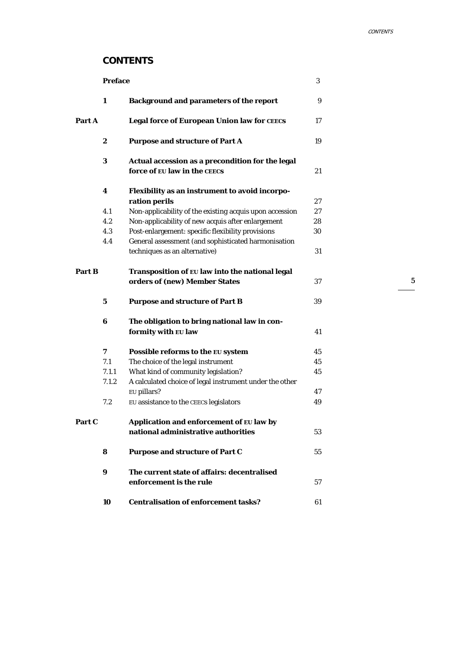# **CONTENTS**

|        | <b>Preface</b> |                                                                                      | 3  |
|--------|----------------|--------------------------------------------------------------------------------------|----|
|        | 1              | <b>Background and parameters of the report</b>                                       | 9  |
| Part A |                | Legal force of European Union law for CEECS                                          | 17 |
|        | 2              | <b>Purpose and structure of Part A</b>                                               | 19 |
|        | 3              | Actual accession as a precondition for the legal<br>force of EU law in the CEECS     | 21 |
|        | 4              | Flexibility as an instrument to avoid incorpo-                                       |    |
|        |                | ration perils                                                                        | 27 |
|        | 4.1            | Non-applicability of the existing acquis upon accession                              | 27 |
|        | 4.2            | Non-applicability of new acquis after enlargement                                    | 28 |
|        | 4.3            | Post-enlargement: specific flexibility provisions                                    | 30 |
|        | 4.4            | General assessment (and sophisticated harmonisation<br>techniques as an alternative) | 31 |
|        |                |                                                                                      |    |
| Part B |                | Transposition of EU law into the national legal                                      |    |
|        |                | orders of (new) Member States                                                        | 37 |
|        | 5              | <b>Purpose and structure of Part B</b>                                               | 39 |
|        | $\bf{6}$       | The obligation to bring national law in con-                                         |    |
|        |                | formity with EU law                                                                  | 41 |
|        | 7              | Possible reforms to the EU system                                                    | 45 |
|        | 7.1            | The choice of the legal instrument                                                   | 45 |
|        | 7.1.1          | What kind of community legislation?                                                  | 45 |
|        | 7.1.2          | A calculated choice of legal instrument under the other                              |    |
|        |                | EU pillars?                                                                          | 47 |
|        | 7.2            | EU assistance to the CEECS legislators                                               | 49 |
| Part C |                | Application and enforcement of EU law by                                             |    |
|        |                | national administrative authorities                                                  | 53 |
|        | 8              | <b>Purpose and structure of Part C</b>                                               | 55 |
|        | 9              | The current state of affairs: decentralised                                          |    |
|        |                | enforcement is the rule                                                              | 57 |
|        | 10             | <b>Centralisation of enforcement tasks?</b>                                          | 61 |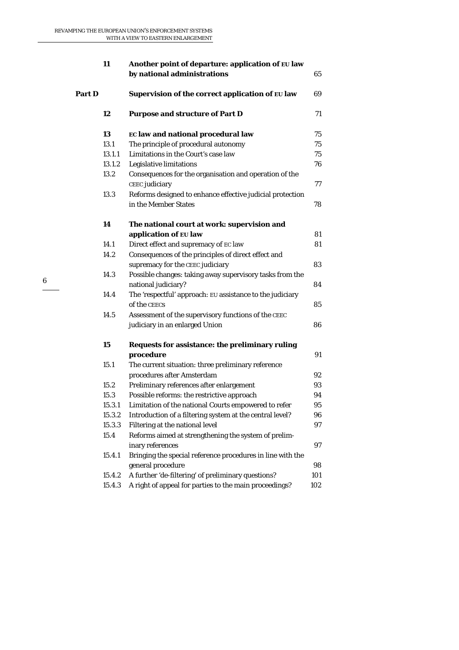|        | 11     | Another point of departure: application of EU law<br>by national administrations | 65  |
|--------|--------|----------------------------------------------------------------------------------|-----|
| Part D |        | Supervision of the correct application of EU law                                 | 69  |
|        | 12     | <b>Purpose and structure of Part D</b>                                           | 71  |
|        | 13     | EC law and national procedural law                                               | 75  |
|        | 13.1   | The principle of procedural autonomy                                             | 75  |
|        | 13.1.1 | Limitations in the Court's case law                                              | 75  |
|        | 13.1.2 | Legislative limitations                                                          | 76  |
|        | 13.2   | Consequences for the organisation and operation of the                           |     |
|        |        | CEEC judiciary                                                                   | 77  |
|        | 13.3   | Reforms designed to enhance effective judicial protection                        |     |
|        |        | in the Member States                                                             | 78  |
|        | 14     | The national court at work: supervision and                                      |     |
|        |        | application of EU law                                                            | 81  |
|        | 14.1   | Direct effect and supremacy of EC law                                            | 81  |
|        | 14.2   | Consequences of the principles of direct effect and                              |     |
|        |        | supremacy for the CEEC judiciary                                                 | 83  |
|        | 14.3   | Possible changes: taking away supervisory tasks from the                         |     |
|        |        | national judiciary?                                                              | 84  |
|        | 14.4   | The 'respectful' approach: EU assistance to the judiciary                        |     |
|        |        | of the CEECS                                                                     | 85  |
|        | 14.5   | Assessment of the supervisory functions of the CEEC                              |     |
|        |        | judiciary in an enlarged Union                                                   | 86  |
|        | 15     | Requests for assistance: the preliminary ruling                                  |     |
|        |        | procedure                                                                        | 91  |
|        | 15.1   | The current situation: three preliminary reference                               |     |
|        |        | procedures after Amsterdam                                                       | 92  |
|        | 15.2   | Preliminary references after enlargement                                         | 93  |
|        | 15.3   | Possible reforms: the restrictive approach                                       | 94  |
|        | 15.3.1 | Limitation of the national Courts empowered to refer                             | 95  |
|        | 15.3.2 | Introduction of a filtering system at the central level?                         | 96  |
|        | 15.3.3 | Filtering at the national level                                                  | 97  |
|        | 15.4   | Reforms aimed at strengthening the system of prelim-                             |     |
|        |        | inary references                                                                 | 97  |
|        | 15.4.1 | Bringing the special reference procedures in line with the                       |     |
|        |        | general procedure                                                                | 98  |
|        | 15.4.2 | A further 'de-filtering' of preliminary questions?                               | 101 |
|        | 15.4.3 | A right of appeal for parties to the main proceedings?                           | 102 |
|        |        |                                                                                  |     |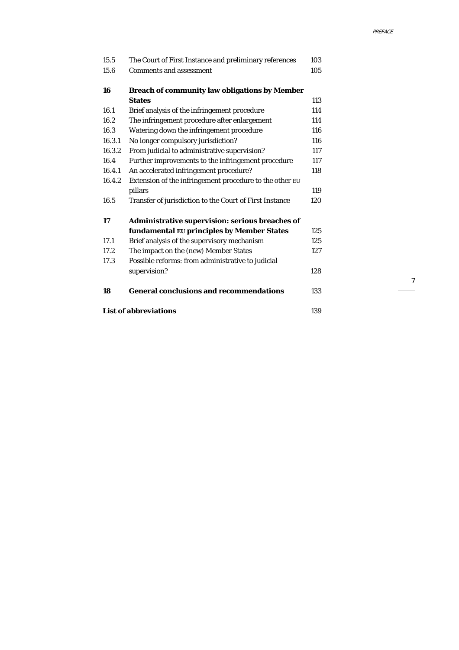| 15.5                         | The Court of First Instance and preliminary references  | 103 |
|------------------------------|---------------------------------------------------------|-----|
| 15.6                         | <b>Comments and assessment</b>                          | 105 |
| 16                           | <b>Breach of community law obligations by Member</b>    |     |
|                              | <b>States</b>                                           | 113 |
| 16.1                         | Brief analysis of the infringement procedure            | 114 |
| 16.2                         | The infringement procedure after enlargement            | 114 |
| 16.3                         | Watering down the infringement procedure                | 116 |
| 16.3.1                       | No longer compulsory jurisdiction?                      | 116 |
| 16.3.2                       | From judicial to administrative supervision?            | 117 |
| 16.4                         | Further improvements to the infringement procedure      | 117 |
| 16.4.1                       | An accelerated infringement procedure?                  | 118 |
| 16.4.2                       | Extension of the infringement procedure to the other EU |     |
|                              | pillars                                                 | 119 |
| 16.5                         | Transfer of jurisdiction to the Court of First Instance | 120 |
| 17                           | Administrative supervision: serious breaches of         |     |
|                              | fundamental EU principles by Member States              | 125 |
| 17.1                         | Brief analysis of the supervisory mechanism             | 125 |
| 17.2                         | The impact on the (new) Member States                   | 127 |
| 17.3                         | Possible reforms: from administrative to judicial       |     |
|                              | supervision?                                            | 128 |
| 18                           | <b>General conclusions and recommendations</b>          | 133 |
| <b>List of abbreviations</b> |                                                         |     |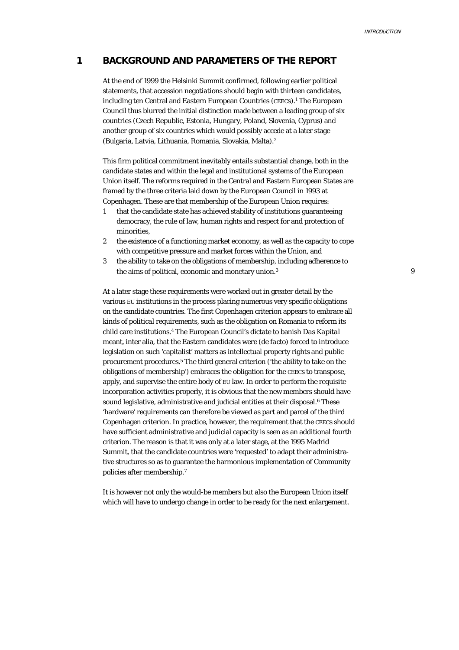#### **1 BACKGROUND AND PARAMETERS OF THE REPORT**

At the end of 1999 the Helsinki Summit confirmed, following earlier political statements, that accession negotiations should begin with thirteen candidates, including ten Central and Eastern European Countries (CEECs).1 The European Council thus blurred the initial distinction made between a leading group of six countries (Czech Republic, Estonia, Hungary, Poland, Slovenia, Cyprus) and another group of six countries which would possibly accede at a later stage (Bulgaria, Latvia, Lithuania, Romania, Slovakia, Malta).2

This firm political commitment inevitably entails substantial change, both in the candidate states and within the legal and institutional systems of the European Union itself. The reforms required in the Central and Eastern European States are framed by the three criteria laid down by the European Council in 1993 at Copenhagen. These are that membership of the European Union requires:

- 1 that the candidate state has achieved stability of institutions guaranteeing democracy, the rule of law, human rights and respect for and protection of minorities,
- 2 the existence of a functioning market economy, as well as the capacity to cope with competitive pressure and market forces within the Union, and
- 3 the ability to take on the obligations of membership, including adherence to the aims of political, economic and monetary union.<sup>3</sup>

At a later stage these requirements were worked out in greater detail by the various EU institutions in the process placing numerous very specific obligations on the candidate countries. The first Copenhagen criterion appears to embrace all kinds of *political* requirements, such as the obligation on Romania to reform its child care institutions.4 The European Council's dictate to banish *Das Kapital* meant, inter alia, that the Eastern candidates were (*de facto*) forced to introduce legislation on such 'capitalist' matters as intellectual property rights and public procurement procedures.5 The third general criterion ('the ability to take on the obligations of membership') embraces the obligation for the CEECs to transpose, apply, and supervise the entire body of EU law. In order to perform the requisite incorporation activities properly, it is obvious that the new members should have sound legislative, administrative and judicial entities at their disposal.<sup>6</sup> These 'hardware' requirements can therefore be viewed as part and parcel of the third Copenhagen criterion. In practice, however, the requirement that the CEECs should have sufficient administrative and judicial capacity is seen as an additional fourth criterion. The reason is that it was only at a later stage, at the 1995 Madrid Summit, that the candidate countries were 'requested' to adapt their administrative structures so as to guarantee the harmonious implementation of Community policies after membership.7

It is however not only the would-be members but also the European Union itself which will have to undergo change in order to be ready for the next enlargement.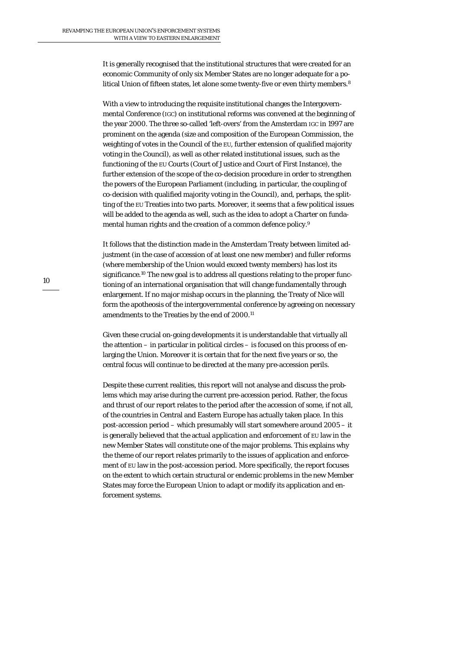It is generally recognised that the institutional structures that were created for an economic Community of only six Member States are no longer adequate for a political Union of fifteen states, let alone some twenty-five or even thirty members.8

With a view to introducing the requisite institutional changes the Intergovernmental Conference (IGC) on institutional reforms was convened at the beginning of the year 2000. The three so-called 'left-overs' from the Amsterdam IGC in 1997 are prominent on the agenda (size and composition of the European Commission, the weighting of votes in the Council of the EU, further extension of qualified majority voting in the Council), as well as other related institutional issues, such as the functioning of the EU Courts (Court of Justice and Court of First Instance), the further extension of the scope of the co-decision procedure in order to strengthen the powers of the European Parliament (including, in particular, the coupling of co-decision with qualified majority voting in the Council), and, perhaps, the splitting of the EU Treaties into two parts. Moreover, it seems that a few political issues will be added to the agenda as well, such as the idea to adopt a Charter on fundamental human rights and the creation of a common defence policy.9

It follows that the distinction made in the Amsterdam Treaty between limited adjustment (in the case of accession of at least one new member) and fuller reforms (where membership of the Union would exceed twenty members) has lost its significance.10 The new goal is to address all questions relating to the proper functioning of an international organisation that will change fundamentally through enlargement. If no major mishap occurs in the planning, the Treaty of Nice will form the apotheosis of the intergovernmental conference by agreeing on necessary amendments to the Treaties by the end of 2000.11

Given these crucial on-going developments it is understandable that virtually all the attention – in particular in political circles – is focused on this process of enlarging the Union. Moreover it is certain that for the next five years or so, the central focus will continue to be directed at the many *pre*-accession perils.

Despite these current realities, this report will not analyse and discuss the problems which may arise during the current pre-accession period. Rather, the focus and thrust of our report relates to the period after the accession of some, if not all, of the countries in Central and Eastern Europe has actually taken place. In this *post*-accession period – which presumably will start somewhere around 2005 – it is generally believed that the actual *application and enforcement* of EU law in the new Member States will constitute one of the major problems. This explains why the theme of our report relates primarily to the issues of application and enforcement of EU law in the post-accession period. More specifically, the report focuses on the extent to which certain structural or endemic problems in the new Member States may force the European Union to adapt or modify its application and enforcement systems.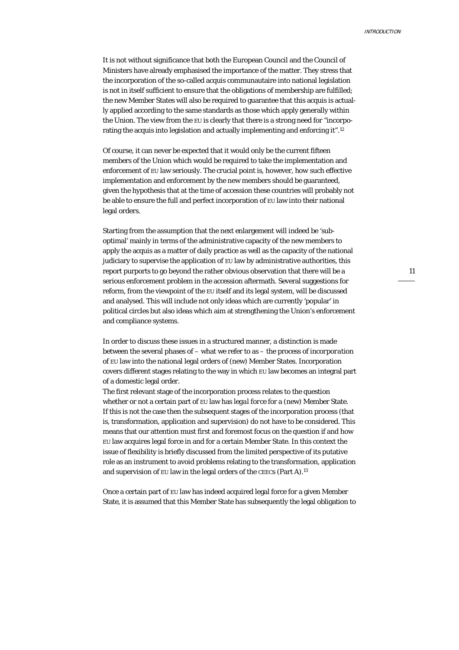It is not without significance that both the European Council and the Council of Ministers have already emphasised the importance of the matter. They stress that the incorporation of the so-called acquis communautaire into national legislation is not in itself sufficient to ensure that the obligations of membership are fulfilled; the new Member States will also be required to guarantee that this acquis is actually applied according to the same standards as those which apply generally within the Union. The view from the EU is clearly that there is a strong need for "incorporating the acquis into legislation and actually implementing and enforcing it".12

Of course, it can never be expected that it would only be the current fifteen members of the Union which would be required to take the implementation and enforcement of EU law seriously. The crucial point is, however, *how* such effective implementation and enforcement by the new members should be guaranteed, given the hypothesis that at the time of accession these countries will probably not be able to ensure the full and perfect incorporation of EU law into their national legal orders.

Starting from the assumption that the next enlargement will indeed be 'suboptimal' mainly in terms of the administrative capacity of the new members to apply the acquis as a matter of daily practice as well as the capacity of the national judiciary to supervise the application of EU law by administrative authorities, this report purports to go beyond the rather obvious observation that there will be a serious enforcement problem in the accession aftermath. Several suggestions for reform, from the viewpoint of the EU itself and its legal system, will be discussed and analysed. This will include not only ideas which are currently 'popular' in political circles but also ideas which aim at strengthening the Union's enforcement and compliance systems.

In order to discuss these issues in a structured manner, a distinction is made between the several phases of – what we refer to as – the process of *incorporation* of EU law into the national legal orders of (new) Member States. Incorporation covers different stages relating to the way in which EU law becomes an integral part of a domestic legal order.

The first relevant stage of the incorporation process relates to the question whether or not a certain part of EU law has *legal force* for a (new) Member State. If this is not the case then the subsequent stages of the incorporation process (that is, transformation, application and supervision) do not have to be considered. This means that our attention must first and foremost focus on the question if and how EU law acquires legal force in and for a certain Member State. In this context the issue of flexibility is briefly discussed from the limited perspective of its putative role as an instrument to avoid problems relating to the transformation, application and supervision of EU law in the legal orders of the CEECs (Part A).13

Once a certain part of EU law has indeed acquired legal force for a given Member State, it is assumed that this Member State has subsequently the legal obligation to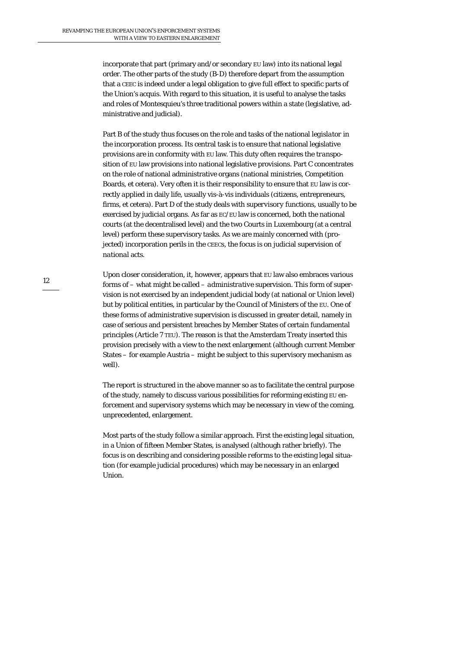incorporate that part (primary and/or secondary EU law) into its national legal order. The other parts of the study (B-D) therefore depart from the assumption that a CEEC is indeed under a legal obligation to give full effect to specific parts of the Union's acquis. With regard to this situation, it is useful to analyse the tasks and roles of Montesquieu's three traditional powers within a state (legislative, administrative and judicial).

Part B of the study thus focuses on the role and tasks of the national *legislator* in the incorporation process. Its central task is to ensure that national legislative provisions are in conformity with EU law. This duty often requires the *transposition* of EU law provisions into national legislative provisions. Part C concentrates on the role of national administrative organs (national ministries, Competition Boards, et cetera). Very often it is their responsibility to ensure that EU law is correctly *applied* in daily life, usually vis-à-vis individuals (citizens, entrepreneurs, firms, et cetera). Part D of the study deals with *supervisory* functions, usually to be exercised by *judicial* organs. As far as EC/EU law is concerned, both the national courts (at the decentralised level) and the two Courts in Luxembourg (at a central level) perform these supervisory tasks. As we are mainly concerned with (projected) incorporation perils in the CEECs, the focus is on judicial supervision of *national* acts.

Upon closer consideration, it, however, appears that EU law also embraces various forms of – what might be called – *administrative* supervision. This form of supervision is not exercised by an independent judicial body (at national or Union level) but by political entities, in particular by the Council of Ministers of the EU. One of these forms of administrative supervision is discussed in greater detail, namely in case of serious and persistent breaches by Member States of certain fundamental principles (Article 7 TEU). The reason is that the Amsterdam Treaty inserted this provision precisely with a view to the next enlargement (although current Member States – for example Austria – might be subject to this supervisory mechanism as well).

The report is structured in the above manner so as to facilitate the central purpose of the study, namely to discuss various possibilities for reforming existing EU enforcement and supervisory systems which may be necessary in view of the coming, unprecedented, enlargement.

Most parts of the study follow a similar approach. First the existing legal situation, in a Union of fifteen Member States, is analysed (although rather briefly). The focus is on describing and considering possible *reforms* to the existing legal situation (for example judicial procedures) which may be necessary in an enlarged Union.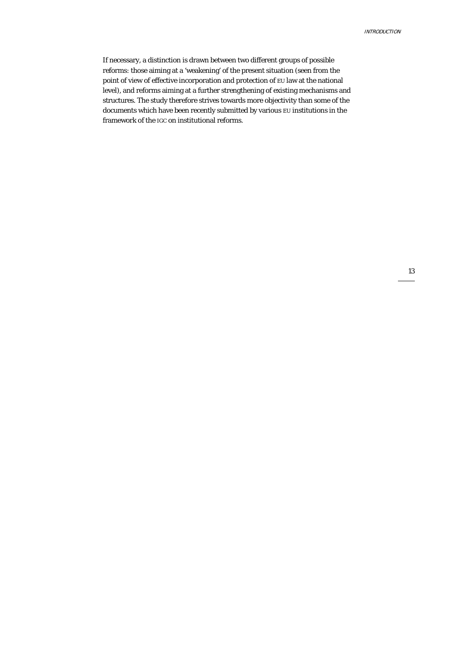If necessary, a distinction is drawn between two different groups of possible reforms: those aiming at a 'weakening' of the present situation (seen from the point of view of effective incorporation and protection of EU law at the national level), and reforms aiming at a further strengthening of existing mechanisms and structures. The study therefore strives towards more objectivity than some of the documents which have been recently submitted by various EU institutions in the framework of the IGC on institutional reforms.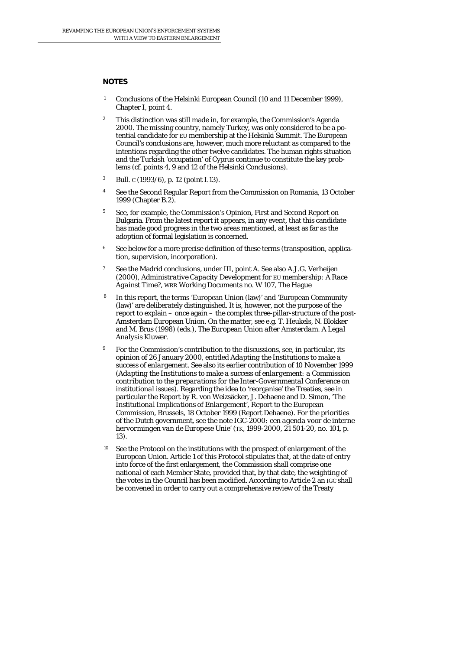#### **NOTES**

- 1 Conclusions of the Helsinki European Council (10 and 11 December 1999), Chapter I, point 4.
- <sup>2</sup> This distinction was still made in, for example, the Commission's Agenda 2000. The missing country, namely Turkey, was only considered to be a potential candidate for EU membership at the Helsinki Summit. The European Council's conclusions are, however, much more reluctant as compared to the intentions regarding the other twelve candidates. The human rights situation and the Turkish 'occupation' of Cyprus continue to constitute the key problems (cf. points 4, 9 and 12 of the Helsinki Conclusions).
- 3 Bull*. C* (1993/6), p. 12 (point I.13).
- <sup>4</sup> See the Second Regular Report from the Commission on Romania, 13 October 1999 (Chapter B.2).
- <sup>5</sup> See, for example, the Commission's Opinion, First and Second Report on Bulgaria. From the latest report it appears, in any event, that this candidate has made good progress in the two areas mentioned, at least as far as the adoption of formal legislation is concerned.
- <sup>6</sup> See below for a more precise definition of these terms (transposition, application, supervision, incorporation).
- 7 See the Madrid conclusions, under III, point A. See also A.J.G. Verheijen (2000), *Administrative Capacity Development for EU membership: A Race Against Time?*, WRR Working Documents no. W 107, The Hague
- 8 In this report, the terms 'European Union (law)' and 'European Community (law)' are deliberately distinguished. It is, however, not the purpose of the report to explain – once again – the complex three-pillar-structure of the post-Amsterdam European Union. On the matter, see e.g. T. Heukels, N. Blokker and M. Brus (1998) (eds.), *The European Union after Amsterdam. A Legal Analysis* Kluwer.
- 9 For the Commission's contribution to the discussions, see, in particular, its opinion of 26 January 2000, entitled *Adapting the Institutions to make a success of enlargement*. See also its earlier contribution of 10 November 1999 (*Adapting the Institutions to make a success of enlargement: a Commission contribution to the preparations for the Inter-Governmental Conference on institutional issues*). Regarding the idea to 'reorganise' the Treaties, see in particular the Report by R. von Weizsäcker, J. Dehaene and D. Simon, '*The Institutional Implications of Enlargement*', Report to the European Commission, Brussels, 18 October 1999 (Report Dehaene). For the priorities of the Dutch government, see the note *IGC-2000: een agenda voor de interne hervormingen van de Europese Unie*' (TK, 1999-2000, 21 501-20, no. 101, p. 13).
- See the Protocol on the institutions with the prospect of enlargement of the European Union. Article 1 of this Protocol stipulates that, at the date of entry into force of the first enlargement, the Commission shall comprise one national of each Member State, provided that, by that date, the weighting of the votes in the Council has been modified. According to Article 2 an IGC shall be convened in order to carry out a comprehensive review of the Treaty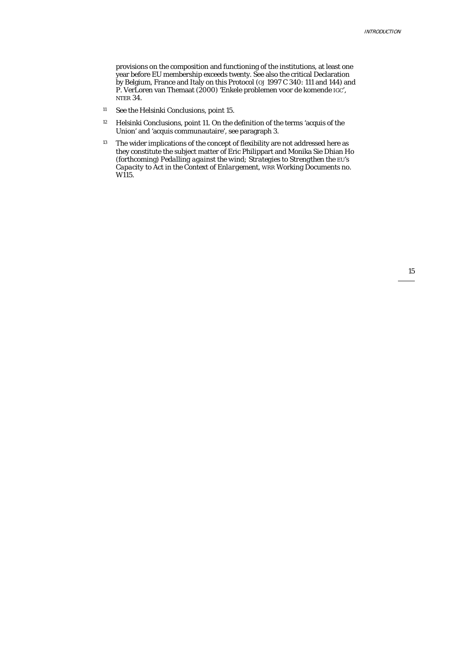provisions on the composition and functioning of the institutions, at least one year before EU membership exceeds twenty. See also the critical Declaration by Belgium, France and Italy on this Protocol (*OJ* 1997 C 340: 111 and 144) and P. VerLoren van Themaat (2000) 'Enkele problemen voor de komende IGC', NTER 34.

- 11 See the Helsinki Conclusions, point 15.
- 12 Helsinki Conclusions, point 11. On the definition of the terms 'acquis of the Union' and 'acquis communautaire', see paragraph 3.
- <sup>13</sup> The wider implications of the concept of flexibility are not addressed here as they constitute the subject matter of Eric Philippart and Monika Sie Dhian Ho (forthcoming) *Pedalling against the wind; Strategies to Strengthen the EU's Capacity to Act in the Context of Enlargement*, WRR Working Documents no. W115.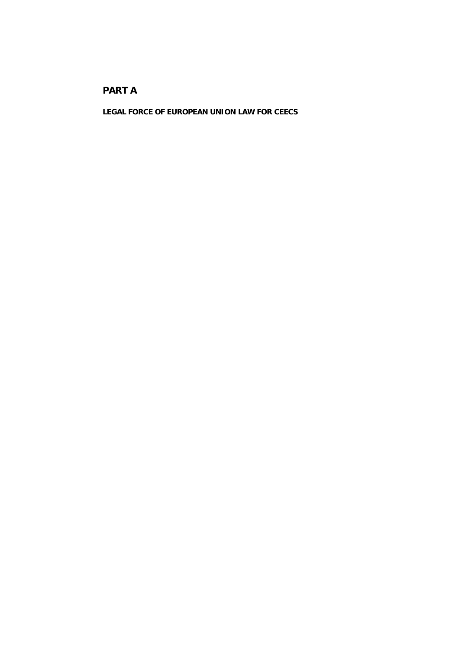# **PART A**

**LEGAL FORCE OF EUROPEAN UNION LAW FOR CEECS**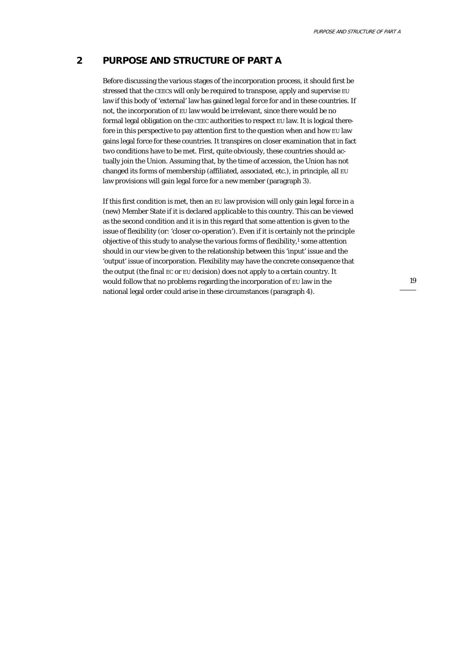### **2 PURPOSE AND STRUCTURE OF PART A**

Before discussing the various stages of the incorporation process, it should first be stressed that the CEECs will only be required to transpose, apply and supervise EU law if this body of 'external' law has gained *legal force* for and in these countries. If not, the incorporation of EU law would be irrelevant, since there would be no formal legal obligation on the CEEC authorities to respect EU law. It is logical therefore in this perspective to pay attention first to the question when and how EU law gains legal force for these countries. It transpires on closer examination that in fact *two conditions* have to be met. First, quite obviously, these countries should actually join the Union. Assuming that, by the time of accession, the Union has not changed its forms of membership (affiliated, associated, etc.), in principle, all EU law provisions will gain legal force for a new member (paragraph 3).

If this first condition is met, then an EU law provision will only gain legal force in a (new) Member State if it is declared *applicable* to this country. This can be viewed as the second condition and it is in this regard that some attention is given to the issue of flexibility (or: 'closer co-operation'). Even if it is certainly not the principle objective of this study to analyse the various forms of flexibility,<sup>1</sup> some attention should in our view be given to the relationship between this 'input' issue and the 'output' issue of incorporation. Flexibility may have the concrete consequence that the output (the final EC or EU decision) does not apply to a certain country. It would follow that no problems regarding the incorporation of EU law in the national legal order could arise in these circumstances (paragraph 4).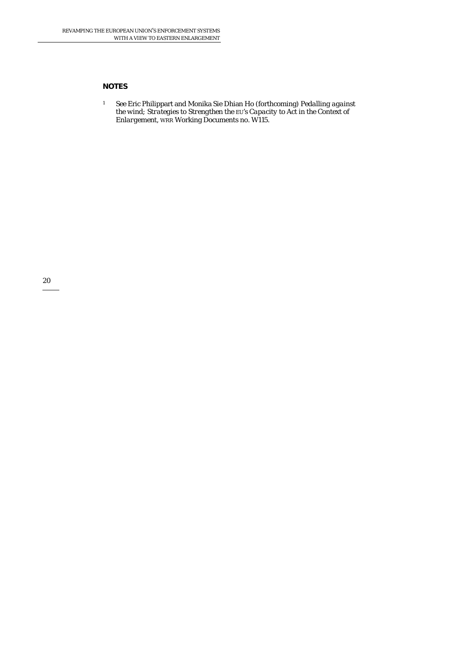#### **NOTES**

1 See Eric Philippart and Monika Sie Dhian Ho (forthcoming) *Pedalling against the wind; Strategies to Strengthen the EU's Capacity to Act in the Context of Enlargement*, WRR Working Documents no. W115.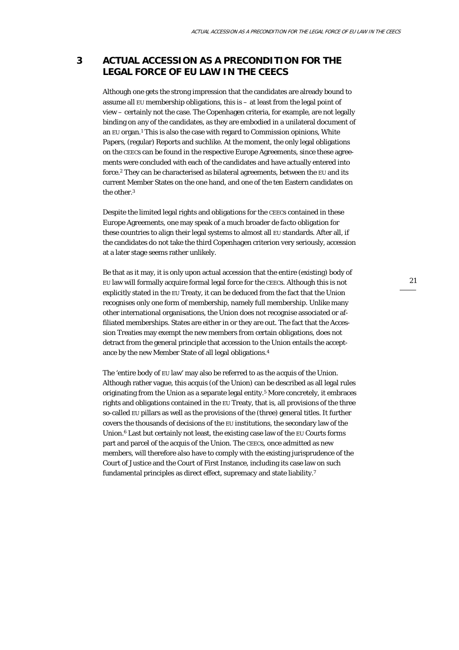# **3 ACTUAL ACCESSION AS A PRECONDITION FOR THE LEGAL FORCE OF EU LAW IN THE CEECS**

Although one gets the strong impression that the candidates are already bound to assume all EU membership obligations, this is – at least from the legal point of view – certainly not the case. The Copenhagen criteria, for example, are not legally binding on any of the candidates, as they are embodied in a unilateral document of an EU organ.1 This is also the case with regard to Commission opinions, White Papers, (regular) Reports and suchlike. At the moment, the only legal obligations on the CEECs can be found in the respective Europe Agreements, since these agreements were concluded with each of the candidates and have actually entered into force.2 They can be characterised as bilateral agreements, between the EU and its current Member States on the one hand, and one of the ten Eastern candidates on the other.3

Despite the limited legal rights and obligations for the CEECs contained in these Europe Agreements, one may speak of a much broader *de facto* obligation for these countries to align their legal systems to almost all EU standards. After all, if the candidates do not take the third Copenhagen criterion very seriously, accession at a later stage seems rather unlikely.

Be that as it may, it is only upon actual accession that the entire (existing) body of EU law will formally acquire formal legal force for the CEECs. Although this is not explicitly stated in the EU Treaty, it can be deduced from the fact that the Union recognises only one form of membership, namely *full* membership. Unlike many other international organisations, the Union does not recognise associated or affiliated memberships. States are either in or they are out. The fact that the Accession Treaties may exempt the new members from certain obligations, does not detract from the general principle that accession to the Union entails the acceptance by the new Member State of all legal obligations.4

The 'entire body of EU law' may also be referred to as the *acquis of the Union*. Although rather vague, this acquis (of the Union) can be described as all legal rules originating from the Union as a separate legal entity.5 More concretely, it embraces rights and obligations contained in the EU Treaty, that is, all provisions of the three so-called EU pillars as well as the provisions of the (three) general titles. It further covers the thousands of decisions of the EU institutions, the secondary law of the Union.6 Last but certainly not least, the existing case law of the EU Courts forms part and parcel of the acquis of the Union. The CEECs, once admitted as new members, will therefore also have to comply with the existing jurisprudence of the Court of Justice and the Court of First Instance, including its case law on such fundamental principles as direct effect, supremacy and state liability.7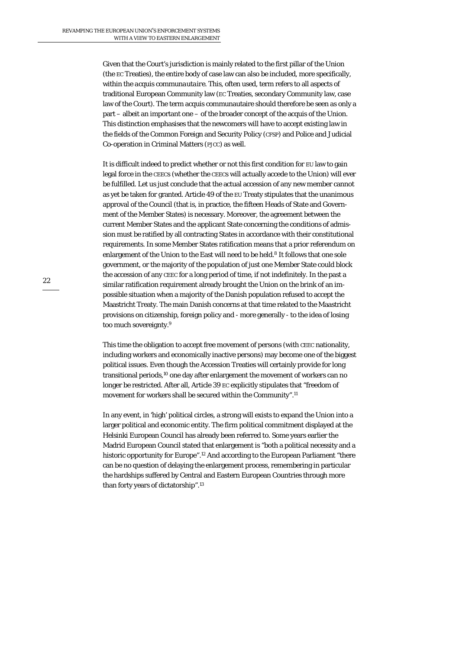Given that the Court's jurisdiction is mainly related to the first pillar of the Union (the EC Treaties), the entire body of case law can also be included, more specifically, within the *acquis communautaire.* This, often used, term refers to all aspects of traditional European Community law (EC Treaties, secondary Community law, case law of the Court). The term acquis communautaire should therefore be seen as only a part – albeit an important one – of the broader concept of the acquis of the Union. This distinction emphasises that the newcomers will have to accept existing law in the fields of the Common Foreign and Security Policy (CFSP) and Police and Judicial Co-operation in Criminal Matters (PJCC) as well.

It is difficult indeed to predict whether or not this first condition for EU law to gain legal force in the CEECs (whether the CEECs will actually accede to the Union) will ever be fulfilled. Let us just conclude that the actual accession of any new member cannot as yet be taken for granted. Article 49 of the EU Treaty stipulates that the unanimous approval of the Council (that is, in practice, the fifteen Heads of State and Government of the Member States) is necessary. Moreover, the agreement between the current Member States and the applicant State concerning the conditions of admission must be ratified by all contracting States in accordance with their constitutional requirements. In some Member States ratification means that a prior referendum on enlargement of the Union to the East will need to be held.<sup>8</sup> It follows that one sole government, or the majority of the population of just one Member State could block the accession of any CEEC for a long period of time, if not indefinitely. In the past a similar ratification requirement already brought the Union on the brink of an impossible situation when a majority of the Danish population refused to accept the Maastricht Treaty. The main Danish concerns at that time related to the Maastricht provisions on citizenship, foreign policy and - more generally - to the idea of losing too much sovereignty.9

This time the obligation to accept free movement of persons (with CEEC nationality, including workers and economically inactive persons) may become one of the biggest political issues. Even though the Accession Treaties will certainly provide for long transitional periods,10 one day after enlargement the movement of workers can no longer be restricted. After all, Article 39 EC explicitly stipulates that "freedom of movement for workers shall be secured within the Community".11

In any event, in 'high' political circles, a strong will exists to expand the Union into a larger political and economic entity. The firm political commitment displayed at the Helsinki European Council has already been referred to. Some years earlier the Madrid European Council stated that enlargement is "both a political necessity and a historic opportunity for Europe".12 And according to the European Parliament "there can be no question of delaying the enlargement process, remembering in particular the hardships suffered by Central and Eastern European Countries through more than forty years of dictatorship".13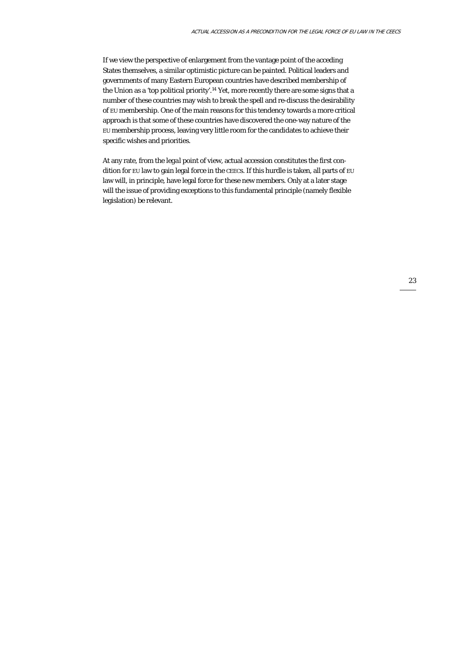If we view the perspective of enlargement from the vantage point of the acceding States themselves, a similar optimistic picture can be painted. Political leaders and governments of many Eastern European countries have described membership of the Union as a 'top political priority'.14 Yet, more recently there are some signs that a number of these countries may wish to break the spell and re-discuss the desirability of EU membership. One of the main reasons for this tendency towards a more critical approach is that some of these countries have discovered the one-way nature of the EU membership process, leaving very little room for the candidates to achieve their specific wishes and priorities.

At any rate, from the *legal* point of view, actual accession constitutes the first condition for EU law to gain legal force in the CEECs. If this hurdle is taken, all parts of EU law will, in principle, have legal force for these new members. Only at a later stage will the issue of providing exceptions to this fundamental principle (namely flexible legislation) be relevant.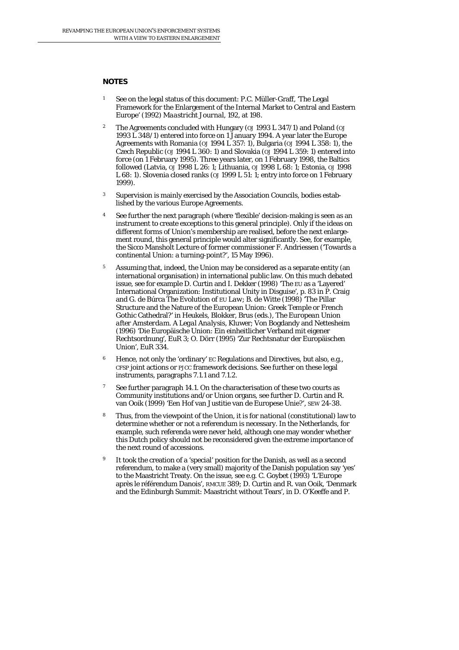#### **NOTES**

- 1 See on the legal status of this document: P.C. Müller-Graff, 'The Legal Framework for the Enlargement of the Internal Market to Central and Eastern Europe' (1992) *Maastricht Journal,* 192, at 198.
- 2 The Agreements concluded with Hungary (*OJ* 1993 L 347/1) and Poland (*OJ* 1993 L 348/1) entered into force on 1 January 1994. A year later the Europe Agreements with Romania (*OJ* 1994 L 357: 1), Bulgaria (*OJ* 1994 L 358: 1), the Czech Republic (*OJ* 1994 L 360: 1) and Slovakia (*OJ* 1994 L 359: 1) entered into force (on 1 February 1995). Three years later, on 1 February 1998, the Baltics followed (Latvia, *OJ* 1998 L 26: 1; Lithuania, *OJ* 1998 L 68: 1; Estonia, *OJ* 1998 L 68: 1). Slovenia closed ranks (*OJ* 1999 L 51: 1; entry into force on 1 February 1999).
- <sup>3</sup> Supervision is mainly exercised by the Association Councils, bodies established by the various Europe Agreements.
- See further the next paragraph (where 'flexible' decision-making is seen as an instrument to create exceptions to this general principle). Only if the ideas on different forms of Union's membership are realised, before the next enlargement round, this general principle would alter significantly. See, for example, the Sicco Mansholt Lecture of former commissioner F. Andriessen ('Towards a continental Union: a turning-point?', 15 May 1996).
- <sup>5</sup> Assuming that, indeed, the Union may be considered as a separate entity (an international organisation) in international public law. On this much debated issue, see for example D. Curtin and I. Dekker (1998) 'The EU as a 'Layered' International Organization: Institutional Unity in Disguise', p. 83 in P. Craig and G. de Búrca *The Evolution of EU Law*; B. de Witte (1998) 'The Pillar Structure and the Nature of the European Union: Greek Temple or French Gothic Cathedral?' in Heukels, Blokker, Brus (eds.), *The European Union after Amsterdam. A Legal Analysis*, Kluwer; Von Bogdandy and Nettesheim (1996) 'Die Europäische Union: Ein einheitlicher Verband mit eigener Rechtsordnung', *EuR* 3; O. Dörr (1995) 'Zur Rechtsnatur der Europäischen Union', *EuR* 334.
- <sup>6</sup> Hence, not only the 'ordinary' EC Regulations and Directives, but also, e.g., CFSP joint actions or PJCC framework decisions. See further on these legal instruments, paragraphs 7.1.1 and 7.1.2.
- <sup>7</sup> See further paragraph 14.1. On the characterisation of these two courts as Community institutions and/or Union organs, see further D. Curtin and R. van Ooik (1999) 'Een Hof van Justitie van de Europese Unie?', SEW 24-38.
- 8 Thus, from the viewpoint of the Union, it is for *national* (constitutional) law to determine whether or not a referendum is necessary. In the Netherlands, for example, such referenda were never held, although one may wonder whether this Dutch policy should not be reconsidered given the extreme importance of the next round of accessions.
- It took the creation of a 'special' position for the Danish, as well as a second referendum, to make a (very small) majority of the Danish population say 'yes' to the Maastricht Treaty. On the issue, see e.g. C. Goybet (1993) 'L'Europe après le référendum Danois', *RMCUE* 389; D. Curtin and R. van Ooik, 'Denmark and the Edinburgh Summit: Maastricht without Tears', in D. O'Keeffe and P.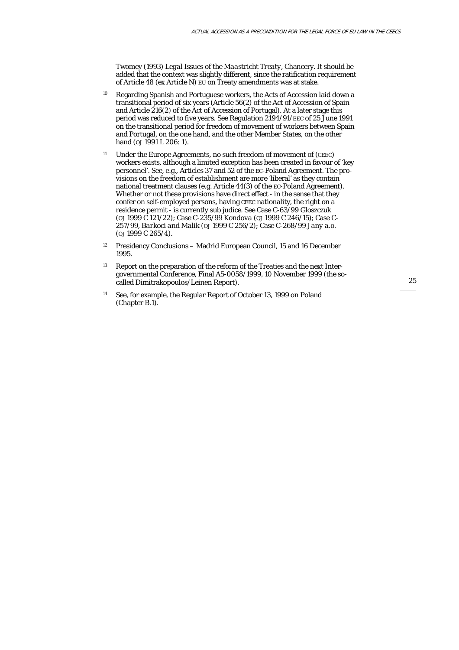Twomey (1993) *Legal Issues of the Maastricht Treaty*, Chancery. It should be added that the context was slightly different, since the ratification requirement of Article 48 (ex Article N) EU on Treaty amendments was at stake.

- <sup>10</sup> Regarding Spanish and Portuguese workers, the Acts of Accession laid down a transitional period of six years (Article 56(2) of the Act of Accession of Spain and Article 216(2) of the Act of Accession of Portugal). At a later stage this period was reduced to five years. See Regulation 2194/91/EEC of 25 June 1991 on the transitional period for freedom of movement of workers between Spain and Portugal, on the one hand, and the other Member States, on the other hand ( $\omega$ <sub>1991</sub> L 206: 1).
- <sup>11</sup> Under the Europe Agreements, no such freedom of movement of (CEEC) workers exists, although a limited exception has been created in favour of 'key personnel'. See, e.g., Articles 37 and 52 of the EC-Poland Agreement. The provisions on the freedom of establishment are more 'liberal' as they contain national treatment clauses (e.g. Article 44(3) of the EC-Poland Agreement). Whether or not these provisions have direct effect - in the sense that they confer on self-employed persons, having CEEC nationality, the right on a residence permit - is currently *sub judice*. See Case C-63/99 *Gloszczuk* (*OJ* 1999 C 121/22); Case C-235/99 *Kondova* (*OJ* 1999 C 246/15); Case C-257/99, *Barkoci and Malik* (*OJ* 1999 C 256/2); Case C-268/99 *Jany a.o.* (*OJ* 1999 C 265/4).
- <sup>12</sup> Presidency Conclusions Madrid European Council, 15 and 16 December 1995.
- 13 Report on the preparation of the reform of the Treaties and the next Intergovernmental Conference, Final A5-0058/1999, 10 November 1999 (the socalled Dimitrakopoulos/Leinen Report).
- 14 See, for example, the Regular Report of October 13, 1999 on Poland (Chapter B.1).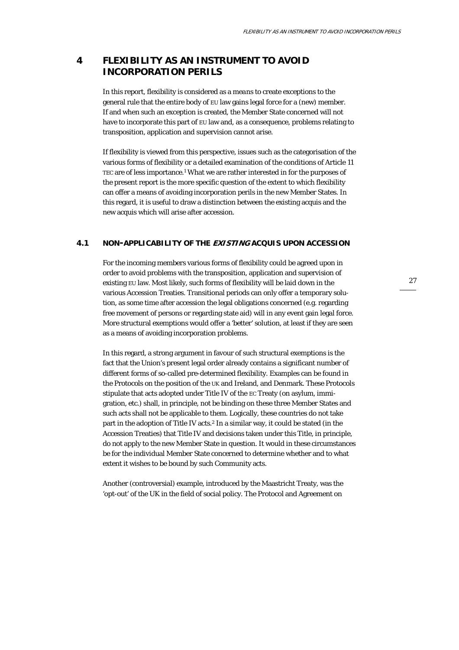# **4 FLEXIBILITY AS AN INSTRUMENT TO AVOID INCORPORATION PERILS**

In this report, flexibility is considered as a *means* to create exceptions to the general rule that the entire body of EU law gains legal force for a (new) member. If and when such an exception is created, the Member State concerned will not have to incorporate this part of EU law and, as a consequence, problems relating to transposition, application and supervision cannot arise.

If flexibility is viewed from this perspective, issues such as the categorisation of the various forms of flexibility or a detailed examination of the conditions of Article 11 TEC are of less importance.<sup>1</sup> What we are rather interested in for the purposes of the present report is the more specific question of the extent to which flexibility can offer a means of avoiding incorporation perils in the new Member States. In this regard, it is useful to draw a distinction between the existing acquis and the new acquis which will arise after accession.

#### **4.1 NON-APPLICABILITY OF THE EXISTING ACQUIS UPON ACCESSION**

For the incoming members various forms of flexibility could be agreed upon in order to avoid problems with the transposition, application and supervision of existing EU law. Most likely, such forms of flexibility will be laid down in the various Accession Treaties. Transitional periods can only offer a temporary solution, as some time after accession the legal obligations concerned (e.g. regarding free movement of persons or regarding state aid) will in any event gain legal force. More structural exemptions would offer a 'better' solution, at least if they are seen as a means of avoiding incorporation problems.

In this regard, a strong argument in favour of such structural exemptions is the fact that the Union's present legal order already contains a significant number of different forms of so-called pre-determined flexibility. Examples can be found in the Protocols on the position of the UK and Ireland, and Denmark. These Protocols stipulate that acts adopted under Title IV of the EC Treaty (on asylum, immigration, etc.) shall, in principle, not be binding on these three Member States and such acts shall not be applicable to them. Logically, these countries do not take part in the adoption of Title IV acts.<sup>2</sup> In a similar way, it could be stated (in the Accession Treaties) that Title IV and decisions taken under this Title, in principle, do not apply to the new Member State in question. It would in these circumstances be for the individual Member State concerned to determine whether and to what extent it wishes to be bound by such Community acts.

Another (controversial) example, introduced by the Maastricht Treaty, was the 'opt-out' of the UK in the field of social policy. The Protocol and Agreement on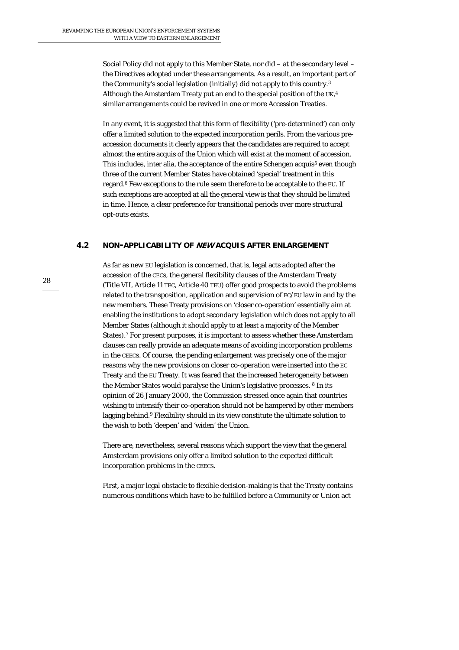Social Policy did not apply to this Member State, nor did – at the secondary level – the Directives adopted under these arrangements. As a result, an important part of the Community's social legislation (initially) did not apply to this country.3 Although the Amsterdam Treaty put an end to the special position of the UK,<sup>4</sup> similar arrangements could be revived in one or more Accession Treaties.

In any event, it is suggested that this form of flexibility ('pre-determined') can only offer a limited solution to the expected incorporation perils. From the various preaccession documents it clearly appears that the candidates are required to accept almost the entire acquis of the Union which will exist at the moment of accession. This includes, inter alia, the acceptance of the entire Schengen acquis<sup>5</sup> even though three of the current Member States have obtained 'special' treatment in this regard.6 Few exceptions to the rule seem therefore to be acceptable to the EU. If such exceptions are accepted at all the general view is that they should be limited in time. Hence, a clear preference for transitional periods over more structural opt-outs exists.

#### **4.2 NON-APPLICABILITY OF NEW ACQUIS AFTER ENLARGEMENT**

As far as *new* EU legislation is concerned, that is, legal acts adopted after the accession of the CECs, the general flexibility clauses of the Amsterdam Treaty (Title VII, Article 11 TEC, Article 40 TEU) offer good prospects to avoid the problems related to the transposition, application and supervision of EC/EU law in and by the new members. These Treaty provisions on 'closer co-operation' essentially aim at enabling the institutions to adopt *secondary* legislation which does not apply to all Member States (although it should apply to at least a majority of the Member States).7 For present purposes, it is important to assess whether these Amsterdam clauses can really provide an adequate means of avoiding incorporation problems in the CEECs. Of course, the pending enlargement was precisely one of the major reasons why the new provisions on closer co-operation were inserted into the EC Treaty and the EU Treaty. It was feared that the increased heterogeneity between the Member States would paralyse the Union's legislative processes. 8 In its opinion of 26 January 2000, the Commission stressed once again that countries wishing to intensify their co-operation should not be hampered by other members lagging behind.<sup>9</sup> Flexibility should in its view constitute the ultimate solution to the wish to both 'deepen' and 'widen' the Union.

There are, nevertheless, several reasons which support the view that the general Amsterdam provisions only offer a limited solution to the expected difficult incorporation problems in the CEECs.

First, a major legal obstacle to flexible decision-making is that the Treaty contains numerous *conditions* which have to be fulfilled before a Community or Union act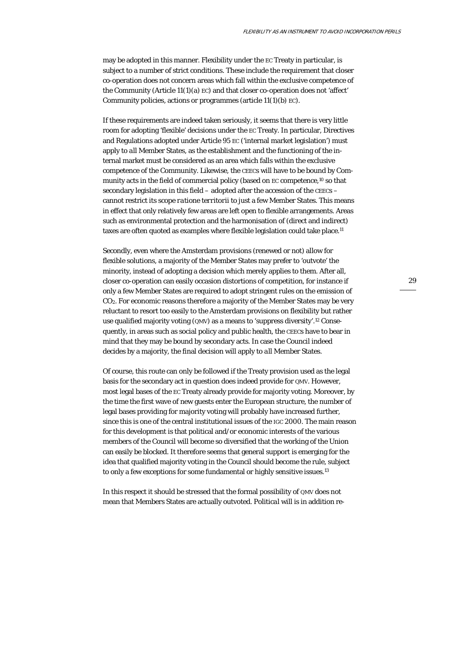may be adopted in this manner. Flexibility under the EC Treaty in particular, is subject to a number of strict conditions. These include the requirement that closer co-operation does not concern areas which fall within the exclusive competence of the Community (Article 11(1)(a) EC) and that closer co-operation does not 'affect' Community policies, actions or programmes (article 11(1)(b) EC).

If these requirements are indeed taken seriously, it seems that there is very little room for adopting 'flexible' decisions under the EC Treaty. In particular, Directives and Regulations adopted under Article 95 EC ('internal market legislation') must apply to *all* Member States, as the establishment and the functioning of the internal market must be considered as an area which falls within the exclusive competence of the Community. Likewise, the CEECs will have to be bound by Community acts in the field of commercial policy (based on EC competence,<sup>10</sup> so that secondary legislation in this field – adopted after the accession of the CEECs – cannot restrict its scope *ratione territorii* to just a few Member States. This means in effect that only relatively few areas are left open to flexible arrangements. Areas such as environmental protection and the harmonisation of (direct and indirect) taxes are often quoted as examples where flexible legislation could take place.11

Secondly, even where the Amsterdam provisions (renewed or not) allow for flexible solutions, a majority of the Member States may prefer to 'outvote' the minority, instead of adopting a decision which merely applies to them. After all, closer co-operation can easily occasion distortions of competition, for instance if only a few Member States are required to adopt stringent rules on the emission of CO2. For economic reasons therefore a majority of the Member States may be very reluctant to resort too easily to the Amsterdam provisions on flexibility but rather use qualified majority voting (QMV) as a means to 'suppress diversity'.12 Consequently, in areas such as social policy and public health, the CEECs have to bear in mind that they may be bound by secondary acts. In case the Council indeed decides by a majority, the final decision will apply to *all* Member States.

Of course, this route can only be followed if the Treaty provision used as the legal basis for the secondary act in question does indeed provide for QMV. However, most legal bases of the EC Treaty already provide for majority voting. Moreover, by the time the first wave of new guests enter the European structure, the number of legal bases providing for majority voting will probably have increased further, since this is one of the central institutional issues of the IGC 2000. The main reason for this development is that political and/or economic interests of the various members of the Council will become so diversified that the working of the Union can easily be blocked. It therefore seems that general support is emerging for the idea that qualified majority voting in the Council should become the rule, subject to only a few exceptions for some fundamental or highly sensitive issues.<sup>13</sup>

In this respect it should be stressed that the formal possibility of QMV does not mean that Members States are actually outvoted. *Political* will is in addition re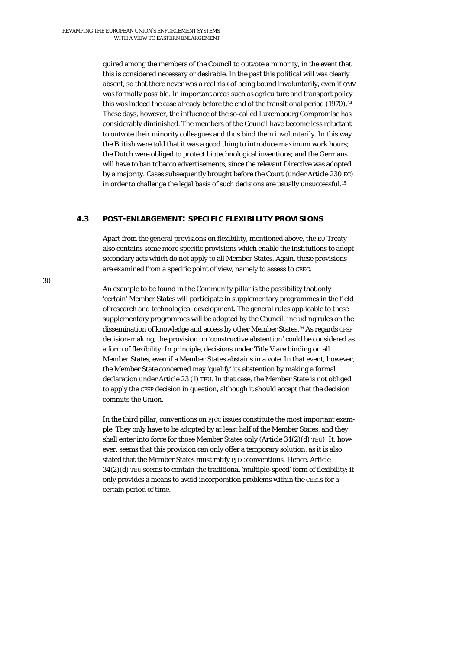quired among the members of the Council to outvote a minority, in the event that this is considered necessary or desirable. In the past this political will was clearly absent, so that there never was a real risk of being bound involuntarily, even if QMV was formally possible. In important areas such as agriculture and transport policy this was indeed the case already before the end of the transitional period (1970).14 These days, however, the influence of the so-called Luxembourg Compromise has considerably diminished. The members of the Council have become less reluctant to outvote their minority colleagues and thus bind them involuntarily. In this way the British were told that it was a good thing to introduce maximum work hours; the Dutch were obliged to protect biotechnological inventions; and the Germans will have to ban tobacco advertisements, since the relevant Directive was adopted by a majority. Cases subsequently brought before the Court (under Article 230 EC) in order to challenge the legal basis of such decisions are usually unsuccessful.15

#### **4.3 POST-ENLARGEMENT: SPECIFIC FLEXIBILITY PROVISIONS**

Apart from the general provisions on flexibility, mentioned above, the EU Treaty also contains some more specific provisions which enable the institutions to adopt secondary acts which do not apply to all Member States. Again, these provisions are examined from a specific point of view, namely to assess to CEEC.

An example to be found in the Community pillar is the possibility that only 'certain' Member States will participate in supplementary programmes in the field of research and technological development. The general rules applicable to these supplementary programmes will be adopted by the Council, including rules on the dissemination of knowledge and access by other Member States.16 As regards CFSP decision-making, the provision on 'constructive abstention' could be considered as a form of flexibility. In principle, decisions under Title V are binding on all Member States, even if a Member States abstains in a vote. In that event, however, the Member State concerned may 'qualify' its abstention by making a formal declaration under Article 23 (1) TEU. In that case, the Member State is not obliged to apply the CFSP decision in question, although it should accept that the decision commits the Union.

In the third pillar, *conventions* on PJCC issues constitute the most important example. They only have to be adopted by at least half of the Member States, and they shall enter into force for those Member States only (Article 34(2)(d) TEU). It, however, seems that this provision can only offer a temporary solution, as it is also stated that *the* Member States must ratify PJCC conventions. Hence, Article 34(2)(d) TEU seems to contain the traditional 'multiple-speed' form of flexibility; it only provides a means to avoid incorporation problems within the CEECs for a certain period of time.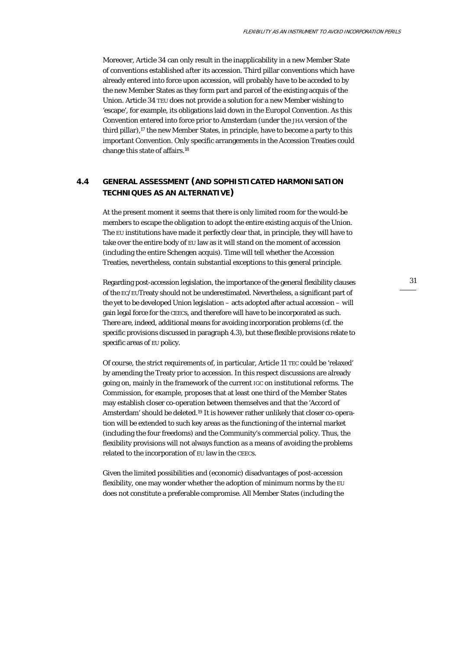Moreover, Article 34 can only result in the inapplicability in a new Member State of conventions established *after* its accession. Third pillar conventions which have already entered into force *upon* accession, will probably have to be acceded to by the new Member States as they form part and parcel of the existing acquis of the Union. Article 34 TEU does not provide a solution for a new Member wishing to 'escape', for example, its obligations laid down in the Europol Convention. As this Convention entered into force prior to Amsterdam (under the JHA version of the third pillar),17 the new Member States, in principle, have to become a party to this important Convention. Only specific arrangements in the Accession Treaties could change this state of affairs.18

## **4.4 GENERAL ASSESSMENT (AND SOPHISTICATED HARMONISATION TECHNIQUES AS AN ALTERNATIVE)**

At the present moment it seems that there is only limited room for the would-be members to escape the obligation to adopt the entire existing acquis of the Union. The EU institutions have made it perfectly clear that, in principle, they will have to take over the entire body of EU law as it will stand on the moment of accession (including the entire Schengen acquis). Time will tell whether the Accession Treaties, nevertheless, contain substantial exceptions to this general principle.

Regarding post-accession legislation, the importance of the general flexibility clauses of the EC/EUTreaty should not be underestimated. Nevertheless, a significant part of the yet to be developed Union legislation – acts adopted after actual accession – *will* gain legal force for the CEECs, and therefore will have to be incorporated as such. There are, indeed, additional means for avoiding incorporation problems (cf. the specific provisions discussed in paragraph 4.3), but these flexible provisions relate to *specific* areas of EU policy.

Of course, the strict requirements of, in particular, Article 11 TEC could be 'relaxed' by amending the Treaty prior to accession. In this respect discussions are already going on, mainly in the framework of the current IGC on institutional reforms. The Commission, for example, proposes that at least *one third* of the Member States may establish closer co-operation between themselves and that the 'Accord of Amsterdam' should be deleted.19 It is however rather unlikely that closer co-operation will be extended to such key areas as the functioning of the internal market (including the four freedoms) and the Community's commercial policy. Thus, the flexibility provisions will not always function as a means of avoiding the problems related to the incorporation of EU law in the CEECs.

Given the limited possibilities and (economic) disadvantages of post-accession flexibility, one may wonder whether the adoption of *minimum* norms by the EU does not constitute a preferable compromise. All Member States (including the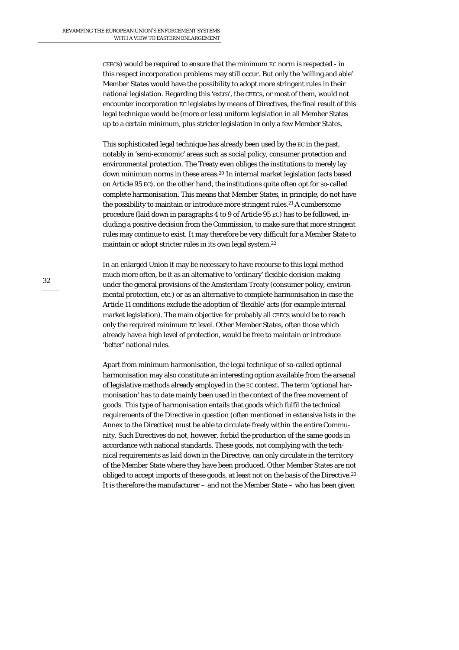CEECs) would be required to ensure that the minimum EC norm is respected - in this respect incorporation problems may still occur. But only the 'willing and able' Member States would have the possibility to adopt more stringent rules in their national legislation. Regarding this 'extra', the CEECs, or most of them, would not encounter incorporation EC legislates by means of Directives, the final result of this legal technique would be (more or less) uniform legislation in all Member States up to a certain minimum, plus stricter legislation in only a few Member States.

This sophisticated legal technique has already been used by the EC in the past, notably in 'semi-economic' areas such as social policy, consumer protection and environmental protection. The Treaty even obliges the institutions to merely lay down minimum norms in these areas.20 In internal market legislation (acts based on Article 95 EC), on the other hand, the institutions quite often opt for so-called *complete* harmonisation. This means that Member States, in principle, do not have the possibility to maintain or introduce more stringent rules.<sup>21</sup> A cumbersome procedure (laid down in paragraphs 4 to 9 of Article 95 EC) has to be followed, including a positive decision from the Commission, to make sure that more stringent rules may continue to exist. It may therefore be very difficult for a Member State to maintain or adopt stricter rules in its own legal system.22

In an enlarged Union it may be necessary to have recourse to this legal method much more often, be it as an alternative to 'ordinary' flexible decision-making under the general provisions of the Amsterdam Treaty (consumer policy, environmental protection, etc.) or as an alternative to complete harmonisation in case the Article 11 conditions exclude the adoption of 'flexible' acts (for example internal market legislation). The main objective for probably all CEECs would be to reach only the required *minimum* EC level. Other Member States, often those which already have a high level of protection, would be free to maintain or introduce 'better' national rules.

Apart from minimum harmonisation, the legal technique of so-called *optional*  harmonisation may also constitute an interesting option available from the arsenal of legislative methods already employed in the EC context. The term 'optional harmonisation' has to date mainly been used in the context of the free movement of *goods*. This type of harmonisation entails that goods which fulfil the technical requirements of the Directive in question (often mentioned in extensive lists in the Annex to the Directive) must be able to circulate freely within the entire Community. Such Directives do not, however, forbid the production of the same goods in accordance with national standards. These goods, not complying with the technical requirements as laid down in the Directive, can only circulate in the territory of the Member State where they have been produced. Other Member States are not obliged to accept imports of these goods, at least not on the basis of the Directive.23 It is therefore the manufacturer – and not the Member State – who has been given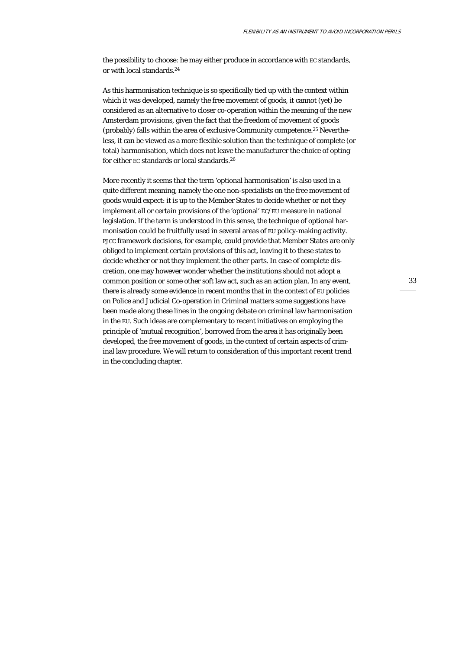the possibility to choose: he may either produce in accordance with EC standards, or with local standards.24

As this harmonisation technique is so specifically tied up with the context within which it was developed, namely the free movement of goods, it cannot (yet) be considered as an alternative to closer co-operation within the meaning of the new Amsterdam provisions, given the fact that the freedom of movement of goods (probably) falls within the area of *exclusive* Community competence.25 Nevertheless, it can be viewed as a more flexible solution than the technique of complete (or total) harmonisation, which does not leave the manufacturer the choice of opting for either EC standards or local standards.26

More recently it seems that the term 'optional harmonisation' is also used in a quite different meaning, namely the one non-specialists on the free movement of goods would expect: it is up to the Member States to decide whether or not they implement all or certain provisions of the 'optional' EC/EU measure in national legislation. If the term is understood in this sense, the technique of optional harmonisation could be fruitfully used in several areas of EU policy-making activity. PJCC framework decisions, for example, could provide that Member States are only obliged to implement certain provisions of this act, leaving it to these states to decide whether or not they implement the other parts. In case of complete discretion, one may however wonder whether the institutions should not adopt a common position or some other soft law act, such as an action plan. In any event, there is already some evidence in recent months that in the context of EU policies on Police and Judicial Co-operation in Criminal matters some suggestions have been made along these lines in the ongoing debate on criminal law harmonisation in the EU. Such ideas are complementary to recent initiatives on employing the principle of 'mutual recognition', borrowed from the area it has originally been developed, the free movement of goods, in the context of certain aspects of criminal law procedure. We will return to consideration of this important recent trend in the concluding chapter.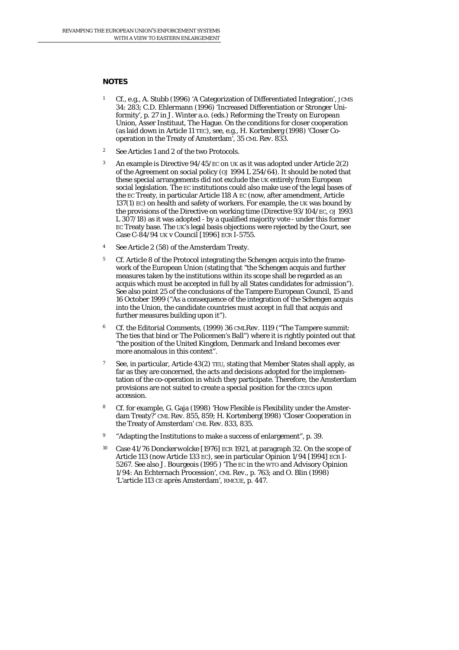#### **NOTES**

- 1 Cf., e.g., A. Stubb (1996) 'A Categorization of Differentiated Integration', *JCMS* 34: 283; C.D. Ehlermann (1996) 'Increased Differentiation or Stronger Uniformity', p. 27 in J. Winter a.o. (eds.) *Reforming the Treaty on European Union*, Asser Instituut, The Hague. On the conditions for closer cooperation (as laid down in Article 11 TEC), see, e.g., H. Kortenberg (1998) 'Closer Cooperation in the Treaty of Amsterdam', 35 *CML Rev.* 833.
- 2 See Articles 1 and 2 of the two Protocols.
- An example is Directive 94/45/EC on UK as it was adopted under Article 2(2) of the Agreement on social policy (*OJ* 1994 L 254/64). It should be noted that these special arrangements did not exclude the UK entirely from European social legislation. The EC institutions could also make use of the legal bases of the EC Treaty, in particular Article 118 A EC (now, after amendment, Article 137(1) EC) on health and safety of workers. For example, the UK was bound by the provisions of the Directive on working time (Directive 93/104/EC, *OJ* 1993 L 307/18) as it was adopted - by a qualified majority vote - under this former EC Treaty base. The UK's legal basis objections were rejected by the Court, see Case C-84/94 *UK* v *Council* [1996] ECR I-5755.
- 4 See Article 2 (58) of the Amsterdam Treaty.
- <sup>5</sup> Cf. Article 8 of the Protocol integrating the Schengen acquis into the framework of the European Union (stating that "the Schengen acquis and further measures taken by the institutions within its scope shall be regarded as an acquis which must be accepted in full by all States candidates for admission"). See also point 25 of the conclusions of the Tampere European Council, 15 and 16 October 1999 ("As a consequence of the integration of the Schengen acquis into the Union, the candidate countries must accept in full that acquis and further measures building upon it").
- 6 Cf. the Editorial Comments, (1999) 36 *CMLRev.* 1119 ("The Tampere summit: The ties that bind *or* The Policemen's Ball") where it is rightly pointed out that "the position of the United Kingdom, Denmark and Ireland becomes ever more anomalous in this context".
- 7 See, in particular, Article 43(2) TEU, stating that Member States shall apply, as far as they are concerned, the acts and decisions adopted for the implementation of the co-operation in which they participate. Therefore, the Amsterdam provisions are not suited to create a special position for the CEECs *upon* accession.
- Cf. for example, G. Gaja (1998) 'How Flexible is Flexibility under the Amsterdam Treaty?' CML Rev. 855, 859; H. Kortenberg(1998) 'Closer Cooperation in the Treaty of Amsterdam' *CML Rev.* 833, 835.
- <sup>9</sup> "Adapting the Institutions to make a success of enlargement", p. 39.
- 10 Case 41/76 *Donckerwolcke* [1976] ECR 1921, at paragraph 32. On the scope of Article 113 (now Article 133 EC), see in particular Opinion 1/94 [1994] ECR I-5267. See also J. Bourgeois (1995 ) 'The EC in the WTO and Advisory Opinion 1/94: An Echternach Procession', *CML Rev.*, p. 763; and O. Blin (1998) 'L'article 113 CE après Amsterdam', *RMCUE*, p. 447.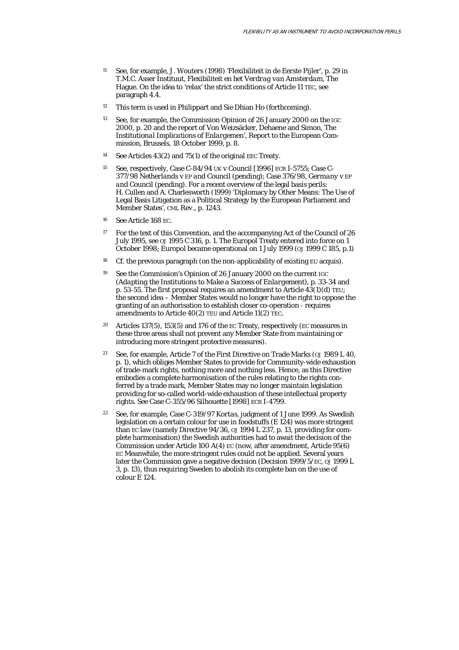- 11 See, for example, J. Wouters (1998) 'Flexibiliteit in de Eerste Pijler', p. 29 in T.M.C. Asser Instituut, *Flexibiliteit en het Verdrag van Amsterdam,* The Hague. On the idea to 'relax' the strict conditions of Article 11 TEC, see paragraph 4.4.
- 12 This term is used in Philippart and Sie Dhian Ho (forthcoming).
- <sup>13</sup> See, for example, the Commission Opinion of 26 January 2000 on the IGC 2000, p. 20 and the report of Von Weizsäcker, Dehaene and Simon, *The Institutional Implications of Enlargemen*', Report to the European Commission, Brussels, 18 October 1999, p. 8.
- 14 See Articles 43(2) and 75(1) of the original *EEC* Treaty.
- 15 See, respectively, Case C-84/94 *UK* v *Council* [1996] ECR I-5755; Case C-377/98 *Netherlands* v *EP and Council* (pending); Case 376/98, *Germany* v *EP and Council* (pending). For a recent overview of the legal basis perils: H. Cullen and A. Charlesworth (1999) 'Diplomacy by Other Means: The Use of Legal Basis Litigation as a Political Strategy by the European Parliament and Member States', *CML Rev.*, p. 1243.
- 16 See Article 168 EC.
- <sup>17</sup> For the text of this Convention, and the accompanying Act of the Council of 26 July 1995, see *OJ* 1995 C 316, p. 1. The Europol Treaty entered into force on 1 October 1998; Europol became operational on 1 July 1999 (*OJ* 1999 C 185, p.1)
- <sup>18</sup> Cf. the previous paragraph (on the non-applicability of existing EU acquis).
- 19 See the Commission's Opinion of 26 January 2000 on the current IGC *(Adapting the Institutions to Make a Success of Enlargement*), p. 33-34 and p. 53-55. The first proposal requires an amendment to Article  $43(1)(d)$  TEU; the second idea – Member States would no longer have the right to oppose the granting of an authorisation to establish closer co-operation - requires amendments to Article 40(2) TEU and Article 11(2) TEC.
- Articles 137(5), 153(5) and 176 of the EC Treaty, respectively (EC measures in these three areas shall not prevent any Member State from maintaining or introducing more stringent protective measures).
- 21 See, for example, Article 7 of the First Directive on Trade Marks (*OJ* 1989 L 40, p. 1), which obliges Member States to provide for Community-wide exhaustion of trade-mark rights, nothing more and nothing less. Hence, as this Directive embodies a *complete* harmonisation of the rules relating to the rights conferred by a trade mark, Member States may no longer maintain legislation providing for so-called world-wide exhaustion of these intellectual property rights. See Case C-355/96 *Silhouette* [1998] ECR I-4799.
- 22 See, for example, Case C-319/97 *Kortas*, judgment of 1 June 1999. As Swedish legislation on a certain colour for use in foodstuffs (E 124) was more stringent than EC law (namely Directive 94/36, *OJ* 1994 L 237, p. 13, providing for complete harmonisation) the Swedish authorities had to await the decision of the Commission under Article 100 A(4) EC (now, after amendment, Article 95(6) EC Meanwhile, the more stringent rules could not be applied. Several years later the Commission gave a negative decision (Decision 1999/5/EC*, OJ* 1999 L 3, p. 13), thus requiring Sweden to abolish its complete ban on the use of colour E 124.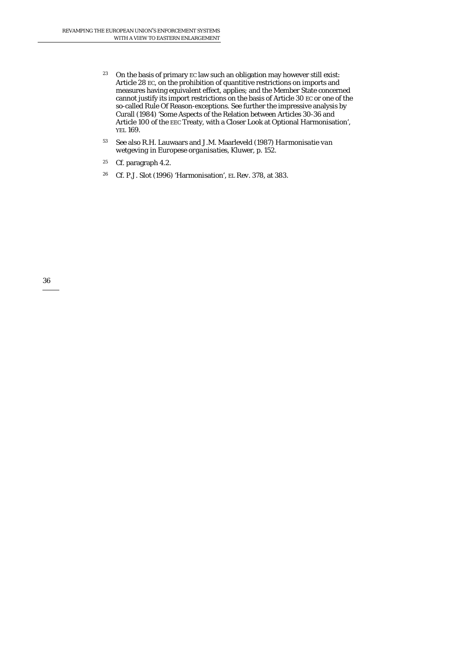- <sup>23</sup> On the basis of primary EC law such an obligation may however still exist: Article 28 EC, on the prohibition of quantitive restrictions on imports and measures having equivalent effect, applies; and the Member State concerned cannot justify its import restrictions on the basis of Article 30 EC or one of the so-called Rule Of Reason-exceptions. See further the impressive analysis by Curall (1984) 'Some Aspects of the Relation between Articles 30-36 and Article 100 of the EEC Treaty, with a Closer Look at Optional Harmonisation', *YEL* 169.
- 53 See also R.H. Lauwaars and J.M. Maarleveld (1987) *Harmonisatie van wetgeving in Europese organisaties,* Kluwer, p. 152.
- 25 Cf. paragraph 4.2.
- 26 Cf. P.J. Slot (1996*)* 'Harmonisation', *EL Rev*. 378, at 383.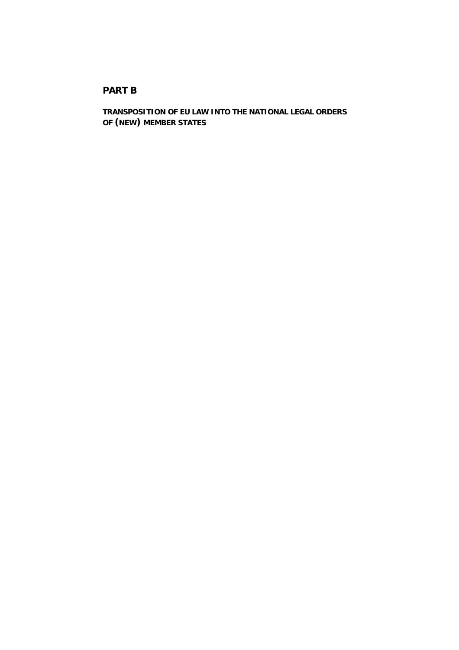# **PART B**

**TRANSPOSITION OF EU LAW INTO THE NATIONAL LEGAL ORDERS OF (NEW) MEMBER STATES**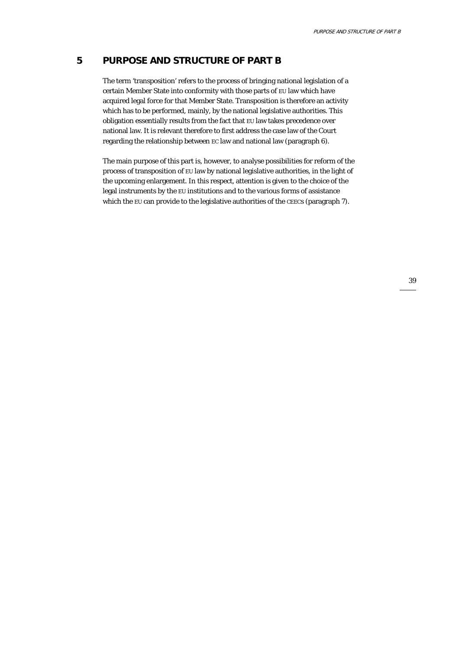# **5 PURPOSE AND STRUCTURE OF PART B**

The term 'transposition' refers to the process of bringing national legislation of a certain Member State into conformity with those parts of EU law which have acquired legal force for that Member State. Transposition is therefore an activity which has to be performed, mainly, by the national legislative authorities. This obligation essentially results from the fact that EU law takes precedence over national law. It is relevant therefore to first address the case law of the Court regarding the relationship between EC law and national law (paragraph 6).

The main purpose of this part is, however, to analyse possibilities for reform of the process of transposition of EU law by national legislative authorities, in the light of the upcoming enlargement. In this respect, attention is given to the choice of the legal instruments by the EU institutions and to the various forms of assistance which the EU can provide to the legislative authorities of the CEECs (paragraph 7).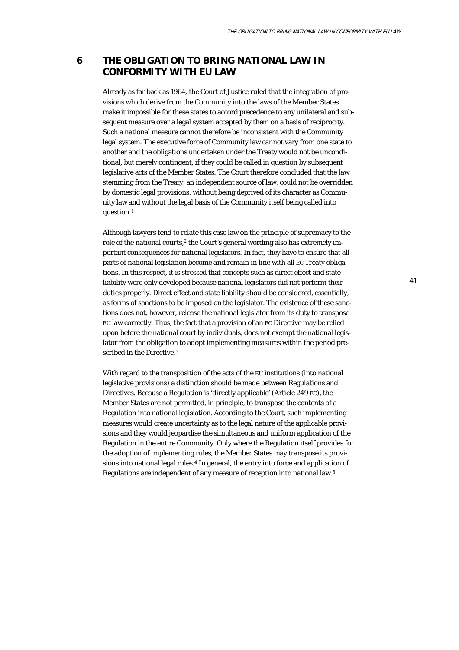# **6 THE OBLIGATION TO BRING NATIONAL LAW IN CONFORMITY WITH EU LAW**

Already as far back as 1964, the Court of Justice ruled that the integration of provisions which derive from the Community into the laws of the Member States make it impossible for these states to accord precedence to any unilateral and subsequent measure over a legal system accepted by them on a basis of reciprocity. Such a national measure cannot therefore be inconsistent with the Community legal system. The executive force of Community law cannot vary from one state to another and the obligations undertaken under the Treaty would not be unconditional, but merely contingent, if they could be called in question by subsequent legislative acts of the Member States. The Court therefore concluded that the law stemming from the Treaty, an independent source of law, could not be overridden by domestic legal provisions, without being deprived of its character as Community law and without the legal basis of the Community itself being called into question.1

Although lawyers tend to relate this case law on the principle of supremacy to the role of the national *courts*,<sup>2</sup> the Court's general wording also has extremely important consequences for national legislators. In fact, they have to ensure that all parts of national legislation become *and* remain in line with all EC Treaty obligations. In this respect, it is stressed that concepts such as direct effect and state liability were only developed because national legislators did not perform their duties properly. Direct effect and state liability should be considered, essentially, as forms of sanctions to be imposed on the legislator. The existence of these sanctions does not, however, release the national legislator from its duty to transpose EU law correctly. Thus, the fact that a provision of an EC Directive may be relied upon before the national court by individuals, does not exempt the national legislator from the obligation to adopt implementing measures within the period prescribed in the Directive.<sup>3</sup>

With regard to the transposition of the acts of the EU institutions (into national legislative provisions) a distinction should be made between Regulations and Directives. Because a Regulation is 'directly applicable' (Article 249 EC), the Member States are not permitted, in principle, to transpose the contents of a Regulation into national legislation. According to the Court, such implementing measures would create uncertainty as to the legal nature of the applicable provisions and they would jeopardise the simultaneous and uniform application of the Regulation in the entire Community. Only where the Regulation itself provides for the adoption of implementing rules, the Member States may transpose its provisions into national legal rules.4 In general, the entry into force and application of Regulations are *independent* of any measure of reception into national law.5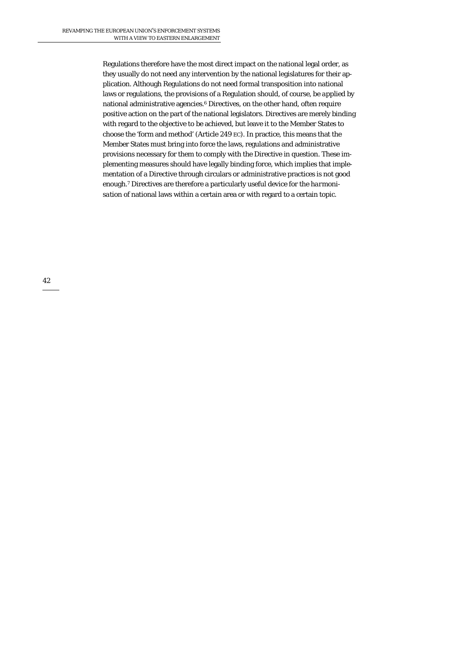Regulations therefore have the most direct impact on the national legal order, as they usually do not need any intervention by the national legislatures for their application. Although Regulations do not need formal transposition into national laws or regulations, the provisions of a Regulation should, of course, be *applied* by national administrative agencies.<sup>6</sup> Directives, on the other hand, often require positive action on the part of the national legislators. Directives are merely binding with regard to the objective to be achieved, but leave it to the Member States to choose the 'form and method' (Article 249 EC). In practice, this means that the Member States must bring into force the laws, regulations and administrative provisions necessary for them to comply with the Directive in question. These implementing measures should have legally binding force, which implies that implementation of a Directive through circulars or administrative practices is not good enough.7 Directives are therefore a particularly useful device for the *harmonisation* of national laws within a certain area or with regard to a certain topic.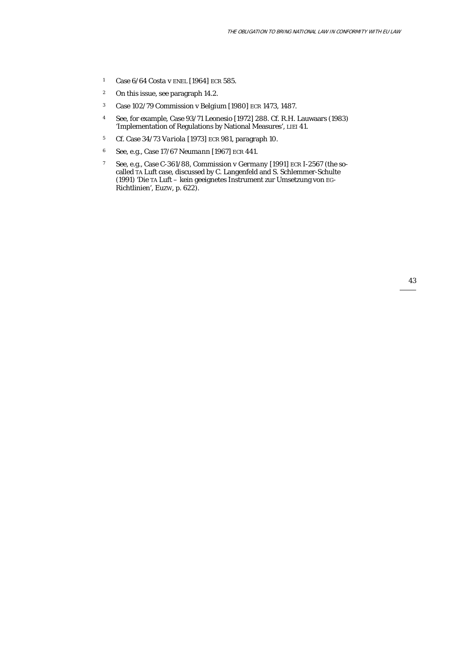- 1 Case 6/64 *Costa* v *ENEL* [1964] ECR 585.
- 2 On this issue, see paragraph 14.2.
- 3 Case 102/79 *Commission* v *Belgium* [1980] ECR 1473, 1487.
- 4 See, for example, Case 93/71 *Leonesio* [1972] 288. Cf. R.H. Lauwaars (1983) 'Implementation of Regulations by National Measures', *LIEI* 41.
- 5 Cf. Case 34/73 *Variola* [1973] ECR 981, paragraph 10.
- 6 See, e.g., Case 17/67 *Neumann* [1967] ECR 441.
- 7 See, e.g., Case C-361/88, *Commission v Germany* [1991] ECR I-2567 (the socalled TA Luft case, discussed by C. Langenfeld and S. Schlemmer-Schulte (1991) 'Die TA Luft – kein geeignetes Instrument zur Umsetzung von EG-Richtlinien', *EuZW*, p. 622).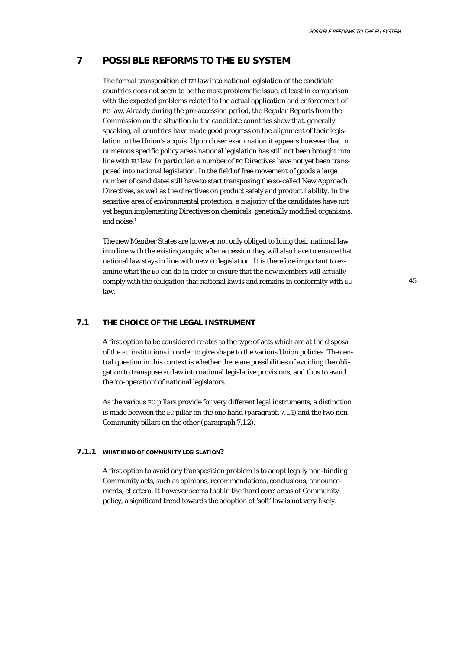# **7 POSSIBLE REFORMS TO THE EU SYSTEM**

The formal transposition of EU law into national legislation of the candidate countries does not seem to be the most problematic issue, at least in comparison with the expected problems related to the actual application and enforcement of EU law. Already during the pre-accession period, the Regular Reports from the Commission on the situation in the candidate countries show that, generally speaking, all countries have made good progress on the alignment of their legislation to the Union's acquis. Upon closer examination it appears however that in numerous specific policy areas national legislation has still not been brought into line with EU law. In particular, a number of EC Directives have not yet been transposed into national legislation. In the field of free movement of goods a large number of candidates still have to start transposing the so-called New Approach Directives, as well as the directives on product safety and product liability. In the sensitive area of environmental protection, a majority of the candidates have not yet begun implementing Directives on chemicals, genetically modified organisms, and noise.1

The new Member States are however not only obliged to bring their national law into line with the existing acquis; after accession they will also have to ensure that national law stays in line with new EC legislation. It is therefore important to examine what the EU can do in order to ensure that the new members will actually comply with the obligation that national law is and remains in conformity with EU law.

45

### **7.1 THE CHOICE OF THE LEGAL INSTRUMENT**

A first option to be considered relates to the type of acts which are at the disposal of the EU institutions in order to give shape to the various Union policies. The central question in this context is whether there are possibilities of avoiding the obligation to transpose EU law into national legislative provisions, and thus to avoid the 'co-operation' of national legislators.

As the various EU pillars provide for very different legal instruments, a distinction is made between the EC pillar on the one hand (paragraph 7.1.1) and the two non-Community pillars on the other (paragraph 7.1.2).

#### **7.1.1 WHAT KIND OF COMMUNITY LEGISLATION?**

A first option to avoid any transposition problem is to adopt legally non-binding Community acts, such as opinions, recommendations, conclusions, announcements, et cetera. It however seems that in the 'hard core' areas of Community policy, a significant trend towards the adoption of 'soft' law is not very likely.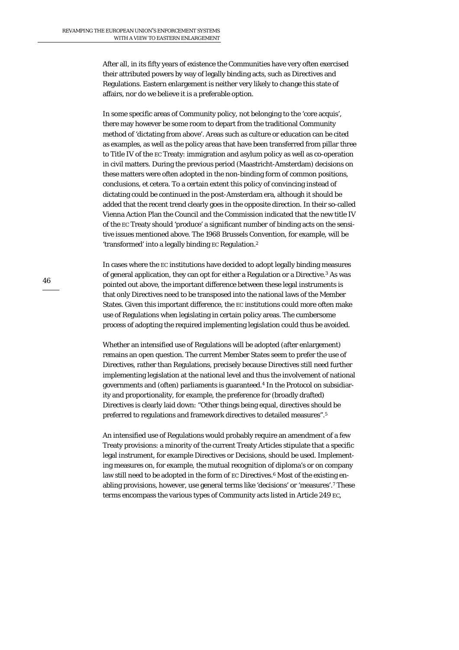After all, in its fifty years of existence the Communities have very often exercised their attributed powers by way of legally binding acts, such as Directives and Regulations. Eastern enlargement is neither very likely to change this state of affairs, nor do we believe it is a preferable option.

In some specific areas of Community policy, not belonging to the 'core acquis', there may however be some room to depart from the traditional Community method of 'dictating from above'. Areas such as culture or education can be cited as examples, as well as the policy areas that have been transferred from pillar three to Title IV of the EC Treaty: immigration and asylum policy as well as co-operation in civil matters. During the previous period (Maastricht-Amsterdam) decisions on these matters were often adopted in the non-binding form of common positions, conclusions, et cetera. To a certain extent this policy of convincing instead of dictating could be continued in the post-Amsterdam era, although it should be added that the recent trend clearly goes in the opposite direction. In their so-called Vienna Action Plan the Council and the Commission indicated that the new title IV of the EC Treaty should 'produce' a significant number of binding acts on the sensitive issues mentioned above. The 1968 Brussels Convention, for example, will be 'transformed' into a legally binding EC Regulation.2

In cases where the EC institutions have decided to adopt legally binding measures of general application, they can opt for either a Regulation or a Directive.3 As was pointed out above, the important difference between these legal instruments is that only Directives need to be transposed into the national laws of the Member States. Given this important difference, the EC institutions could more often make use of Regulations when legislating in certain policy areas. The cumbersome process of adopting the required implementing legislation could thus be avoided.

Whether an intensified use of Regulations will be adopted (after enlargement) remains an open question. The current Member States seem to prefer the use of Directives, rather than Regulations, precisely because Directives still need further implementing legislation at the national level and thus the involvement of national governments and (often) parliaments is guaranteed.4 In the Protocol on subsidiarity and proportionality, for example, the preference for (broadly drafted) Directives is clearly laid down: "Other things being equal, directives should be preferred to regulations and framework directives to detailed measures".5

An intensified use of Regulations would probably require an amendment of a few Treaty provisions: a minority of the current Treaty Articles stipulate that a specific legal instrument, for example Directives or Decisions, should be used. Implementing measures on, for example, the mutual recognition of diploma's or on company law still need to be adopted in the form of EC Directives.<sup>6</sup> Most of the existing enabling provisions, however, use general terms like 'decisions' or 'measures'.7 These terms encompass the various types of Community acts listed in Article 249 EC,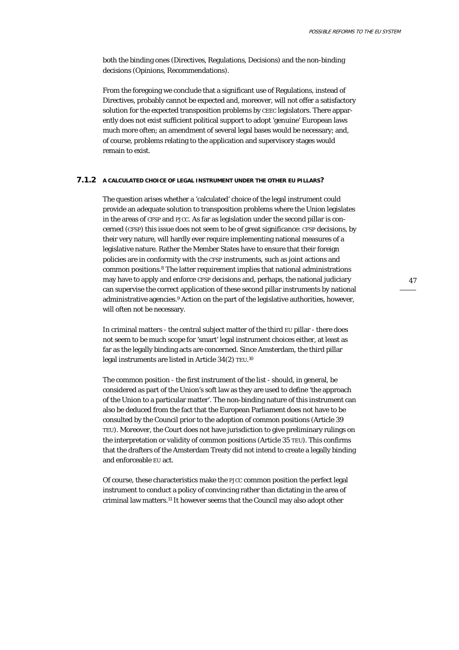both the binding ones (Directives, Regulations, Decisions) and the non-binding decisions (Opinions, Recommendations).

From the foregoing we conclude that a significant use of Regulations, instead of Directives, probably cannot be expected and, moreover, will not offer a satisfactory solution for the expected transposition problems by CEEC legislators. There apparently does not exist sufficient political support to adopt 'genuine' European laws much more often; an amendment of several legal bases would be necessary; and, of course, problems relating to the application and supervisory stages would remain to exist.

#### **7.1.2 A CALCULATED CHOICE OF LEGAL INSTRUMENT UNDER THE OTHER EU PILLARS?**

The question arises whether a 'calculated' choice of the legal instrument could provide an adequate solution to transposition problems where the Union legislates in the areas of CFSP and PJCC. As far as legislation under the *second* pillar is concerned (CFSP) this issue does not seem to be of great significance: CFSP decisions, by their very nature, will hardly ever require implementing national measures of a legislative nature. Rather the Member States have to ensure that their foreign policies are in conformity with the CFSP instruments, such as joint actions and common positions.8 The latter requirement implies that national administrations may have to apply and enforce CFSP decisions and, perhaps, the national judiciary can supervise the correct application of these second pillar instruments by national administrative agencies.9 Action on the part of the legislative authorities, however, will often not be necessary.

In criminal matters - the central subject matter of the third EU pillar - there does not seem to be much scope for 'smart' legal instrument choices either, at least as far as the legally binding acts are concerned. Since Amsterdam, the third pillar legal instruments are listed in Article 34(2) TEU. 10

The *common position* - the first instrument of the list - should, in general, be considered as part of the Union's soft law as they are used to define 'the approach of the Union to a particular matter'. The non-binding nature of this instrument can also be deduced from the fact that the European Parliament does not have to be consulted by the Council prior to the adoption of common positions (Article 39 TEU). Moreover, the Court does not have jurisdiction to give preliminary rulings on the interpretation or validity of common positions (Article 35 TEU). This confirms that the drafters of the Amsterdam Treaty did not intend to create a legally binding and enforceable EU act.

Of course, these characteristics make the PJCC common position the perfect legal instrument to conduct a policy of convincing rather than dictating in the area of criminal law matters.11 It however seems that the Council may also adopt other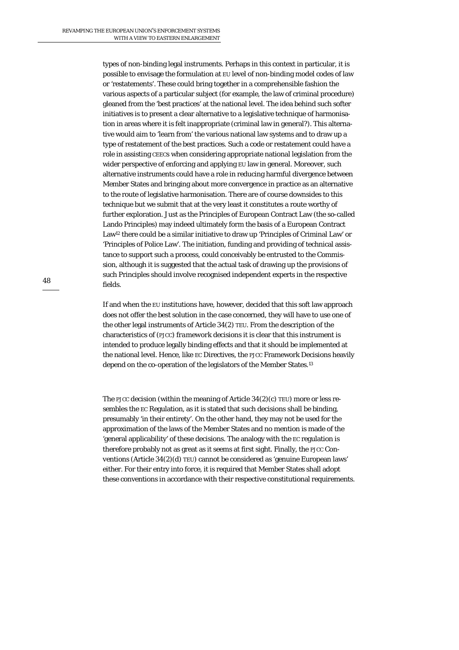types of non-binding legal instruments. Perhaps in this context in particular, it is possible to envisage the formulation at EU level of non-binding model codes of law or 'restatements'. These could bring together in a comprehensible fashion the various aspects of a particular subject (for example, the law of criminal procedure) gleaned from the 'best practices' at the national level. The idea behind such softer initiatives is to present a clear alternative to a legislative technique of harmonisation in areas where it is felt inappropriate (criminal law in general?). This alternative would aim to 'learn from' the various national law systems and to draw up a type of restatement of the best practices. Such a code or restatement could have a role in assisting CEECs when considering appropriate national legislation from the wider perspective of enforcing and applying EU law in general. Moreover, such alternative instruments could have a role in reducing harmful divergence between Member States and bringing about more convergence in practice as an alternative to the route of legislative harmonisation. There are of course downsides to this technique but we submit that at the very least it constitutes a route worthy of further exploration. Just as the Principles of European Contract Law (the so-called Lando Principles) may indeed ultimately form the basis of a European Contract Law12 there could be a similar initiative to draw up 'Principles of Criminal Law' or 'Principles of Police Law'. The initiation, funding and providing of technical assistance to support such a process, could conceivably be entrusted to the Commission, although it is suggested that the actual task of drawing up the provisions of such Principles should involve recognised independent experts in the respective fields.

If and when the EU institutions have, however, decided that this soft law approach does *not* offer the best solution in the case concerned, they will have to use one of the other legal instruments of Article 34(2) TEU. From the description of the characteristics of (PJCC) *framework decisions* it is clear that this instrument is intended to produce legally binding effects and that it should be implemented at the national level. Hence, like EC Directives, the PJCC Framework Decisions heavily depend on the co-operation of the legislators of the Member States.13

The PJCC *decision* (within the meaning of Article 34(2)(c) TEU) more or less resembles the EC Regulation, as it is stated that such decisions shall be binding, presumably 'in their entirety'. On the other hand, they may not be used for the approximation of the laws of the Member States and no mention is made of the 'general applicability' of these decisions. The analogy with the EC regulation is therefore probably not as great as it seems at first sight. Finally, the PJCC *Conventions* (Article 34(2)(d) TEU) cannot be considered as 'genuine European laws' either. For their entry into force, it is required that Member States shall adopt these conventions in accordance with their respective constitutional requirements.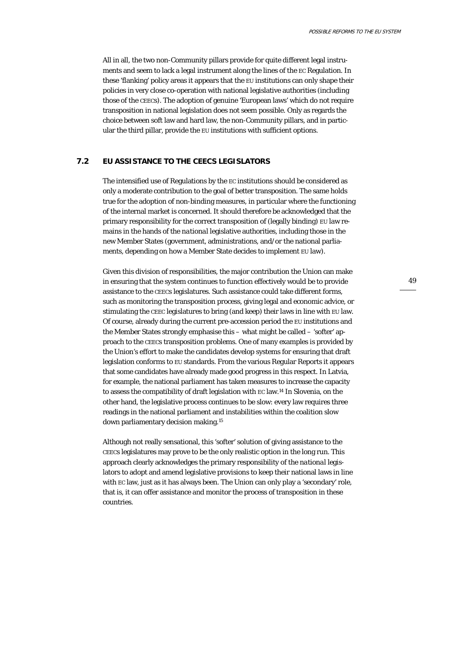All in all, the two non-Community pillars provide for quite different legal instruments and seem to lack a legal instrument along the lines of the EC Regulation. In these 'flanking' policy areas it appears that the EU institutions can only shape their policies in very close co-operation with national legislative authorities (including those of the CEECs). The adoption of genuine 'European laws' which do not require transposition in national legislation does not seem possible. Only as regards the choice between soft law and hard law, the non-Community pillars, and in particular the third pillar, provide the EU institutions with sufficient options.

#### **7.2 EU ASSISTANCE TO THE CEECS LEGISLATORS**

The intensified use of Regulations by the EC institutions should be considered as only a moderate contribution to the goal of better transposition. The same holds true for the adoption of non-binding measures, in particular where the functioning of the internal market is concerned. It should therefore be acknowledged that the primary responsibility for the correct transposition of (legally binding) EU law remains in the hands of the *national* legislative authorities, including those in the new Member States (government, administrations, and/or the national parliaments, depending on how a Member State decides to implement EU law).

Given this division of responsibilities, the major contribution the Union can make in ensuring that the system continues to function effectively would be to provide assistance to the CEECs legislatures. Such assistance could take different forms, such as monitoring the transposition process, giving legal and economic advice, or stimulating the CEEC legislatures to bring (and keep) their laws in line with EU law. Of course, already during the current pre-accession period the EU institutions and the Member States strongly emphasise this – what might be called – 'softer' approach to the CEECs transposition problems. One of many examples is provided by the Union's effort to make the candidates develop systems for ensuring that draft legislation conforms to EU standards. From the various Regular Reports it appears that some candidates have already made good progress in this respect. In Latvia, for example, the national parliament has taken measures to increase the capacity to assess the compatibility of draft legislation with EC law.14 In Slovenia, on the other hand, the legislative process continues to be slow: every law requires three readings in the national parliament and instabilities within the coalition slow down parliamentary decision making.15

Although not really sensational, this 'softer' solution of giving assistance to the CEECs legislatures may prove to be the only realistic option in the long run. This approach clearly acknowledges the primary responsibility of the *national* legislators to adopt and amend legislative provisions to keep their national laws in line with EC law, just as it has always been. The Union can only play a 'secondary' role, that is, it can offer assistance and monitor the process of transposition in these countries.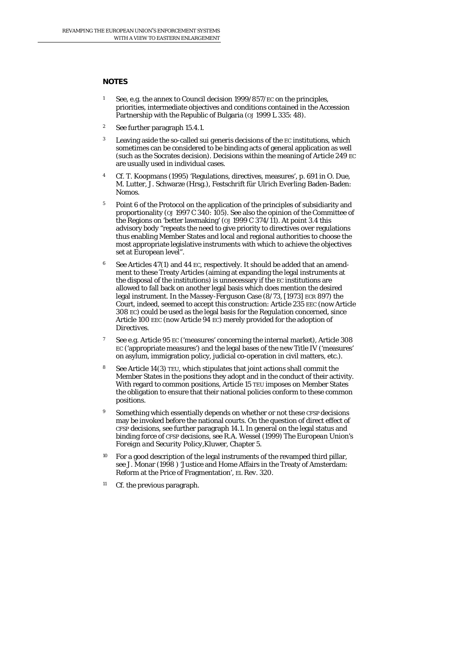#### **NOTES**

- 1 See, e.g. the annex to Council decision 1999/857/EC on the principles, priorities, intermediate objectives and conditions contained in the Accession Partnership with the Republic of Bulgaria (*OJ* 1999 L 335: 48).
- 2 See further paragraph 15.4.1.
- 3 Leaving aside the so-called *sui generis* decisions of the EC institutions, which sometimes can be considered to be binding acts of general application as well (such as the Socrates decision). Decisions within the meaning of Article 249 EC are usually used in individual cases.
- 4 Cf. T. Koopmans (1995) 'Regulations, directives, measures', p. 691 in O. Due, M. Lutter, J. Schwarze (Hrsg.), *Festschrift für Ulrich Everling* Baden-Baden: Nomos.
- <sup>5</sup> Point 6 of the Protocol on the application of the principles of subsidiarity and proportionality (*OJ* 1997 C 340: 105). See also the opinion of the Committee of the Regions on 'better lawmaking' (*OJ* 1999 C 374/11). At point 3.4 this advisory body "repeats the need to give priority to directives over regulations thus enabling Member States and local and regional authorities to choose the most appropriate legislative instruments with which to achieve the objectives set at European level".
- <sup>6</sup> See Articles 47(1) and 44 EC, respectively. It should be added that an amendment to these Treaty Articles (aiming at expanding the legal instruments at the disposal of the institutions) is unnecessary if the EC institutions are allowed to fall back on another legal basis which *does* mention the desired legal instrument. In the *Massey-Ferguson* Case (8/73, [1973] ECR 897) the Court, indeed, seemed to accept this construction: Article 235 EEC (now Article 308 EC) could be used as the legal basis for the *Regulation* concerned, since Article 100 EEC (now Article 94 EC) merely provided for the adoption of *Directives*.
- 7 See e.g. Article 95 EC ('measures' concerning the internal market), Article 308 EC ('appropriate measures') and the legal bases of the new Title IV ('measures' on asylum, immigration policy, judicial co-operation in civil matters, etc.).
- 8 See Article 14(3) TEU, which stipulates that joint actions shall commit the Member States in the positions they adopt and in the conduct of their activity. With regard to common positions, Article 15 TEU imposes on Member States the obligation to ensure that their national policies conform to these common positions.
- Something which essentially depends on whether or not these CFSP decisions may be invoked before the national courts. On the question of direct effect of CFSP decisions, see further paragraph 14.1. In general on the legal status and binding force of CFSP decisions, see R.A. Wessel (1999) *The European Union's Foreign and Security Policy*,Kluwer, Chapter 5.
- $10$  For a good description of the legal instruments of the revamped third pillar, see J. Monar (1998 ) 'Justice and Home Affairs in the Treaty of Amsterdam: Reform at the Price of Fragmentation', *EL Rev.* 320.
- 11 Cf. the previous paragraph.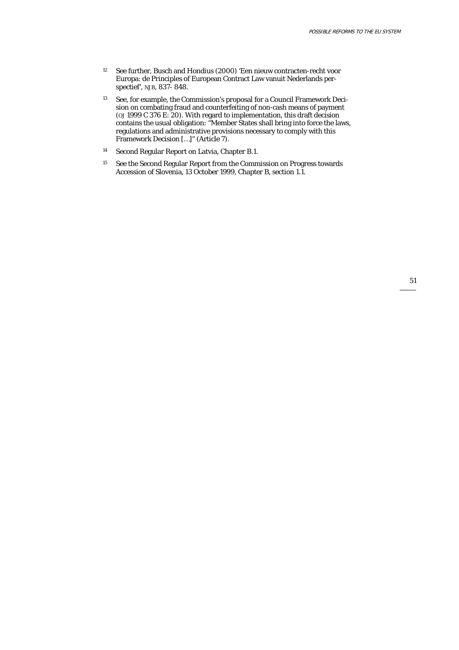- 12 See further, Busch and Hondius (2000) 'Een nieuw contracten-recht voor Europa: de Principles of European Contract Law vanuit Nederlands perspectief', *NJB*, 837- 848.
- <sup>13</sup> See, for example, the Commission's proposal for a Council Framework Decision on combating fraud and counterfeiting of non-cash means of payment (*OJ* 1999 C 376 E: 20). With regard to implementation, this draft decision contains the usual obligation: "Member States shall bring into force the laws, regulations and administrative provisions necessary to comply with this Framework Decision […]" (Article 7).
- 14 Second Regular Report on Latvia, Chapter B.1.
- <sup>15</sup> See the Second Regular Report from the Commission on Progress towards Accession of Slovenia, 13 October 1999, Chapter B, section 1.1.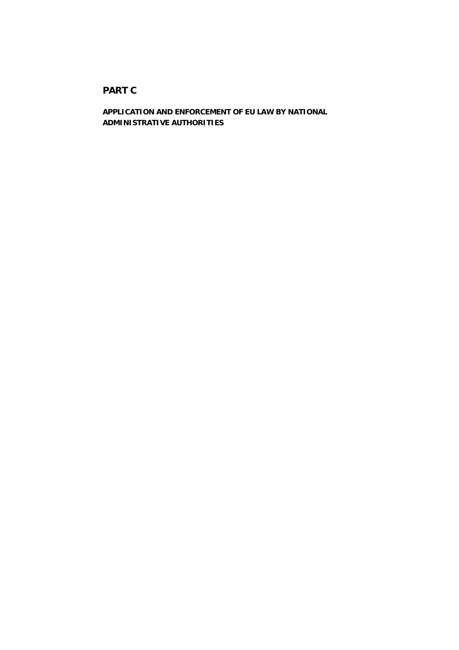# **PART C**

**APPLICATION AND ENFORCEMENT OF EU LAW BY NATIONAL ADMINISTRATIVE AUTHORITIES**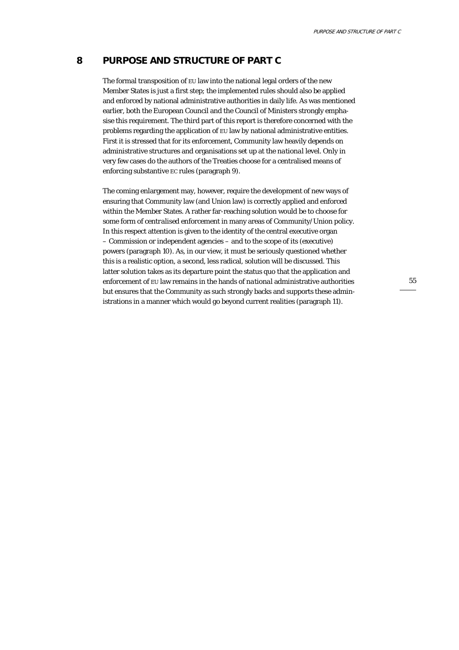# **8 PURPOSE AND STRUCTURE OF PART C**

The formal transposition of EU law into the national legal orders of the new Member States is just a first step; the implemented rules should also be applied and enforced by national administrative authorities in daily life. As was mentioned earlier, both the European Council and the Council of Ministers strongly emphasise this requirement. The third part of this report is therefore concerned with the problems regarding the application of EU law by national administrative entities. First it is stressed that for its enforcement, Community law heavily depends on administrative structures and organisations set up at the *national* level. Only in very few cases do the authors of the Treaties choose for a centralised means of enforcing substantive EC rules (paragraph 9).

The coming enlargement may, however, require the development of new ways of ensuring that Community law (and Union law) is correctly applied and enforced within the Member States. A rather far-reaching solution would be to choose for some form of *centralised* enforcement in many areas of Community/Union policy. In this respect attention is given to the identity of the central executive organ – Commission or independent agencies – and to the scope of its (executive) powers (paragraph 10). As, in our view, it must be seriously questioned whether this is a realistic option, a second, less radical, solution will be discussed. This latter solution takes as its departure point the status quo that the application and enforcement of EU law remains in the hands of *national* administrative authorities but ensures that the Community as such strongly backs and supports these administrations in a manner which would go beyond current realities (paragraph 11).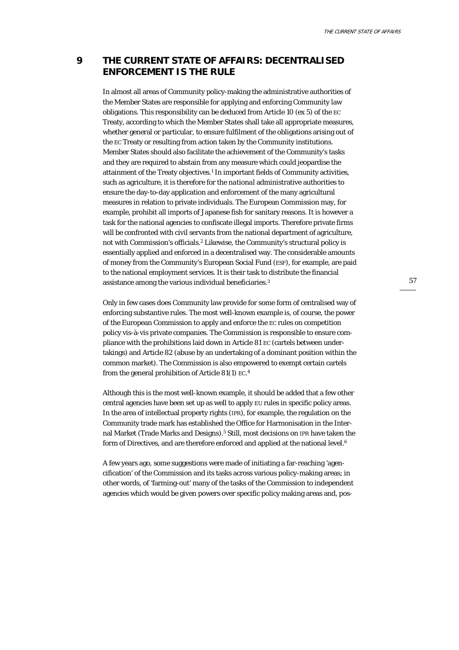# **9 THE CURRENT STATE OF AFFAIRS: DECENTRALISED ENFORCEMENT IS THE RULE**

In almost all areas of Community policy-making the administrative authorities of the Member States are responsible for applying and enforcing Community law obligations. This responsibility can be deduced from Article 10 (ex 5) of the EC Treaty, according to which the Member States shall take all appropriate measures, whether general or particular, to ensure fulfilment of the obligations arising out of the EC Treaty or resulting from action taken by the Community institutions. Member States should also facilitate the achievement of the Community's tasks and they are required to abstain from any measure which could jeopardise the attainment of the Treaty objectives.<sup>1</sup> In important fields of Community activities, such as agriculture, it is therefore for the *national* administrative authorities to ensure the day-to-day application and enforcement of the many agricultural measures in relation to private individuals. The European Commission may, for example, prohibit all imports of Japanese fish for sanitary reasons. It is however a task for the national agencies to confiscate illegal imports. Therefore private firms will be confronted with civil servants from the national department of agriculture, not with Commission's officials.2 Likewise, the Community's structural policy is essentially applied and enforced in a decentralised way. The considerable amounts of money from the Community's European Social Fund (ESF), for example, are paid to the national employment services. It is their task to distribute the financial assistance among the various individual beneficiaries.3

Only in few cases does Community law provide for some form of centralised way of enforcing substantive rules. The most well-known example is, of course, the power of the European Commission to apply and enforce the EC rules on competition policy vis-à-vis private companies. The Commission is responsible to ensure compliance with the prohibitions laid down in Article 81 EC (cartels between undertakings) and Article 82 (abuse by an undertaking of a dominant position within the common market). The Commission is also empowered to exempt certain cartels from the general prohibition of Article 81(1) EC. 4

Although this is the most well-known example, it should be added that a few other central agencies have been set up as well to apply EU rules in specific policy areas. In the area of intellectual property rights (IPR), for example, the regulation on the Community trade mark has established the Office for Harmonisation in the Internal Market (Trade Marks and Designs).5 Still, most decisions on IPR have taken the form of Directives, and are therefore enforced and applied at the national level.6

A few years ago, some suggestions were made of initiating a far-reaching 'agencification' of the Commission and its tasks across various policy-making areas; in other words, of 'farming-out' many of the tasks of the Commission to independent agencies which would be given powers over specific policy making areas and, pos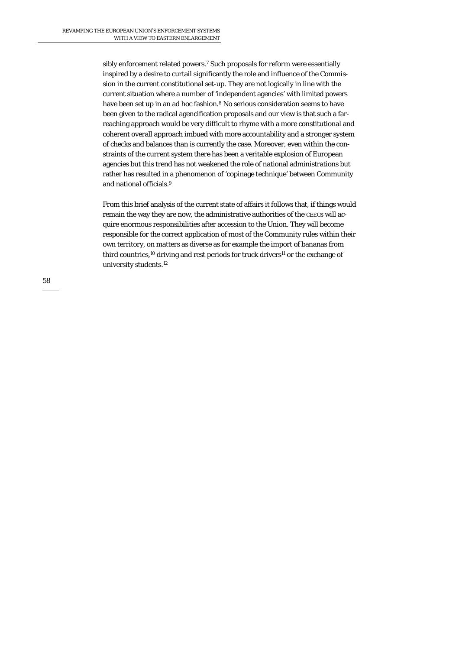sibly enforcement related powers.<sup>7</sup> Such proposals for reform were essentially inspired by a desire to curtail significantly the role and influence of the Commission in the current constitutional set-up. They are not logically in line with the current situation where a number of 'independent agencies' with limited powers have been set up in an ad hoc fashion.<sup>8</sup> No serious consideration seems to have been given to the radical agencification proposals and our view is that such a farreaching approach would be very difficult to rhyme with a more constitutional and coherent overall approach imbued with more accountability and a stronger system of checks and balances than is currently the case. Moreover, even within the constraints of the current system there has been a veritable explosion of European agencies but this trend has not weakened the role of national administrations but rather has resulted in a phenomenon of 'copinage technique' between Community and national officials.9

From this brief analysis of the current state of affairs it follows that, if things would remain the way they are now, the administrative authorities of the CEECs will acquire enormous responsibilities after accession to the Union. They will become responsible for the correct application of most of the Community rules within their own territory, on matters as diverse as for example the import of bananas from third countries,<sup>10</sup> driving and rest periods for truck drivers<sup>11</sup> or the exchange of university students.12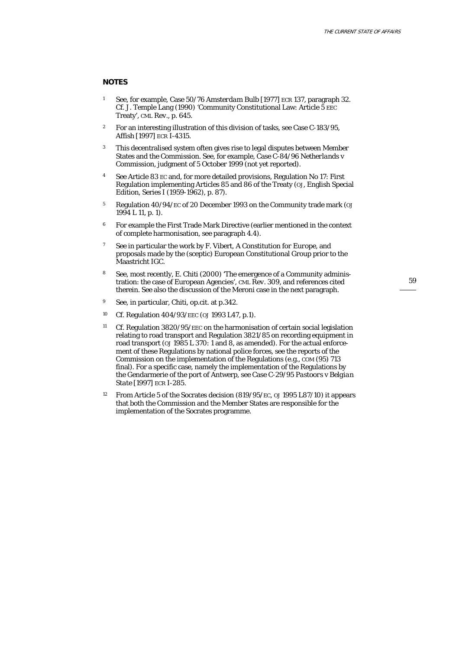#### **NOTES**

- 1 See, for example, Case 50/76 *Amsterdam Bulb* [1977] ECR 137, paragraph 32. Cf. J. Temple Lang (1990) 'Community Constitutional Law: Article 5 EEC Treaty', *CML Rev.*, p. 645.
- <sup>2</sup> For an interesting illustration of this division of tasks, see Case C-183/95, *Affish* [1997] ECR I-4315.
- <sup>3</sup> This decentralised system often gives rise to legal disputes between Member States and the Commission. See, for example, Case C-84/96 *Netherlands* v *Commission*, judgment of 5 October 1999 (not yet reported).
- 4 See Article 83 EC and, for more detailed provisions, Regulation No 17: First Regulation implementing Articles 85 and 86 of the Treaty (*OJ*, English Special Edition, Series I (1959-1962), p. 87).
- 5 Regulation 40/94/EC of 20 December 1993 on the Community trade mark (*OJ* 1994 L 11, p. 1).
- 6 For example the First Trade Mark Directive (earlier mentioned in the context of complete harmonisation, see paragraph 4.4).
- 7 See in particular the work by F. Vibert, *A Constitution for Europe,* and proposals made by the (sceptic) European Constitutional Group prior to the Maastricht IGC.
- 8 See, most recently, E. Chiti (2000) 'The emergence of a Community administration: the case of European Agencies', *CML Rev*. 309, and references cited therein. See also the discussion of the Meroni case in the next paragraph.
- 9 See, in particular, Chiti, *op.cit*. at p.342.
- 10 Cf. Regulation 404/93/EEC (*OJ* 1993 L47, p.1).
- <sup>11</sup> Cf. Regulation 3820/95/EEC on the harmonisation of certain social legislation relating to road transport and Regulation 3821/85 on recording equipment in road transport (*OJ* 1985 L 370: 1 and 8, as amended). For the actual enforcement of these Regulations by national police forces, see the reports of the Commission on the implementation of the Regulations (e.g*., COM* (95) 713 final). For a specific case, namely the implementation of the Regulations by the Gendarmerie of the port of Antwerp, see Case C-29/95 *Pastoors* v *Belgian State* [1997] ECR I-285.
- 12 From Article 5 of the Socrates decision (819/95/EC, *OJ* 1995 L87/10) it appears that both the Commission and the Member States are responsible for the implementation of the Socrates programme.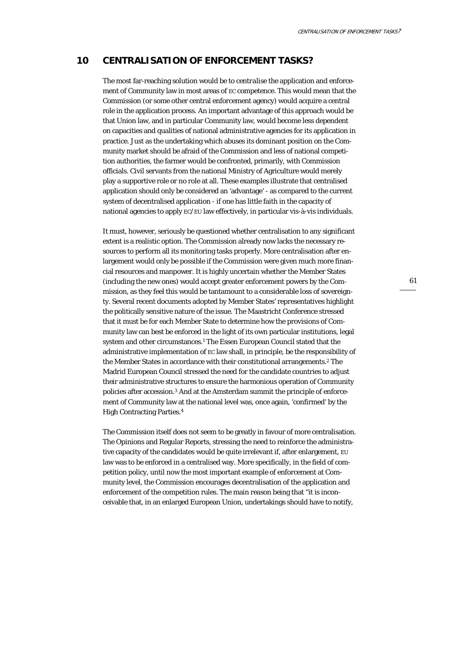## **10 CENTRALISATION OF ENFORCEMENT TASKS?**

The most far-reaching solution would be to *centralise* the application and enforcement of Community law in most areas of EC competence. This would mean that the Commission (or some other central enforcement agency) would acquire a central role in the application process. An important advantage of this approach would be that Union law, and in particular Community law, would become less dependent on capacities and qualities of national administrative agencies for its application in practice. Just as the undertaking which abuses its dominant position on the Community market should be afraid of the Commission and less of national competition authorities, the farmer would be confronted, primarily, with Commission officials. Civil servants from the national Ministry of Agriculture would merely play a supportive role or no role at all. These examples illustrate that centralised application should only be considered an 'advantage' - as compared to the current system of decentralised application - if one has little faith in the capacity of national agencies to apply EC/EU law effectively, in particular vis-à-vis individuals.

It must, however, seriously be questioned whether centralisation to any significant extent is a realistic option. The Commission already now lacks the necessary resources to perform all its monitoring tasks properly. More centralisation after enlargement would only be possible if the Commission were given much more financial resources and manpower. It is highly uncertain whether the Member States (including the new ones) would accept greater enforcement powers by the Commission, as they feel this would be tantamount to a considerable loss of sovereignty. Several recent documents adopted by Member States' representatives highlight the politically sensitive nature of the issue. The Maastricht Conference stressed that it must be for each Member State to determine how the provisions of Community law can best be enforced in the light of its own particular institutions, legal system and other circumstances.<sup>1</sup> The Essen European Council stated that the administrative implementation of EC law shall, in principle, be the responsibility of the Member States in accordance with their constitutional arrangements.2 The Madrid European Council stressed the need for the candidate countries to adjust their administrative structures to ensure the harmonious operation of Community policies after accession.3 And at the Amsterdam summit the principle of enforcement of Community law at the national level was, once again, 'confirmed' by the High Contracting Parties.4

The Commission itself does not seem to be greatly in favour of more centralisation. The Opinions and Regular Reports, stressing the need to reinforce the administrative capacity of the candidates would be quite irrelevant if, after enlargement, EU law was to be enforced in a centralised way. More specifically, in the field of competition policy, until now the most important example of enforcement at Community level, the Commission encourages decentralisation of the application and enforcement of the competition rules. The main reason being that "it is inconceivable that, in an enlarged European Union, undertakings should have to notify,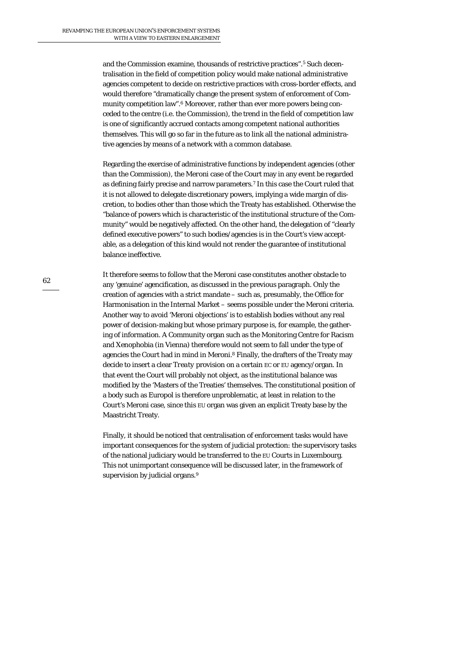and the Commission examine, thousands of restrictive practices".5 Such decentralisation in the field of competition policy would make national administrative agencies competent to decide on restrictive practices with cross-border effects, and would therefore "dramatically change the present system of enforcement of Community competition law".6 Moreover, rather than ever more powers being conceded to the centre (i.e. the Commission), the trend in the field of competition law is one of significantly accrued contacts among competent national authorities themselves. This will go so far in the future as to link all the national administrative agencies by means of a network with a common database.

Regarding the exercise of administrative functions by independent agencies (other than the Commission), the *Meroni* case of the Court may in any event be regarded as defining fairly precise and narrow parameters.7 In this case the Court ruled that it is not allowed to delegate discretionary powers, implying a wide margin of discretion, to bodies other than those which the Treaty has established. Otherwise the "balance of powers which is characteristic of the institutional structure of the Community" would be negatively affected. On the other hand, the delegation of "clearly defined executive powers" to such bodies/agencies is in the Court's view acceptable, as a delegation of this kind would not render the guarantee of institutional balance ineffective.

It therefore seems to follow that the Meroni case constitutes another obstacle to any 'genuine' agencification, as discussed in the previous paragraph. Only the creation of agencies with a strict mandate – such as, presumably, the Office for Harmonisation in the Internal Market – seems possible under the Meroni criteria. Another way to avoid 'Meroni objections' is to establish bodies without any real power of decision-making but whose primary purpose is, for example, the gathering of information. A Community organ such as the Monitoring Centre for Racism and Xenophobia (in Vienna) therefore would not seem to fall under the type of agencies the Court had in mind in Meroni.8 Finally, the drafters of the Treaty may decide to insert a clear *Treaty* provision on a certain EC or EU agency/organ. In that event the Court will probably not object, as the institutional balance was modified by the 'Masters of the Treaties' themselves. The constitutional position of a body such as Europol is therefore unproblematic, at least in relation to the Court's Meroni case, since this EU organ was given an explicit Treaty base by the Maastricht Treaty.

Finally, it should be noticed that centralisation of enforcement tasks would have important consequences for the system of judicial protection: the supervisory tasks of the national judiciary would be transferred to the EU Courts in Luxembourg. This not unimportant consequence will be discussed later, in the framework of supervision by judicial organs.<sup>9</sup>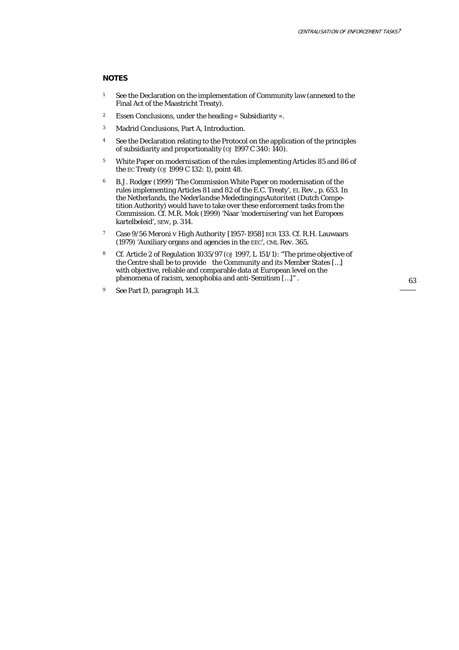#### **NOTES**

- 1 See the Declaration on the implementation of Community law (annexed to the Final Act of the Maastricht Treaty).
- 2 Essen Conclusions, under the heading « Subsidiarity ».
- 3 Madrid Conclusions, Part A, Introduction.
- <sup>4</sup> See the Declaration relating to the Protocol on the application of the principles of subsidiarity and proportionality (*OJ* 1997 C 340: 140).
- 5 White Paper on modernisation of the rules implementing Articles 85 and 86 of the EC Treaty (*OJ* 1999 C 132: 1), point 48.
- 6 B.J. Rodger (1999) 'The Commission White Paper on modernisation of the rules implementing Articles 81 and 82 of the E.C. Treaty', *EL Rev.*, p. 653. In the Netherlands, the *Nederlandse MededingingsAutoriteit* (Dutch Competition Authority) would have to take over these enforcement tasks from the Commission. Cf. M.R. Mok (1999) 'Naar 'modernisering' van het Europees kartelbeleid', *SEW*, p. 314.
- 7 Case 9/56 *Meroni v High Authority* [1957-1958] ECR 133. Cf. R.H. Lauwaars (1979) 'Auxiliary organs and agencies in the EEC', *CML Rev*. 365.
- 8 Cf. Article 2 of Regulation 1035/97 (*OJ* 1997, L 151/1): "The prime objective of the Centre shall be to provide the Community and its Member States […] with objective, reliable and comparable data at European level on the phenomena of racism, xenophobia and anti-Semitism […]" .
- 9 See Part D, paragraph 14.3.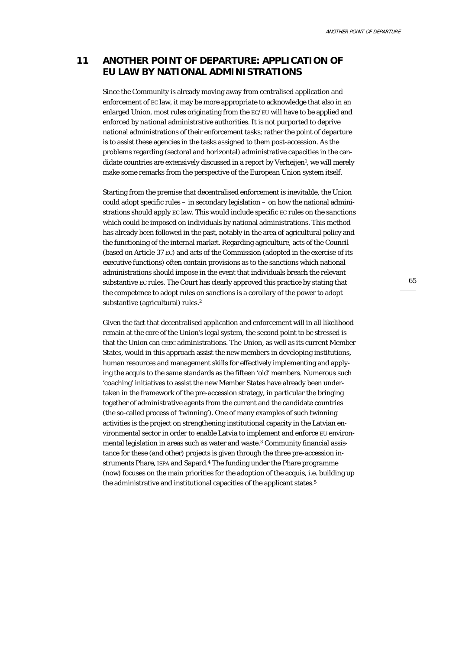# **11 ANOTHER POINT OF DEPARTURE: APPLICATION OF EU LAW BY NATIONAL ADMINISTRATIONS**

Since the Community is already moving away from centralised application and enforcement of EC law, it may be more appropriate to acknowledge that also in an enlarged Union, most rules originating from the EC/EU will have to be applied and enforced by *national* administrative authorities. It is not purported to deprive national administrations of their enforcement tasks; rather the point of departure is to assist these agencies in the tasks assigned to them post-accession. As the problems regarding (sectoral and horizontal) administrative capacities in the candidate countries are extensively discussed in a report by Verheijen<sup>1</sup>, we will merely make some remarks from the perspective of the European Union system itself.

Starting from the premise that decentralised enforcement is inevitable, the Union could adopt specific rules – in secondary legislation – on how the national administrations should apply EC law. This would include specific EC rules on the *sanctions* which could be imposed on individuals by national administrations. This method has already been followed in the past, notably in the area of agricultural policy and the functioning of the internal market. Regarding agriculture, acts of the Council (based on Article 37 EC) and acts of the Commission (adopted in the exercise of its executive functions) often contain provisions as to the sanctions which national administrations should impose in the event that individuals breach the relevant substantive EC rules. The Court has clearly approved this practice by stating that the competence to adopt rules on sanctions is a corollary of the power to adopt substantive (agricultural) rules.2

Given the fact that decentralised application and enforcement will in all likelihood remain at the core of the Union's legal system, the second point to be stressed is that the Union can CEEC administrations. The Union, as well as its current Member States, would in this approach assist the new members in developing institutions, human resources and management skills for effectively implementing and applying the acquis to the same standards as the fifteen 'old' members. Numerous such 'coaching' initiatives to assist the new Member States have already been undertaken in the framework of the pre-accession strategy, in particular the bringing together of administrative agents from the current and the candidate countries (the so-called process of 'twinning'). One of many examples of such twinning activities is the project on strengthening institutional capacity in the Latvian environmental sector in order to enable Latvia to implement and enforce EU environmental legislation in areas such as water and waste.<sup>3</sup> Community financial assistance for these (and other) projects is given through the three pre-accession instruments Phare, ISPA and Sapard.4 The funding under the Phare programme (now) focuses on the main priorities for the adoption of the acquis, i.e. building up the administrative and institutional capacities of the applicant states.<sup>5</sup>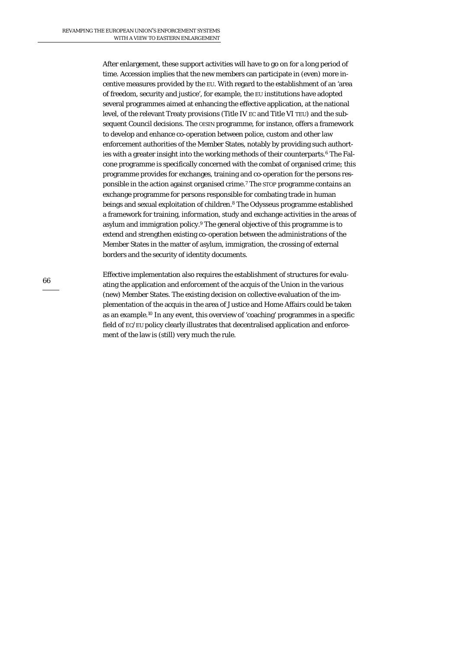After enlargement, these support activities will have to go on for a long period of time. Accession implies that the new members can participate in (even) more incentive measures provided by the EU. With regard to the establishment of an 'area of freedom, security and justice', for example, the EU institutions have adopted several programmes aimed at enhancing the effective application, at the national level, of the relevant Treaty provisions (Title IV EC and Title VI TEU) and the subsequent Council decisions. The OISIN programme, for instance, offers a framework to develop and enhance co-operation between police, custom and other law enforcement authorities of the Member States, notably by providing such authorties with a greater insight into the working methods of their counterparts.6 The Falcone programme is specifically concerned with the combat of organised crime; this programme provides for exchanges, training and co-operation for the persons responsible in the action against organised crime.7 The STOP programme contains an exchange programme for persons responsible for combating trade in human beings and sexual exploitation of children.8 The Odysseus programme established a framework for training, information, study and exchange activities in the areas of asylum and immigration policy.9 The general objective of this programme is to extend and strengthen existing co-operation between the administrations of the Member States in the matter of asylum, immigration, the crossing of external borders and the security of identity documents.

Effective implementation also requires the establishment of structures for evaluating the application and enforcement of the acquis of the Union in the various (new) Member States. The existing decision on collective evaluation of the implementation of the acquis in the area of Justice and Home Affairs could be taken as an example.10 In any event, this overview of 'coaching' programmes in a specific field of EC/EU policy clearly illustrates that decentralised application and enforcement of the law is (still) very much the rule.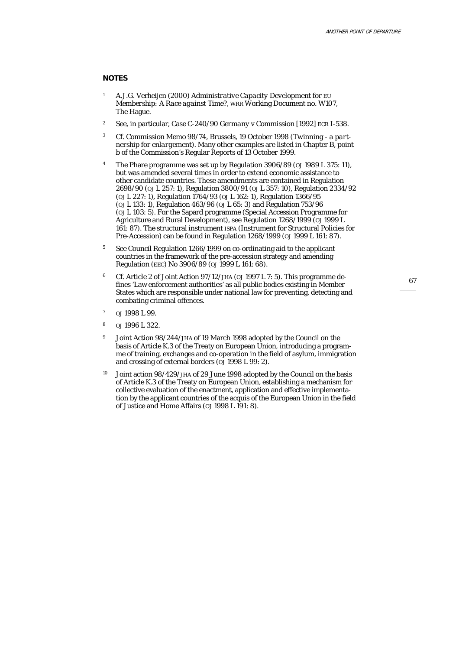#### **NOTES**

- 1 A.J.G. Verheijen (2000) *Administrative Capacity Development for EU Membership: A Race against Time?,* WRR Working Document no. W107, The Hague.
- 2 See, in particular, Case C-240/90 *Germany* v *Commission* [1992] ECR I-538.
- 3 Cf. Commission Memo 98/74, Brussels, 19 October 1998 (*Twinning a partnership for enlargement*). Many other examples are listed in Chapter B, point b of the Commission's Regular Reports of 13 October 1999.
- 4 The Phare programme was set up by Regulation 3906/89 (*OJ* 1989 L 375: 11), but was amended several times in order to extend economic assistance to other candidate countries. These amendments are contained in Regulation 2698/90 (*OJ* L 257: 1), Regulation 3800/91 (*OJ* L 357: 10), Regulation 2334/92 (*OJ* L 227: 1), Regulation 1764/93 (*OJ* L 162: 1), Regulation 1366/95 (*OJ* L 133: 1), Regulation 463/96 (*OJ* L 65: 3) and Regulation 753/96 (*OJ* L 103: 5). For the Sapard programme (Special Accession Programme for Agriculture and Rural Development), see Regulation 1268/1999 (*OJ* 1999 L 161: 87). The structural instrument ISPA (Instrument for Structural Policies for Pre-Accession) can be found in Regulation 1268/1999 (*OJ* 1999 L 161: 87).
- 5 See Council Regulation 1266/1999 on co-ordinating aid to the applicant countries in the framework of the pre-accession strategy and amending Regulation (EEC) No 3906/89 (*OJ* 1999 L 161: 68).
- 6 Cf. Article 2 of Joint Action 97/12/JHA (*OJ* 1997 L 7: 5). This programme defines 'Law enforcement authorities' as all public bodies existing in Member States which are responsible under national law for preventing, detecting and combating criminal offences.
- $\omega$ <sub>1998</sub> L 99.
- <sup>8</sup> *OJ* 1996 L 322.
- 9 Joint Action 98/244/JHA of 19 March 1998 adopted by the Council on the basis of Article K.3 of the Treaty on European Union, introducing a programme of training, exchanges and co-operation in the field of asylum, immigration and crossing of external borders (*OJ* 1998 L 99: 2).
- 10 Joint action 98/429/JHA of 29 June 1998 adopted by the Council on the basis of Article K.3 of the Treaty on European Union, establishing a mechanism for collective evaluation of the enactment, application and effective implementation by the applicant countries of the acquis of the European Union in the field of Justice and Home Affairs (*OJ* 1998 L 191: 8).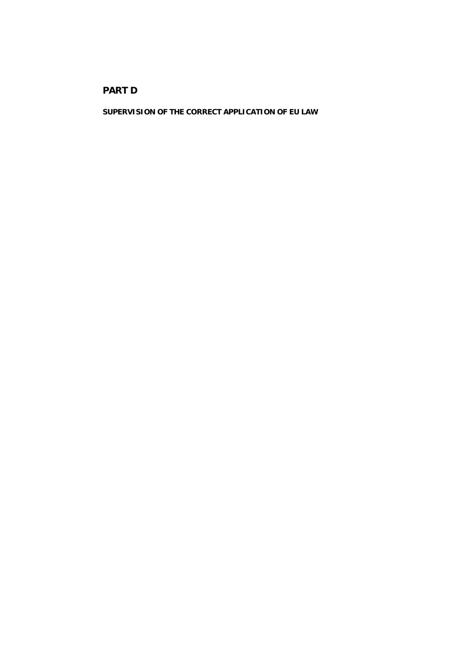# **PART D**

**SUPERVISION OF THE CORRECT APPLICATION OF EU LAW**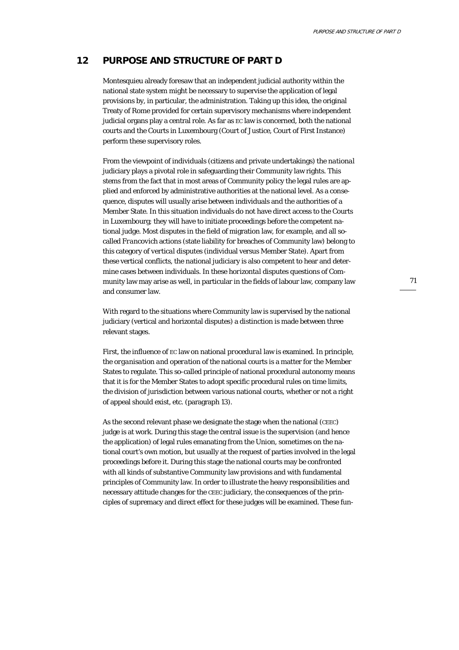## **12 PURPOSE AND STRUCTURE OF PART D**

Montesquieu already foresaw that an independent judicial authority within the national state system might be necessary to supervise the application of legal provisions by, in particular, the administration. Taking up this idea, the original Treaty of Rome provided for certain supervisory mechanisms where independent judicial organs play a central role. As far as EC law is concerned, both the national courts and the Courts in Luxembourg (Court of Justice, Court of First Instance) perform these supervisory roles.

From the viewpoint of individuals (citizens and private undertakings) the *national* judiciary plays a pivotal role in safeguarding their Community law rights. This stems from the fact that in most areas of Community policy the legal rules are applied and enforced by administrative authorities at the national level. As a consequence, disputes will usually arise between individuals and the authorities of a Member State. In this situation individuals do not have direct access to the Courts in Luxembourg; they will have to initiate proceedings before the competent national judge. Most disputes in the field of migration law, for example, and all socalled *Francovich* actions (state liability for breaches of Community law) belong to this category of *vertical* disputes (individual versus Member State). Apart from these vertical conflicts, the national judiciary is also competent to hear and determine cases between individuals. In these *horizontal* disputes questions of Community law may arise as well, in particular in the fields of labour law, company law and consumer law.

With regard to the situations where Community law is supervised by the national judiciary (vertical and horizontal disputes) a distinction is made between three relevant stages.

First, the influence of EC law on national *procedural* law is examined. In principle, the *organisation and operation* of the national courts is a matter for the Member States to regulate. This so-called principle of national procedural autonomy means that it is for the Member States to adopt specific procedural rules on time limits, the division of jurisdiction between various national courts, whether or not a right of appeal should exist, etc. (paragraph 13).

As the second relevant phase we designate the stage when the national (CEEC) judge is at work. During this stage the central issue is the supervision (and hence the application) of legal rules emanating from the Union, sometimes on the national court's own motion, but usually at the request of parties involved in the legal proceedings before it. During this stage the national courts may be confronted with all kinds of substantive Community law provisions and with fundamental principles of Community law. In order to illustrate the heavy responsibilities and necessary attitude changes for the CEEC judiciary, the consequences of the principles of supremacy and direct effect for these judges will be examined. These fun-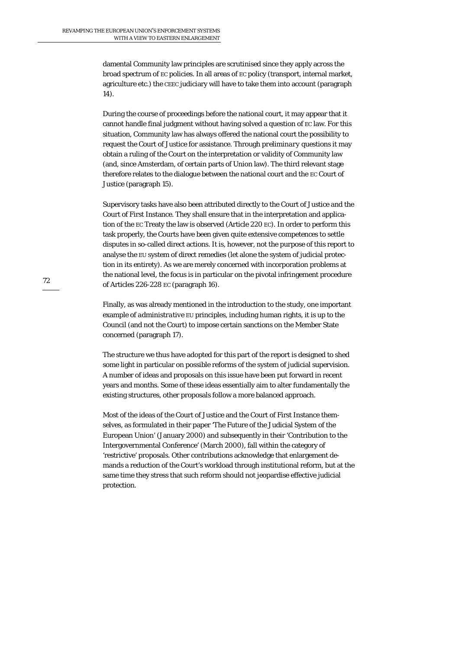damental Community law principles are scrutinised since they apply across the broad spectrum of EC policies. In all areas of EC policy (transport, internal market, agriculture etc.) the CEEC judiciary will have to take them into account (paragraph 14).

During the course of proceedings before the national court, it may appear that it cannot handle final judgment without having solved a question of EC law. For this situation, Community law has always offered the national court the possibility to request the Court of Justice for assistance. Through *preliminary questions* it may obtain a ruling of the Court on the interpretation or validity of Community law (and, since Amsterdam, of certain parts of Union law). The third relevant stage therefore relates to the dialogue between the national court and the EC Court of Justice (paragraph 15).

Supervisory tasks have also been attributed directly to the Court of Justice and the Court of First Instance. They shall ensure that in the interpretation and application of the EC Treaty the law is observed (Article 220 EC). In order to perform this task properly, the Courts have been given quite extensive competences to settle disputes in so-called direct actions. It is, however, not the purpose of this report to analyse the EU system of direct remedies (let alone the system of judicial protection in its entirety). As we are merely concerned with incorporation problems at the national level, the focus is in particular on the pivotal infringement procedure of Articles 226-228 EC (paragraph 16).

Finally, as was already mentioned in the introduction to the study, one important example of *administrative* EU principles, including human rights, it is up to the Council (and not the Court) to impose certain sanctions on the Member State concerned (paragraph 17).

The structure we thus have adopted for this part of the report is designed to shed some light in particular on possible reforms of the system of judicial supervision. A number of ideas and proposals on this issue have been put forward in recent years and months. Some of these ideas essentially aim to alter fundamentally the existing structures, other proposals follow a more balanced approach.

Most of the ideas of the Court of Justice and the Court of First Instance themselves, as formulated in their paper 'The Future of the Judicial System of the European Union' (January 2000) and subsequently in their 'Contribution to the Intergovernmental Conference' (March 2000), fall within the category of 'restrictive' proposals. Other contributions acknowledge that enlargement demands a reduction of the Court's workload through institutional reform, but at the same time they stress that such reform should not jeopardise effective judicial protection.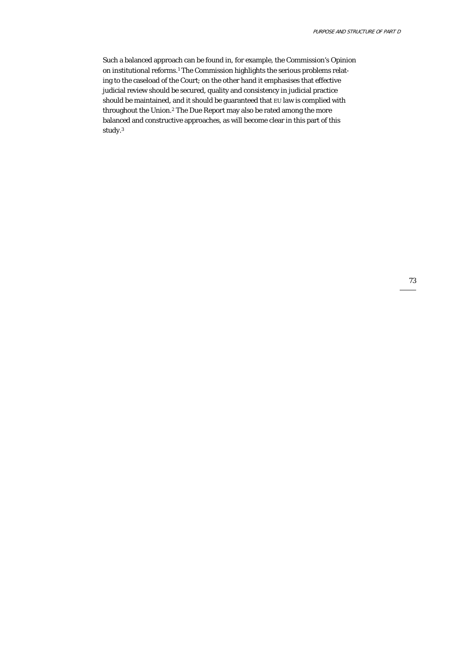Such a balanced approach can be found in, for example, the Commission's Opinion on institutional reforms.<sup>1</sup> The Commission highlights the serious problems relating to the caseload of the Court; on the other hand it emphasises that effective judicial review should be secured, quality and consistency in judicial practice should be maintained, and it should be guaranteed that EU law is complied with throughout the Union.2 The Due Report may also be rated among the more balanced and constructive approaches, as will become clear in this part of this study.3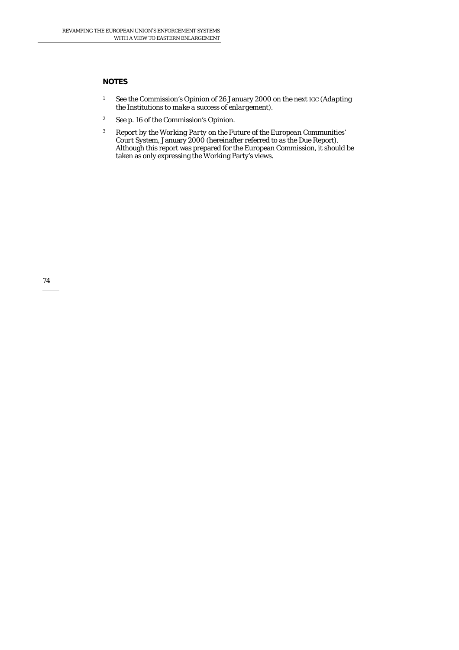## **NOTES**

- 1 See the Commission's Opinion of 26 January 2000 on the next IGC (*Adapting the Institutions to make a success of enlargement*).
- 2 See p. 16 of the Commission's Opinion.
- <sup>3</sup> *Report by the Working Party on the Future of the European Communities' Court System*, January 2000 (hereinafter referred to as the Due Report). Although this report was prepared for the European Commission, it should be taken as only expressing the Working Party's views.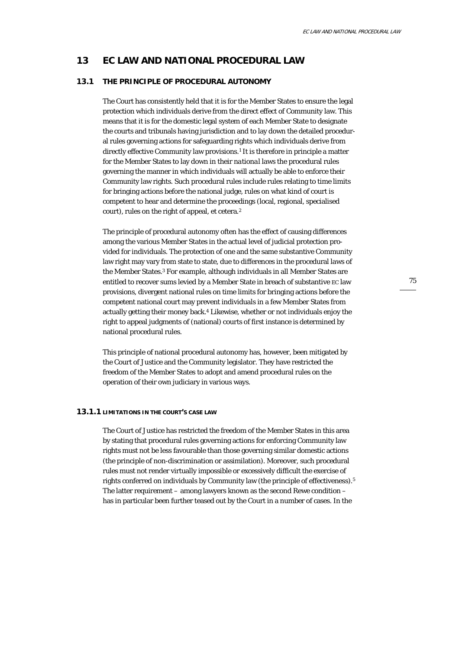## **13 EC LAW AND NATIONAL PROCEDURAL LAW**

### **13.1 THE PRINCIPLE OF PROCEDURAL AUTONOMY**

The Court has consistently held that it is for the Member States to ensure the legal protection which individuals derive from the direct effect of Community law. This means that it is for the domestic legal system of each Member State to designate the courts and tribunals having jurisdiction and to lay down the detailed procedural rules governing actions for safeguarding rights which individuals derive from directly effective Community law provisions.<sup>1</sup> It is therefore in principle a matter for the Member States to lay down in their *national* laws the procedural rules governing the manner in which individuals will actually be able to enforce their Community law rights. Such procedural rules include rules relating to time limits for bringing actions before the national judge, rules on what kind of court is competent to hear and determine the proceedings (local, regional, specialised court), rules on the right of appeal, et cetera.2

The principle of procedural autonomy often has the effect of causing differences among the various Member States in the actual level of judicial protection provided for individuals. The protection of one and the same substantive Community law right may vary from state to state, due to differences in the procedural laws of the Member States.3 For example, although individuals in all Member States are entitled to recover sums levied by a Member State in breach of substantive EC law provisions, divergent national rules on time limits for bringing actions before the competent national court may prevent individuals in a few Member States from actually getting their money back.4 Likewise, whether or not individuals enjoy the right to appeal judgments of (national) courts of first instance is determined by national procedural rules.

This principle of national procedural autonomy has, however, been mitigated by the Court of Justice and the Community legislator. They have restricted the freedom of the Member States to adopt and amend procedural rules on the operation of their own judiciary in various ways.

### **13.1.1 LIMITATIONS IN THE COURT'S CASE LAW**

The Court of Justice has restricted the freedom of the Member States in this area by stating that procedural rules governing actions for enforcing Community law rights must not be less favourable than those governing similar domestic actions (the principle of non-discrimination or assimilation). Moreover, such procedural rules must not render virtually impossible or excessively difficult the exercise of rights conferred on individuals by Community law (the principle of effectiveness).5 The latter requirement – among lawyers known as the second Rewe condition – has in particular been further teased out by the Court in a number of cases. In the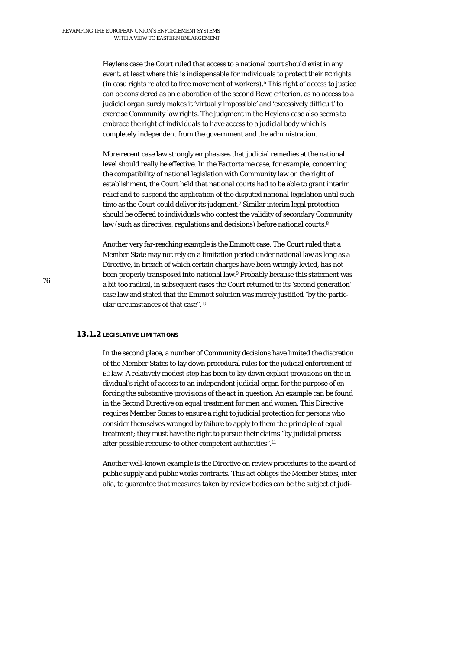*Heylens* case the Court ruled that access to a national court should exist in any event, at least where this is indispensable for individuals to protect their EC rights (in casu rights related to free movement of workers).6 This right of *access to justice* can be considered as an elaboration of the second Rewe criterion, as no access to a judicial organ surely makes it 'virtually impossible' and 'excessively difficult' to exercise Community law rights. The judgment in the Heylens case also seems to embrace the right of individuals to have access to a judicial body which is completely *independent* from the government and the administration.

More recent case law strongly emphasises that judicial remedies at the national level should really be *effective*. In the *Factortame* case, for example, concerning the compatibility of national legislation with Community law on the right of establishment, the Court held that national courts had to be able to grant interim relief and to suspend the application of the disputed national legislation until such time as the Court could deliver its judgment.<sup>7</sup> Similar interim legal protection should be offered to individuals who contest the validity of secondary Community law (such as directives, regulations and decisions) before national courts.<sup>8</sup>

Another very far-reaching example is the *Emmott* case. The Court ruled that a Member State may not rely on a limitation period under national law as long as a Directive, in breach of which certain charges have been wrongly levied, has not been properly transposed into national law.9 Probably because this statement was a bit too radical, in subsequent cases the Court returned to its 'second generation' case law and stated that the Emmott solution was merely justified "by the particular circumstances of that case".10

### **13.1.2 LEGISLATIVE LIMITATIONS**

In the second place, a number of Community decisions have limited the discretion of the Member States to lay down procedural rules for the judicial enforcement of EC law. A relatively modest step has been to lay down explicit provisions on the individual's right of *access* to an independent judicial organ for the purpose of enforcing the substantive provisions of the act in question. An example can be found in the Second Directive on equal treatment for men and women. This Directive requires Member States to ensure a right to *judicial* protection for persons who consider themselves wronged by failure to apply to them the principle of equal treatment; they must have the right to pursue their claims "by judicial process after possible recourse to other competent authorities".11

Another well-known example is the Directive on review procedures to the award of public supply and public works contracts. This act obliges the Member States, inter alia, to guarantee that measures taken by review bodies can be the subject of judi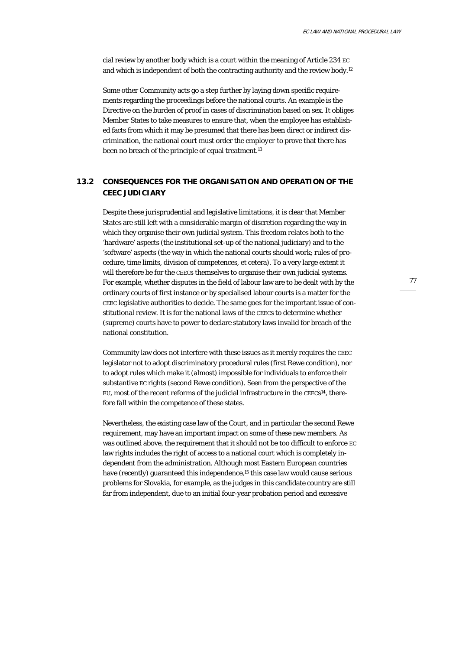cial review by another body which is a court within the meaning of Article 234 EC and which is independent of both the contracting authority and the review body.12

Some other Community acts go a step further by laying down specific requirements regarding the *proceedings* before the national courts. An example is the Directive on the burden of proof in cases of discrimination based on sex. It obliges Member States to take measures to ensure that, when the employee has established facts from which it may be presumed that there has been direct or indirect discrimination, the national court must order the *employer* to prove that there has been no breach of the principle of equal treatment.<sup>13</sup>

# **13.2 CONSEQUENCES FOR THE ORGANISATION AND OPERATION OF THE CEEC JUDICIARY**

Despite these jurisprudential and legislative limitations, it is clear that Member States are still left with a considerable margin of discretion regarding the way in which they organise their own judicial system. This freedom relates both to the 'hardware' aspects (the institutional set-up of the national judiciary) and to the 'software' aspects (the way in which the national courts should work; rules of procedure, time limits, division of competences, et cetera). To a very large extent it will therefore be for the CEECs themselves to organise their own judicial systems. For example, whether disputes in the field of labour law are to be dealt with by the ordinary courts of first instance or by specialised labour courts is a matter for the CEEC legislative authorities to decide. The same goes for the important issue of constitutional review. It is for the national laws of the CEECs to determine whether (supreme) courts have to power to declare statutory laws invalid for breach of the national constitution.

Community law does not interfere with these issues as it merely requires the CEEC legislator not to adopt discriminatory procedural rules (first Rewe condition), nor to adopt rules which make it (almost) impossible for individuals to enforce their substantive EC rights (second Rewe condition). Seen from the perspective of the EU, most of the recent reforms of the judicial infrastructure in the CEECs14, therefore fall within the competence of these states.

Nevertheless, the existing case law of the Court, and in particular the second Rewe requirement, may have an important impact on some of these new members. As was outlined above, the requirement that it should not be too difficult to enforce EC law rights includes the right of access to a national court which is completely *independent* from the administration. Although most Eastern European countries have (recently) guaranteed this independence,<sup>15</sup> this case law would cause serious problems for Slovakia, for example, as the judges in this candidate country are still far from independent, due to an initial four-year probation period and excessive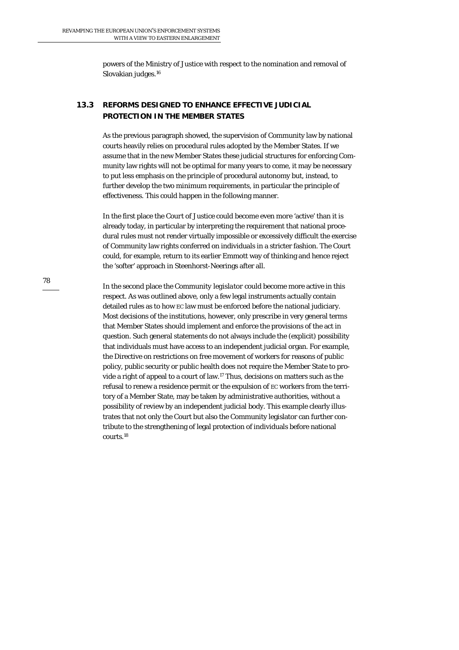powers of the Ministry of Justice with respect to the nomination and removal of Slovakian judges.16

# **13.3 REFORMS DESIGNED TO ENHANCE EFFECTIVE JUDICIAL PROTECTION IN THE MEMBER STATES**

As the previous paragraph showed, the supervision of Community law by national courts heavily relies on procedural rules adopted by the Member States. If we assume that in the new Member States these judicial structures for enforcing Community law rights will not be optimal for many years to come, it may be necessary to put less emphasis on the principle of procedural autonomy but, instead, to further develop the two minimum requirements, in particular the principle of effectiveness. This could happen in the following manner.

In the first place the *Court of Justice* could become even more 'active' than it is already today, in particular by interpreting the requirement that national procedural rules must not render virtually impossible or excessively difficult the exercise of Community law rights conferred on individuals in a stricter fashion. The Court could, for example, return to its earlier Emmott way of thinking and hence reject the 'softer' approach in Steenhorst-Neerings after all.

In the second place the *Community legislator* could become more active in this respect. As was outlined above, only a few legal instruments actually contain detailed rules as to how EC law must be enforced before the national judiciary. Most decisions of the institutions, however, only prescribe in very general terms that Member States should implement and enforce the provisions of the act in question. Such general statements do not always include the (explicit) possibility that individuals must have access to an independent judicial organ. For example, the Directive on restrictions on free movement of workers for reasons of public policy, public security or public health does not require the Member State to provide a right of appeal to a court of law.17 Thus, decisions on matters such as the refusal to renew a residence permit or the expulsion of EC workers from the territory of a Member State, may be taken by administrative authorities, without a possibility of review by an independent judicial body. This example clearly illustrates that not only the Court but also the Community legislator can further contribute to the strengthening of legal protection of individuals before national courts.18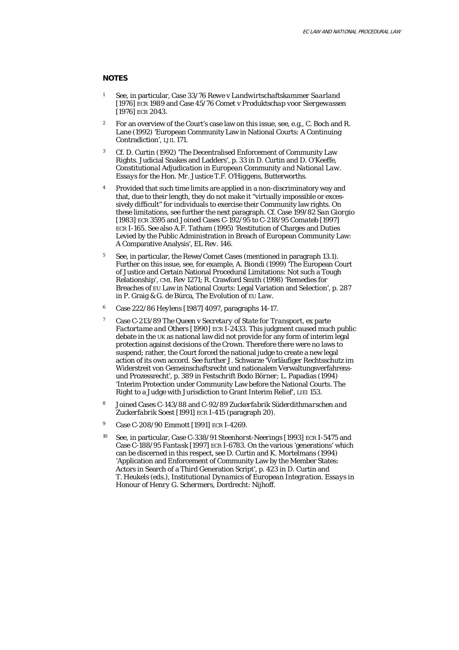#### **NOTES**

- 1 See, in particular, Case 33/76 *Rewe* v *Landwirtschaftskammer Saarland* [1976] ECR 1989 and Case 45/76 *Comet* v *Produktschap voor Siergewassen* [1976] ECR 2043.
- <sup>2</sup> For an overview of the Court's case law on this issue, see, e.g., C. Boch and R. Lane (1992) 'European Community Law in National Courts: A Continuing Contradiction', *LJIL* 171.
- 3 Cf. D. Curtin (1992) 'The Decentralised Enforcement of Community Law Rights. Judicial Snakes and Ladders', p. 33 in D. Curtin and D. O'Keeffe, *Constitutional Adjudication in European Community and National Law. Essays for the Hon. Mr. Justice T.F. O'Higgens*, Butterworths.
- <sup>4</sup> Provided that such time limits are applied in a non-discriminatory way and that, due to their length, they do not make it "virtually impossible or excessively difficult" for individuals to exercise their Community law rights. On these limitations, see further the next paragraph. Cf. Case 199/82 *San Giorgio* [1983] ECR 3595 and Joined Cases C-192/95 to C-218/95 *Comateb* [1997] ECR I-165. See also A.F. Tatham (1995) 'Restitution of Charges and Duties Levied by the Public Administration in Breach of European Community Law: A Comparative Analysis', *EL Rev.* 146.
- 5 See, in particular, the Rewe/Comet Cases (mentioned in paragraph 13.1). Further on this issue, see, for example, A. Biondi (1999) 'The European Court of Justice and Certain National Procedural Limitations: Not such a Tough Relationship', *CML Rev* 1271; R. Crawford Smith (1998) 'Remedies for Breaches of EU Law in National Courts: Legal Variation and Selection', p. 287 in P. Graig & G. de Búrca, *The Evolution of EU Law*.
- 6 Case 222/86 *Heylens* [1987] 4097, paragraphs 14-17.
- 7 Case C-213/89 *The Queen* v *Secretary of State for Transport*, ex parte *Factortame and Others* [1990] ECR I-2433. This judgment caused much public debate in the UK as national law did not provide for any form of interim legal protection against decisions of the Crown. Therefore there were no laws to suspend; rather, the Court forced the national judge to create a new legal action of its own accord. See further J. Schwarze 'Vorläufiger Rechtsschutz im Widerstreit von Gemeinschaftsrecht und nationalem Verwaltungsverfahrensund Prozessrecht', p. 389 in *Festschrift Bodo Börner*; L. Papadias (1994) 'Interim Protection under Community Law before the National Courts. The Right to a Judge with Jurisdiction to Grant Interim Relief', *LIEI* 153.
- 8 Joined Cases C-143/88 and C-92/89 *Zuckerfabrik Süderdithmarschen and Zuckerfabrik Soest* [1991] ECR I-415 (paragraph 20).
- 9 Case C-208/90 *Emmott* [1991] ECR I-4269.
- 10 See, in particular, Case C-338/91 *Steenhorst-Neerings* [1993] ECR I-5475 and Case C-188/95 *Fantask* [1997] ECR I-6783. On the various 'generations' which can be discerned in this respect, see D. Curtin and K. Mortelmans (1994) 'Application and Enforcement of Community Law by the Member States: Actors in Search of a Third Generation Script', p. 423 in D. Curtin and T. Heukels (eds.), *Institutional Dynamics of European Integration. Essays in Honour of Henry G. Schermers*, Dordrecht: Nijhoff.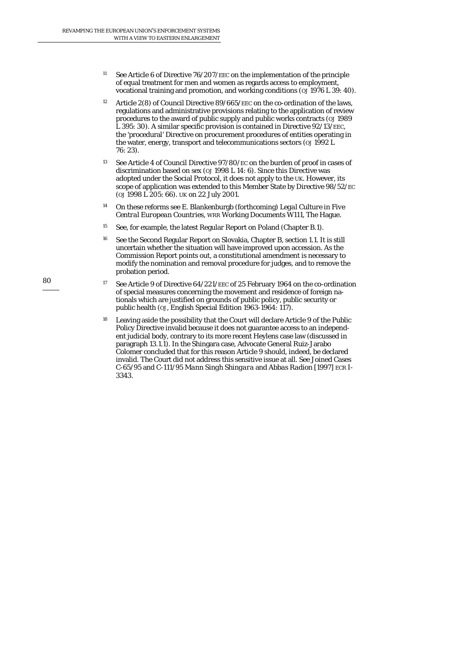- <sup>11</sup> See Article 6 of Directive 76/207/EEC on the implementation of the principle of equal treatment for men and women as regards access to employment, vocational training and promotion, and working conditions (*OJ* 1976 L 39: 40).
- 12 Article 2(8) of Council Directive 89/665/EEC on the co-ordination of the laws, regulations and administrative provisions relating to the application of review procedures to the award of public supply and public works contracts (*OJ* 1989 L 395: 30). A similar specific provision is contained in Directive 92/13/EEC, the 'procedural' Directive on procurement procedures of entities operating in the water, energy, transport and telecommunications sectors (*OJ* 1992 L 76: 23).
- 13 See Article 4 of Council Directive 97/80/EC on the burden of proof in cases of discrimination based on sex (*OJ* 1998 L 14: 6). Since this Directive was adopted under the Social Protocol, it does not apply to the UK. However, its scope of application was extended to this Member State by Directive 98/52/EC (*OJ* 1998 L 205: 66). UK on 22 July 2001.
- 14 On these reforms see E. Blankenburgb (forthcoming*) Legal Culture in Five Central European Countries*, WRR Working Documents W111, The Hague.
- <sup>15</sup> See, for example, the latest Regular Report on Poland (Chapter B.1).
- 16 See the Second Regular Report on Slovakia, Chapter B, section 1.1. It is still uncertain whether the situation will have improved upon accession. As the Commission Report points out, a constitutional amendment is necessary to modify the nomination and removal procedure for judges, and to remove the probation period.
- <sup>17</sup> See Article 9 of Directive  $64/221$ /EEC of 25 February 1964 on the co-ordination of special measures concerning the movement and residence of foreign nationals which are justified on grounds of public policy, public security or public health (*OJ*, English Special Edition 1963-1964: 117).
- 18 Leaving aside the possibility that the Court will declare Article 9 of the Public Policy Directive invalid because it does not guarantee access to an independent judicial body, contrary to its more recent Heylens case law (discussed in paragraph 13.1.1). In the Shingara case, Advocate General Ruiz-Jarabo Colomer concluded that for this reason Article 9 should, indeed, be declared invalid. The Court did not address this sensitive issue at all. See Joined Cases C-65/95 and C-111/95 *Mann Singh Shingara* and *Abbas Radion* [1997] ECR I-3343.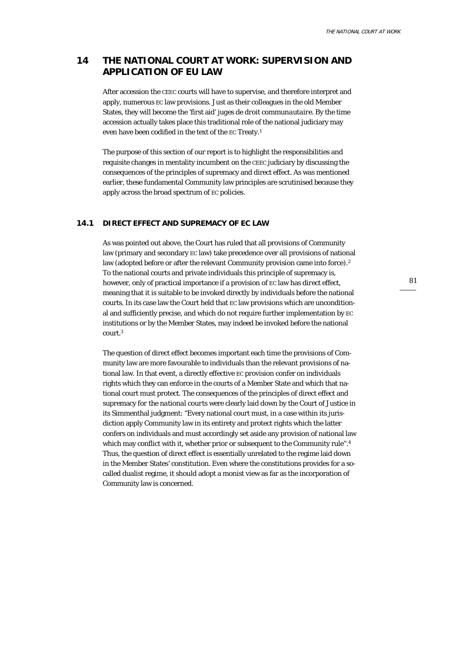# **14 THE NATIONAL COURT AT WORK: SUPERVISION AND APPLICATION OF EU LAW**

After accession the CEEC courts will have to supervise, and therefore interpret and apply, numerous EC law provisions. Just as their colleagues in the old Member States, they will become the 'first aid' *juges de droit communautaire*. By the time accession actually takes place this traditional role of the national judiciary may even have been codified in the text of the EC Treaty.1

The purpose of this section of our report is to highlight the responsibilities and requisite changes in mentality incumbent on the CEEC judiciary by discussing the consequences of the principles of supremacy and direct effect. As was mentioned earlier, these fundamental Community law principles are scrutinised because they apply across the broad spectrum of EC policies.

## **14.1 DIRECT EFFECT AND SUPREMACY OF EC LAW**

As was pointed out above, the Court has ruled that all provisions of Community law (primary and secondary EC law) take precedence over all provisions of national law (adopted before or after the relevant Community provision came into force).<sup>2</sup> To the national courts and private individuals this principle of supremacy is, however, only of practical importance if a provision of EC law has *direct effect*, meaning that it is suitable to be invoked directly by individuals before the national courts. In its case law the Court held that EC law provisions which are unconditional and sufficiently precise, and which do not require further implementation by EC institutions or by the Member States, may indeed be invoked before the national court.3

The question of direct effect becomes important each time the provisions of Community law are more favourable to individuals than the relevant provisions of national law. In that event, a directly effective EC provision confer on individuals rights which they can enforce in the courts of a Member State and which that national court must protect. The consequences of the principles of direct effect and supremacy *for the national courts* were clearly laid down by the Court of Justice in its Simmenthal judgment: "Every national court must, in a case within its jurisdiction apply Community law in its entirety and protect rights which the latter confers on individuals and must accordingly set aside any provision of national law which may conflict with it, whether prior or subsequent to the Community rule".<sup>4</sup> Thus, the question of direct effect is essentially unrelated to the regime laid down in the Member States' constitution. Even where the constitutions provides for a socalled dualist regime, it should adopt a monist view as far as the incorporation of Community law is concerned.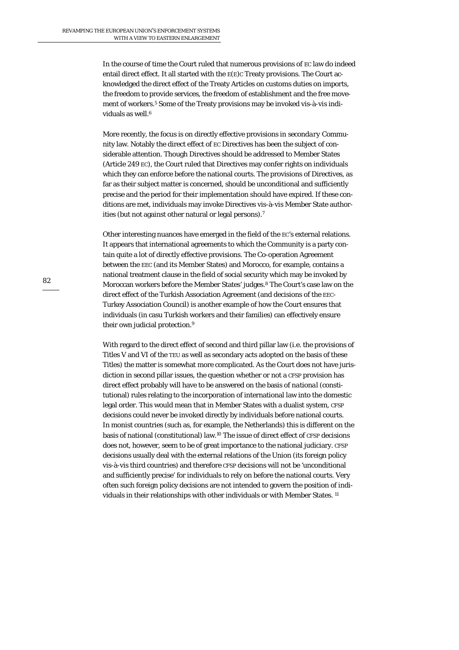In the course of time the Court ruled that numerous provisions of EC law do indeed entail direct effect. It all started with the  $E(E)C$  Treaty provisions. The Court acknowledged the direct effect of the Treaty Articles on customs duties on imports, the freedom to provide services, the freedom of establishment and the free movement of workers.5 Some of the Treaty provisions may be invoked vis-à-vis individuals as well.<sup>6</sup>

More recently, the focus is on directly effective provisions in *secondary* Community law. Notably the direct effect of EC Directives has been the subject of considerable attention. Though Directives should be addressed to Member States (Article 249 EC), the Court ruled that Directives may confer rights on individuals which they can enforce before the national courts. The provisions of Directives, as far as their subject matter is concerned, should be unconditional and sufficiently precise and the period for their implementation should have expired. If these conditions are met, individuals may invoke Directives vis-à-vis Member State authorities (but not against other natural or legal persons).7

Other interesting nuances have emerged in the field of the EC's external relations. It appears that international agreements to which the Community is a party contain quite a lot of directly effective provisions. The Co-operation Agreement between the EEC (and its Member States) and Morocco, for example, contains a national treatment clause in the field of social security which may be invoked by Moroccan workers before the Member States' judges.8 The Court's case law on the direct effect of the Turkish Association Agreement (and decisions of the EEC-Turkey Association Council) is another example of how the Court ensures that individuals (in casu Turkish workers and their families) can effectively ensure their own judicial protection.<sup>9</sup>

With regard to the direct effect of second and third pillar law (i.e. the provisions of Titles V and VI of the TEU as well as secondary acts adopted on the basis of these Titles) the matter is somewhat more complicated. As the Court does not have jurisdiction in *second* pillar issues, the question whether or not a CFSP provision has direct effect probably will have to be answered on the basis of *national* (constitutional) rules relating to the incorporation of international law into the domestic legal order. This would mean that in Member States with a dualist system, CFSP decisions could never be invoked directly by individuals before national courts. In monist countries (such as, for example, the Netherlands) this is different on the basis of national (constitutional) law.10 The issue of direct effect of CFSP decisions does not, however, seem to be of great importance to the national judiciary. CFSP decisions usually deal with the external relations of the Union (its foreign policy vis-à-vis third countries) and therefore CFSP decisions will not be 'unconditional and sufficiently precise' for individuals to rely on before the national courts. Very often such foreign policy decisions are not intended to govern the position of individuals in their relationships with other individuals or with Member States. 11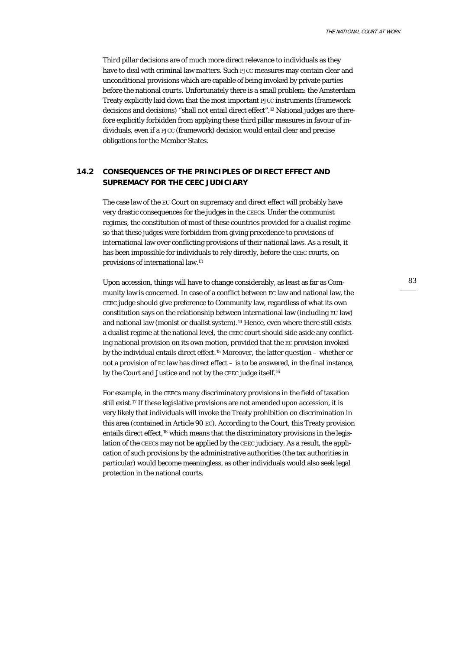*Third* pillar decisions are of much more direct relevance to individuals as they have to deal with criminal law matters. Such PJCC measures may contain clear and unconditional provisions which are capable of being invoked by private parties before the national courts. Unfortunately there is a small problem: the Amsterdam Treaty explicitly laid down that the most important PJCC instruments (framework decisions and decisions) "shall not entail direct effect".12 National judges are therefore explicitly forbidden from applying these third pillar measures in favour of individuals, even if a PJCC (framework) decision would entail clear and precise obligations for the Member States.

## **14.2 CONSEQUENCES OF THE PRINCIPLES OF DIRECT EFFECT AND SUPREMACY FOR THE CEEC JUDICIARY**

The case law of the EU Court on supremacy and direct effect will probably have very drastic consequences for the judges in the CEECs. Under the communist regimes, the constitution of most of these countries provided for a *dualist* regime so that these judges were forbidden from giving precedence to provisions of international law over conflicting provisions of their national laws. As a result, it has been impossible for individuals to rely directly, before the CEEC courts, on provisions of international law.13

Upon accession, things will have to change considerably, as least as far as Community law is concerned. In case of a conflict between EC law and national law, the CEEC judge should give preference to Community law, regardless of what its own constitution says on the relationship between international law (including EU law) and national law (monist or dualist system).14 Hence, even where there still exists a dualist regime at the national level, the CEEC court should side aside any conflicting national provision on its own motion, provided that the EC provision invoked by the individual entails direct effect.15 Moreover, the latter question – whether or not a provision of EC law has direct effect – is to be answered, in the final instance, by the Court and Justice and not by the CEEC judge itself.16

For example, in the CEECs many discriminatory provisions in the field of taxation still exist.17 If these legislative provisions are not amended upon accession, it is very likely that individuals will invoke the Treaty prohibition on discrimination in this area (contained in Article 90 EC). According to the Court, this Treaty provision entails direct effect,18 which means that the discriminatory provisions in the legislation of the CEECs may not be applied by the CEEC judiciary. As a result, the application of such provisions by the administrative authorities (the tax authorities in particular) would become meaningless, as other individuals would also seek legal protection in the national courts.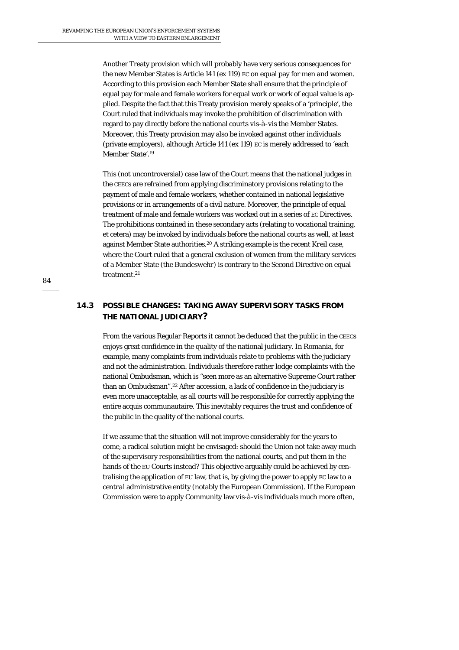Another Treaty provision which will probably have very serious consequences for the new Member States is Article 141 (ex 119) EC on equal pay for men and women. According to this provision each Member State shall ensure that the principle of equal pay for male and female workers for equal work or work of equal value is applied. Despite the fact that this Treaty provision merely speaks of a 'principle', the Court ruled that individuals may invoke the prohibition of discrimination with regard to pay directly before the national courts *vis-à-vis* the Member States. Moreover, this Treaty provision may also be invoked against other individuals (private employers), although Article 141 (ex 119) EC is merely addressed to 'each Member State'.19

This (not uncontroversial) case law of the Court means that the national judges in the CEECs are refrained from applying discriminatory provisions relating to the payment of male and female workers, whether contained in national legislative provisions or in arrangements of a civil nature. Moreover, the principle of equal *treatment* of male and female workers was worked out in a series of EC Directives. The prohibitions contained in these secondary acts (relating to vocational training, et cetera) may be invoked by individuals before the national courts as well, at least against Member State authorities.20 A striking example is the recent *Kreil* case, where the Court ruled that a general exclusion of women from the military services of a Member State (the *Bundeswehr*) is contrary to the Second Directive on equal treatment.21

# **14.3 POSSIBLE CHANGES: TAKING AWAY SUPERVISORY TASKS FROM THE NATIONAL JUDICIARY?**

From the various Regular Reports it cannot be deduced that the public in the CEECs enjoys great confidence in the quality of the national judiciary. In Romania, for example, many complaints from individuals relate to problems with the judiciary and not the administration. Individuals therefore rather lodge complaints with the national Ombudsman, which is "seen more as an alternative Supreme Court rather than an Ombudsman".22 After accession, a lack of confidence in the judiciary is even more unacceptable, as all courts will be responsible for correctly applying the entire acquis communautaire. This inevitably requires the trust and confidence of the public in the quality of the national courts.

If we assume that the situation will not improve considerably for the years to come, a radical solution might be envisaged: should the Union not take away much of the supervisory responsibilities from the national courts, and put them in the hands of the EU Courts instead? This objective arguably could be achieved by centralising the application of EU law, that is, by giving the power to apply EC law to a *central* administrative entity (notably the European Commission). If the European Commission were to apply Community law *vis-à-vis* individuals much more often,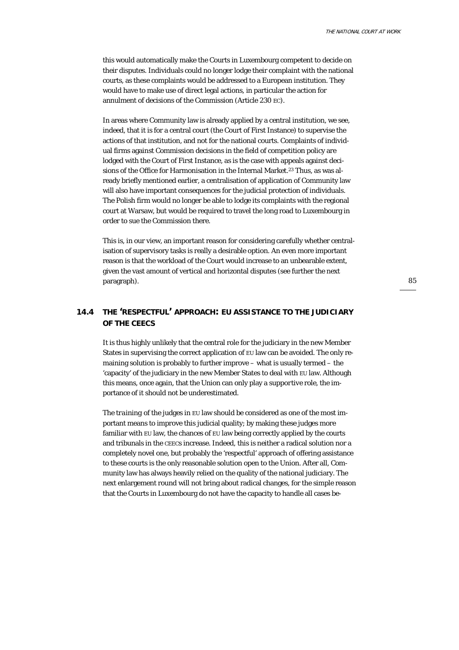this would automatically make the Courts in Luxembourg competent to decide on their disputes. Individuals could no longer lodge their complaint with the national courts, as these complaints would be addressed to a European institution. They would have to make use of direct legal actions, in particular the action for annulment of decisions of the Commission (Article 230 EC).

In areas where Community law is already applied by a central institution, we see, indeed, that it is for a central court (the Court of First Instance) to supervise the actions of that institution, and not for the national courts. Complaints of individual firms against Commission decisions in the field of competition policy are lodged with the Court of First Instance, as is the case with appeals against decisions of the Office for Harmonisation in the Internal Market.23 Thus, as was already briefly mentioned earlier, a centralisation of application of Community law will also have important consequences for the judicial protection of individuals. The Polish firm would no longer be able to lodge its complaints with the regional court at Warsaw, but would be required to travel the long road to Luxembourg in order to sue the Commission there.

This is, in our view, an important reason for considering carefully whether centralisation of supervisory tasks is really a desirable option. An even more important reason is that the workload of the Court would increase to an unbearable extent, given the vast amount of vertical and horizontal disputes (see further the next paragraph).

## **14.4 THE 'RESPECTFUL' APPROACH: EU ASSISTANCE TO THE JUDICIARY OF THE CEECS**

It is thus highly unlikely that the central role for the judiciary in the new Member States in supervising the correct application of EU law can be avoided. The only remaining solution is probably to further improve – what is usually termed – the 'capacity' of the judiciary in the new Member States to deal with EU law. Although this means, once again, that the Union can only play a *supportive* role, the importance of it should not be underestimated.

The *training* of the judges in EU law should be considered as one of the most important means to improve this judicial quality; by making these judges more familiar with EU law, the chances of EU law being correctly applied by the courts and tribunals in the CEECs increase. Indeed, this is neither a radical solution nor a completely novel one, but probably the 'respectful' approach of offering assistance to these courts is the only reasonable solution open to the Union. After all, Community law has always heavily relied on the quality of the national judiciary. The next enlargement round will not bring about radical changes, for the simple reason that the Courts in Luxembourg do not have the capacity to handle all cases be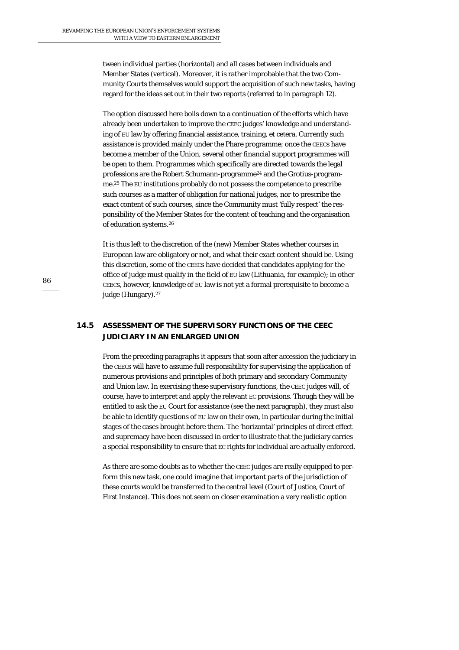tween individual parties (horizontal) and all cases between individuals and Member States (vertical). Moreover, it is rather improbable that the two Community Courts themselves would support the acquisition of such new tasks, having regard for the ideas set out in their two reports (referred to in paragraph 12).

The option discussed here boils down to a continuation of the efforts which have already been undertaken to improve the CEEC judges' knowledge and understanding of EU law by offering financial assistance, training, et cetera. Currently such assistance is provided mainly under the Phare programme; once the CEECs have become a member of the Union, several other financial support programmes will be open to them. Programmes which specifically are directed towards the legal professions are the Robert Schumann-programme24 and the Grotius-programme.25 The EU institutions probably do not possess the competence to prescribe such courses as a matter of obligation for national judges, nor to prescribe the exact content of such courses, since the Community must 'fully respect' the responsibility of the Member States for the content of teaching and the organisation of education systems.26

It is thus left to the discretion of the (new) Member States whether courses in European law are obligatory or not, and what their exact content should be. Using this discretion, some of the CEECs have decided that candidates applying for the office of judge must qualify in the field of EU law (Lithuania, for example); in other CEECs, however, knowledge of EU law is not yet a formal prerequisite to become a judge (Hungary).<sup>27</sup>

# **14.5 ASSESSMENT OF THE SUPERVISORY FUNCTIONS OF THE CEEC JUDICIARY IN AN ENLARGED UNION**

From the preceding paragraphs it appears that soon after accession the judiciary in the CEECs will have to assume full responsibility for supervising the application of numerous provisions and principles of both primary and secondary Community and Union law. In exercising these supervisory functions, the CEEC judges will, of course, have to interpret and apply the relevant EC provisions. Though they will be entitled to ask the EU Court for assistance (see the next paragraph), they must also be able to identify questions of EU law on their own, in particular during the initial stages of the cases brought before them. The 'horizontal' principles of direct effect and supremacy have been discussed in order to illustrate that the judiciary carries a special responsibility to ensure that EC rights for individual are actually enforced.

As there are some doubts as to whether the CEEC judges are really equipped to perform this new task, one could imagine that important parts of the jurisdiction of these courts would be transferred to the central level (Court of Justice, Court of First Instance). This does not seem on closer examination a very realistic option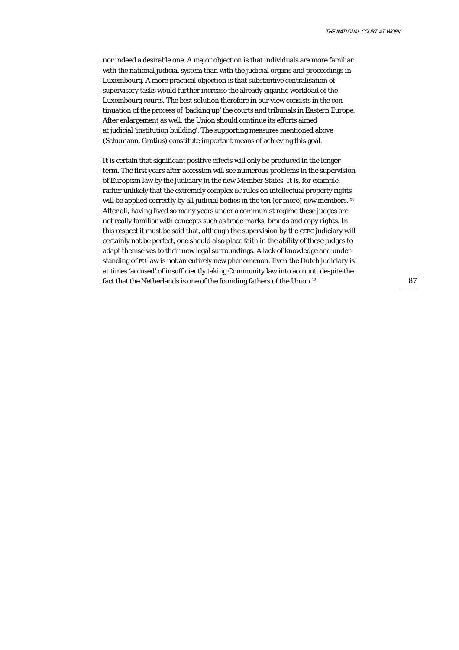nor indeed a desirable one. A major objection is that individuals are more familiar with the national judicial system than with the judicial organs and proceedings in Luxembourg. A more practical objection is that substantive centralisation of supervisory tasks would further increase the already gigantic workload of the Luxembourg courts. The best solution therefore in our view consists in the continuation of the process of 'backing up' the courts and tribunals in Eastern Europe. After enlargement as well, the Union should continue its efforts aimed at judicial 'institution building'. The supporting measures mentioned above (Schumann, Grotius) constitute important means of achieving this goal.

It is certain that significant positive effects will only be produced in the longer term. The first years after accession will see numerous problems in the supervision of European law by the judiciary in the new Member States. It is, for example, rather unlikely that the extremely complex EC rules on intellectual property rights will be applied correctly by all judicial bodies in the ten (or more) new members.<sup>28</sup> After all, having lived so many years under a communist regime these judges are not really familiar with concepts such as trade marks, brands and copy rights. In this respect it must be said that, although the supervision by the CEEC judiciary will certainly not be perfect, one should also place faith in the ability of these judges to adapt themselves to their new legal surroundings. A lack of knowledge and understanding of EU law is not an entirely new phenomenon. Even the Dutch judiciary is at times 'accused' of insufficiently taking Community law into account, despite the fact that the Netherlands is one of the founding fathers of the Union.29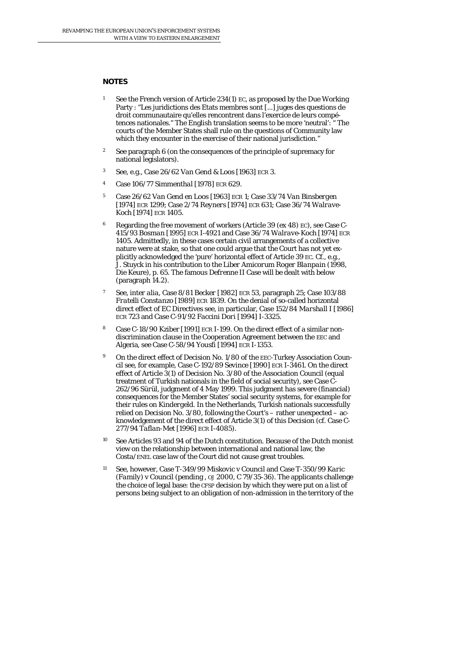### **NOTES**

- 1 See the French version of Article 234(1) EC, as proposed by the Due Working Party : "Les juridictions des Etats membres sont [...] juges des questions de droit communautaire qu'elles rencontrent dans l'exercice de leurs compétences nationales." The English translation seems to be more 'neutral': " The courts of the Member States shall rule on the questions of Community law which they encounter in the exercise of their national jurisdiction."
- <sup>2</sup> See paragraph 6 (on the consequences of the principle of supremacy for national legislators).
- 3 See, e.g., Case 26/62 *Van Gend & Loos* [1963] ECR 3.
- 4 Case 106/77 *Simmenthal* [1978] ECR 629.
- 5 Case 26/62 *Van Gend en Loos* [1963] ECR 1; Case 33/74 *Van Binsbergen* [1974] ECR 1299; Case 2/74 *Reyners* [1974] ECR 631; Case 36/74 *Walrave-Koch* [1974] ECR 1405.
- <sup>6</sup> Regarding the free movement of workers (Article 39 (ex 48) EC), see Case C-415/93 *Bosman* [1995] ECR I-4921 and Case 36/74 *Walrave-Koch* [1974] ECR 1405. Admittedly, in these cases certain civil arrangements of a *collective* nature were at stake, so that one could argue that the Court has not yet explicitly acknowledged the 'pure' horizontal effect of Article 39 EC. Cf., e.g. J. Stuyck in his contribution to the *Liber Amicorum Roger Blanpain* (1998, Die Keure), p. 65. The famous *Defrenne* II Case will be dealt with below (paragraph 14.2).
- 7 See, *inter alia*, Case 8/81 *Becker* [1982] ECR 53, paragraph 25; Case 103/88 *Fratelli Constanzo* [1989] ECR 1839. On the denial of so-called horizontal direct effect of EC Directives see, in particular, Case 152/84 *Marshall I* [1986] ECR 723 and Case C-91/92 *Faccini Dori* [1994] I-3325.
- 8 Case C-18/90 Kziber [1991] ECR I-199. On the direct effect of a similar nondiscrimination clause in the Cooperation Agreement between the EEC and Algeria, see Case C-58/94 *Yousfi* [1994] ECR I-1353.
- <sup>9</sup> On the direct effect of Decision No. 1/80 of the EEC-Turkey Association Council see, for example, Case C-192/89 *Sevince* [1990] ECR I-3461. On the direct effect of Article  $3(1)$  of Decision No. 3/80 of the Association Council (equal treatment of Turkish nationals in the field of social security), see Case C-262/96 *Sürül*, judgment of 4 May 1999. This judgment has severe (financial) consequences for the Member States' social security systems, for example for their rules on *Kindergeld*. In the Netherlands, Turkish nationals successfully relied on Decision No. 3/80, following the Court's – rather unexpected – acknowledgement of the direct effect of Article 3(1) of this Decision (cf. Case C-277/94 *Taflan-Met* [1996] ECR I-4085).
- 10 See Articles 93 and 94 of the Dutch constitution. Because of the Dutch monist view on the relationship between international and national law, the *Costa/ENEL* case law of the Court did not cause great troubles.
- 11 See, however, Case T-349/99 *Miskovic* v *Council* and Case T-350/*99 Karic (Family)* v *Council* (pending *, OJ* 2000, C 79/35-36). The applicants challenge the choice of legal base: the CFSP decision by which they were put on a list of persons being subject to an obligation of non-admission in the territory of the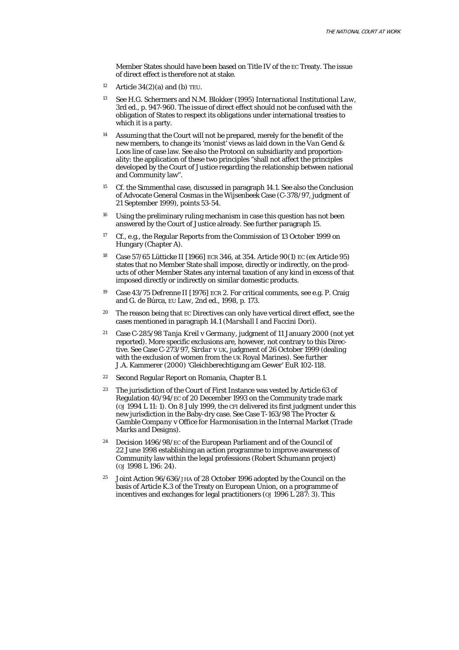Member States should have been based on Title IV of the EC Treaty. The issue of direct effect is therefore not at stake.

- <sup>12</sup> Article  $34(2)(a)$  and (b) TEU.
- 13 See H.G. Schermers and N.M. Blokker (1995) *International Institutional Law*, 3rd ed., p. 947-960. The issue of direct effect should not be confused with the obligation of States to respect its obligations under international treaties to which it is a party.
- 14 Assuming that the Court will not be prepared, merely for the benefit of the new members, to change its 'monist' views as laid down in the *Van Gend & Loos* line of case law. See also the Protocol on subsidiarity and proportionality: the application of these two principles "shall not affect the principles developed by the Court of Justice regarding the relationship between national and Community law".
- 15 Cf. the *Simmenthal* case, discussed in paragraph 14.1. See also the Conclusion of Advocate General Cosmas in the *Wijsenbeek* Case (C-378/97, judgment of 21 September 1999), points 53-54.
- <sup>16</sup> Using the preliminary ruling mechanism in case this question has not been answered by the Court of Justice already. See further paragraph 15.
- <sup>17</sup> Cf., e.g., the Regular Reports from the Commission of 13 October 1999 on Hungary (Chapter A).
- 18 Case 57/65 *Lütticke II* [1966] ECR 346, at 354. Article 90(1) EC (ex Article 95) states that no Member State shall impose, directly or indirectly, on the products of other Member States any internal taxation of any kind in excess of that imposed directly or indirectly on similar domestic products.
- 19 Case 43/75 *Defrenne II* [1976] ECR 2. For critical comments, see e.g. P. Craig and G. de Búrca, *EU Law*, 2nd ed., 1998, p. 173.
- 20 The reason being that EC Directives can only have vertical direct effect, see the cases mentioned in paragraph 14.1 (*Marshall I* and *Faccini Dori*).
- 21 Case C-285/98 *Tanja Kreil* v *Germany*, judgment of 11 January 2000 (not yet reported). More specific exclusions are, however, not contrary to this Directive. See Case C-273/97, *Sirdar* v *UK*, judgment of 26 October 1999 (dealing with the exclusion of women from the UK Royal Marines). See further J.A. Kammerer (2000) 'Gleichberechtigung am Gewer' EuR 102-118.
- 22 Second Regular Report on Romania, Chapter B.1.
- 23 The jurisdiction of the Court of First Instance was vested by Article 63 of Regulation 40/94/EC of 20 December 1993 on the Community trade mark (*OJ* 1994 L 11: 1). On 8 July 1999, the CFI delivered its first judgment under this new jurisdiction in the Baby-dry case. See Case T-163/98 *The Procter & Gamble Company* v *Office for Harmonisation in the Internal Market (Trade Marks and Designs)*.
- 24 Decision 1496/98/EC of the European Parliament and of the Council of 22 June 1998 establishing an action programme to improve awareness of Community law within the legal professions (Robert Schumann project) (*OJ* 1998 L 196: 24).
- 25 Joint Action 96/636/JHA of 28 October 1996 adopted by the Council on the basis of Article K.3 of the Treaty on European Union, on a programme of incentives and exchanges for legal practitioners (*OJ* 1996 L 287: 3). This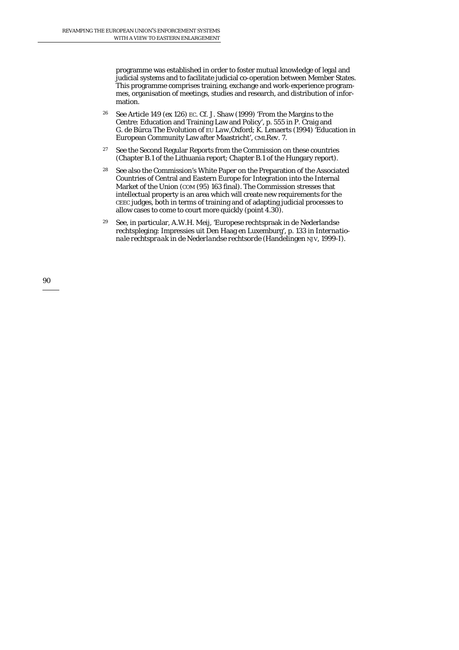programme was established in order to foster mutual knowledge of legal and judicial systems and to facilitate judicial co-operation between Member States. This programme comprises training, exchange and work-experience programmes, organisation of meetings, studies and research, and distribution of information.

- 26 See Article 149 (ex 126) EC. Cf. J. Shaw (1999) 'From the Margins to the Centre: Education and Training Law and Policy', p. 555 in P. Craig and G. de Búrca *The Evolution of EU Law*,Oxford; K. Lenaerts (1994) 'Education in European Community Law after Maastricht', *CMLRev.* 7.
- <sup>27</sup> See the Second Regular Reports from the Commission on these countries (Chapter B.1 of the Lithuania report; Chapter B.1 of the Hungary report).
- 28 See also the Commission's White Paper on the Preparation of the Associated Countries of Central and Eastern Europe for Integration into the Internal Market of the Union (*COM* (95) 163 final). The Commission stresses that intellectual property is an area which will create new requirements for the CEEC judges, both in terms of training and of adapting judicial processes to allow cases to come to court more quickly (point 4.30).
- 29 See, in particular, A.W.H. Meij, 'Europese rechtspraak in de Nederlandse rechtspleging: Impressies uit Den Haag en Luxemburg', p. 133 in *Internationale rechtspraak in de Nederlandse rechtsorde* (Handelingen NJV, 1999-I).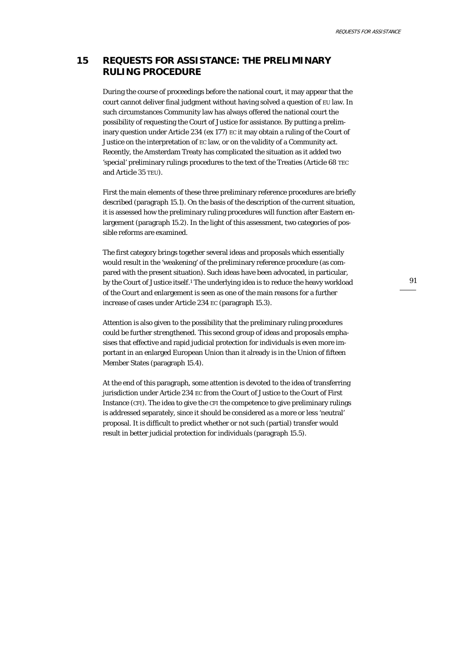# **15 REQUESTS FOR ASSISTANCE: THE PRELIMINARY RULING PROCEDURE**

During the course of proceedings before the national court, it may appear that the court cannot deliver final judgment without having solved a question of EU law. In such circumstances Community law has always offered the national court the possibility of requesting the Court of Justice for assistance. By putting a preliminary question under Article 234 (ex 177) EC it may obtain a ruling of the Court of Justice on the interpretation of EC law, or on the validity of a Community act. Recently, the Amsterdam Treaty has complicated the situation as it added two 'special' preliminary rulings procedures to the text of the Treaties (Article 68 TEC and Article 35 TEU).

First the main elements of these three preliminary reference procedures are briefly described (paragraph 15.1). On the basis of the description of the current situation, it is assessed how the preliminary ruling procedures will function after Eastern enlargement (paragraph 15.2). In the light of this assessment, two categories of possible reforms are examined.

The first category brings together several ideas and proposals which essentially would result in the 'weakening' of the preliminary reference procedure (as compared with the present situation). Such ideas have been advocated, in particular, by the Court of Justice itself.1 The underlying idea is to reduce the heavy workload of the Court and enlargement is seen as one of the main reasons for a further increase of cases under Article 234 EC (paragraph 15.3).

Attention is also given to the possibility that the preliminary ruling procedures could be further *strengthened*. This second group of ideas and proposals emphasises that effective and rapid judicial protection for individuals is even more important in an enlarged European Union than it already is in the Union of fifteen Member States (paragraph 15.4).

At the end of this paragraph, some attention is devoted to the idea of transferring jurisdiction under Article 234 EC from the Court of Justice to the Court of First Instance (CFI). The idea to give the CFI the competence to give preliminary rulings is addressed separately, since it should be considered as a more or less 'neutral' proposal. It is difficult to predict whether or not such (partial) transfer would result in better judicial protection for individuals (paragraph 15.5).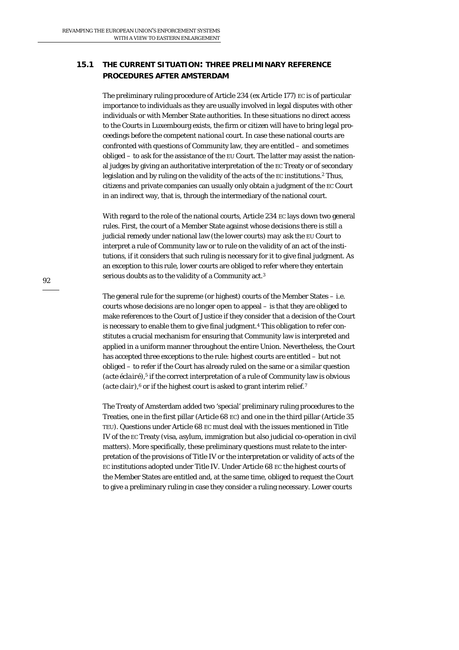# **15.1 THE CURRENT SITUATION: THREE PRELIMINARY REFERENCE PROCEDURES AFTER AMSTERDAM**

The preliminary ruling procedure of Article 234 (ex Article 177) EC is of particular importance to individuals as they are usually involved in legal disputes with other individuals or with Member State authorities. In these situations no direct access to the Courts in Luxembourg exists, the firm or citizen will have to bring legal proceedings before the competent *national* court. In case these national courts are confronted with questions of Community law, they are entitled – and sometimes obliged – to ask for the assistance of the EU Court. The latter may assist the national judges by giving an authoritative interpretation of the EC Treaty or of secondary legislation and by ruling on the validity of the acts of the EC institutions.2 Thus, citizens and private companies can usually only obtain a judgment of the EC Court in an *in*direct way, that is, through the intermediary of the national court.

With regard to the role of the national courts, Article 234 EC lays down two general rules. First, the court of a Member State against whose decisions there is still a judicial remedy under national law (the lower courts) *may* ask the EU Court to interpret a rule of Community law or to rule on the validity of an act of the institutions, if it considers that such ruling is necessary for it to give final judgment. As an exception to this rule, lower courts are *obliged* to refer where they entertain serious doubts as to the validity of a Community act.3

The general rule for the supreme (or highest) courts of the Member States – i.e. courts whose decisions are no longer open to appeal – is that they are obliged to make references to the Court of Justice if they consider that a decision of the Court is necessary to enable them to give final judgment.4 This obligation to refer constitutes a crucial mechanism for ensuring that Community law is interpreted and applied in a uniform manner throughout the entire Union. Nevertheless, the Court has accepted three exceptions to the rule: highest courts are entitled – but not obliged – to refer if the Court has already ruled on the same or a similar question (*acte éclairé*),<sup>5</sup> if the correct interpretation of a rule of Community law is obvious (*acte clair*),<sup>6</sup> or if the highest court is asked to grant interim relief.<sup>7</sup>

The Treaty of Amsterdam added two 'special' preliminary ruling procedures to the Treaties, one in the first pillar (Article 68 EC) and one in the third pillar (Article 35 TEU). Questions under Article 68 EC must deal with the issues mentioned in Title IV of the EC Treaty (visa, asylum, immigration but also judicial co-operation in civil matters). More specifically, these preliminary questions must relate to the interpretation of the provisions of Title IV or the interpretation or validity of acts of the EC institutions adopted under Title IV. Under Article 68 EC the highest courts of the Member States are entitled and, at the same time, obliged to request the Court to give a preliminary ruling in case they consider a ruling necessary. Lower courts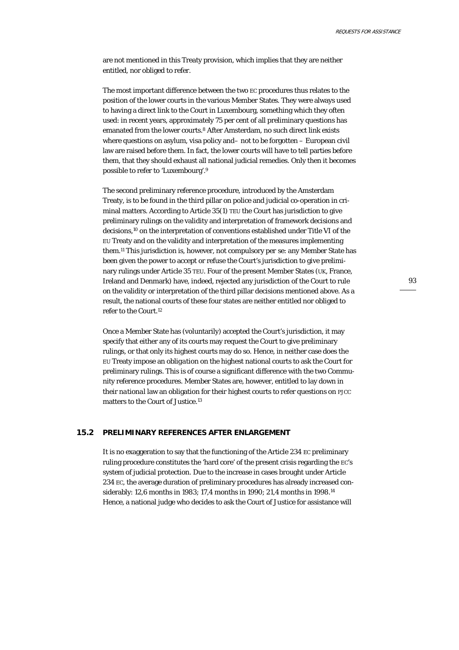are not mentioned in this Treaty provision, which implies that they are neither entitled, nor obliged to refer.

The most important difference between the two EC procedures thus relates to the position of the lower courts in the various Member States. They were always used to having a direct link to the Court in Luxembourg, something which they often used: in recent years, approximately 75 per cent of all preliminary questions has emanated from the lower courts.8 After Amsterdam, no such direct link exists where questions on asylum, visa policy and– not to be forgotten – European civil law are raised before them. In fact, the lower courts will have to tell parties before them, that they should exhaust all national judicial remedies. Only then it becomes possible to refer to 'Luxembourg'.9

The second preliminary reference procedure, introduced by the Amsterdam Treaty, is to be found in the third pillar on police and judicial co-operation in criminal matters. According to Article 35(1) TEU the Court has jurisdiction to give preliminary rulings on the validity and interpretation of framework decisions and decisions,10 on the interpretation of conventions established under Title VI of the EU Treaty and on the validity and interpretation of the measures implementing them.11 This jurisdiction is, however, not compulsory *per se*: any Member State has been given the power to accept or refuse the Court's jurisdiction to give preliminary rulings under Article 35 TEU. Four of the present Member States (UK, France, Ireland and Denmark) have, indeed, rejected any jurisdiction of the Court to rule on the validity or interpretation of the third pillar decisions mentioned above. As a result, the national courts of these four states are neither entitled nor obliged to refer to the Court.12

Once a Member State has (voluntarily) accepted the Court's jurisdiction, it may specify that either any of its courts may request the Court to give preliminary rulings, or that only its highest courts may do so. Hence, in neither case does the EU Treaty impose an *obligation* on the highest national courts to ask the Court for preliminary rulings. This is of course a significant difference with the two Community reference procedures. Member States are, however, entitled to lay down in their *national* law an obligation for their highest courts to refer questions on PJCC matters to the Court of Justice.13

### **15.2 PRELIMINARY REFERENCES AFTER ENLARGEMENT**

It is no exaggeration to say that the functioning of the Article 234 EC preliminary ruling procedure constitutes the 'hard core' of the present crisis regarding the EC's system of judicial protection. Due to the increase in cases brought under Article 234 EC, the average duration of preliminary procedures has already increased considerably: 12,6 months in 1983; 17,4 months in 1990; 21,4 months in 1998.14 Hence, a national judge who decides to ask the Court of Justice for assistance will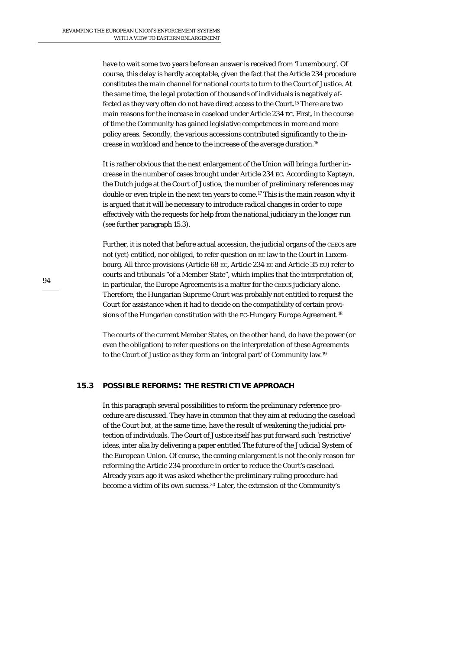have to wait some two years before an answer is received from 'Luxembourg'. Of course, this delay is hardly acceptable, given the fact that the Article 234 procedure constitutes the main channel for national courts to turn to the Court of Justice. At the same time, the legal protection of thousands of individuals is negatively affected as they very often do not have direct access to the Court.15 There are two main reasons for the increase in caseload under Article 234 EC. First, in the course of time the Community has gained legislative competences in more and more policy areas. Secondly, the various accessions contributed significantly to the increase in workload and hence to the increase of the average duration.16

It is rather obvious that the next enlargement of the Union will bring a further increase in the number of cases brought under Article 234 EC. According to Kapteyn, the Dutch judge at the Court of Justice, the number of preliminary references may double or even triple in the next ten years to come.17 This is the main reason why it is argued that it will be necessary to introduce radical changes in order to cope effectively with the requests for help from the national judiciary in the longer run (see further paragraph 15.3).

Further, it is noted that *before* actual accession, the judicial organs of the CEECs are not (yet) entitled, nor obliged, to refer question on EC law to the Court in Luxembourg. All three provisions (Article 68 EC, Article 234 EC and Article 35 EU) refer to courts and tribunals "of a Member State", which implies that the interpretation of, in particular, the Europe Agreements is a matter for the CEECs judiciary alone. Therefore, the Hungarian Supreme Court was probably not entitled to request the Court for assistance when it had to decide on the compatibility of certain provisions of the Hungarian constitution with the EC-Hungary Europe Agreement.<sup>18</sup>

The courts of the current Member States, on the other hand, do have the power (or even the obligation) to refer questions on the interpretation of these Agreements to the Court of Justice as they form an 'integral part' of Community law.19

### **15.3 POSSIBLE REFORMS: THE RESTRICTIVE APPROACH**

In this paragraph several possibilities to reform the preliminary reference procedure are discussed. They have in common that they aim at reducing the caseload of the Court but, at the same time, have the result of weakening the judicial protection of individuals. The Court of Justice itself has put forward such 'restrictive' ideas, inter alia by delivering a paper entitled *The future of the Judicial System of the European Union.* Of course, the coming enlargement is not the only reason for reforming the Article 234 procedure in order to reduce the Court's caseload. Already years ago it was asked whether the preliminary ruling procedure had become a victim of its own success.20 Later, the extension of the Community's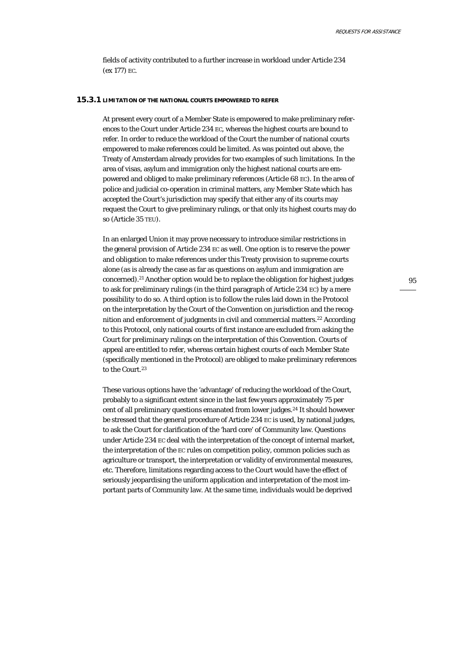fields of activity contributed to a further increase in workload under Article 234 (ex 177) EC.

### **15.3.1 LIMITATION OF THE NATIONAL COURTS EMPOWERED TO REFER**

At present every court of a Member State is empowered to make preliminary references to the Court under Article 234 EC, whereas the highest courts are bound to refer. In order to reduce the workload of the Court the number of national courts empowered to make references could be limited. As was pointed out above, the Treaty of Amsterdam already provides for two examples of such limitations. In the area of visas, asylum and immigration only the highest national courts are empowered and obliged to make preliminary references (Article 68 EC). In the area of police and judicial co-operation in criminal matters, any Member State which has accepted the Court's jurisdiction may specify that either any of its courts may request the Court to give preliminary rulings, or that only its highest courts may do so (Article 35 TEU).

In an enlarged Union it may prove necessary to introduce similar restrictions in the general provision of Article 234 EC as well. One option is to reserve the power and obligation to make references under this Treaty provision to supreme courts alone (as is already the case as far as questions on asylum and immigration are concerned).21 Another option would be to replace the obligation for highest judges to ask for preliminary rulings (in the third paragraph of Article 234 EC) by a mere possibility to do so. A third option is to follow the rules laid down in the Protocol on the interpretation by the Court of the Convention on jurisdiction and the recognition and enforcement of judgments in civil and commercial matters.22 According to this Protocol, only national courts of first instance are excluded from asking the Court for preliminary rulings on the interpretation of this Convention. Courts of appeal are entitled to refer, whereas certain highest courts of each Member State (specifically mentioned in the Protocol) are obliged to make preliminary references to the Court.<sup>23</sup>

These various options have the 'advantage' of reducing the workload of the Court, probably to a significant extent since in the last few years approximately 75 per cent of all preliminary questions emanated from lower judges.24 It should however be stressed that the general procedure of Article 234 EC is used, by national judges, to ask the Court for clarification of the 'hard core' of Community law. Questions under Article 234 EC deal with the interpretation of the concept of internal market, the interpretation of the EC rules on competition policy, common policies such as agriculture or transport, the interpretation or validity of environmental measures, etc. Therefore, limitations regarding access to the Court would have the effect of seriously jeopardising the uniform application and interpretation of the most important parts of Community law. At the same time, individuals would be deprived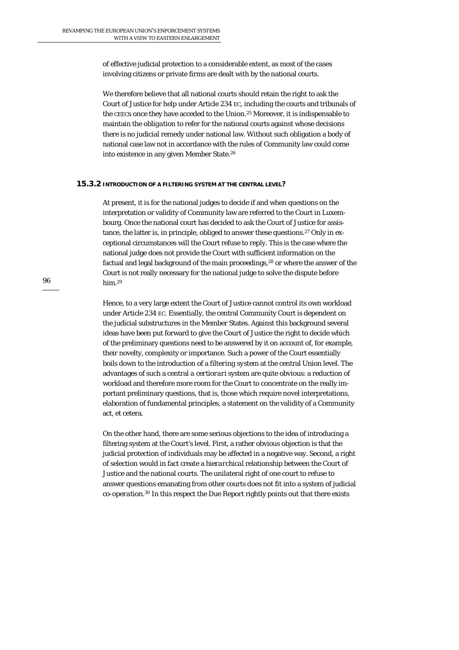of effective judicial protection to a considerable extent, as most of the cases involving citizens or private firms are dealt with by the national courts.

We therefore believe that all national courts should retain the right to ask the Court of Justice for help under Article 234 EC, including the courts and tribunals of the CEECs once they have acceded to the Union.25 Moreover, it is indispensable to maintain the *obligation* to refer for the national courts against whose decisions there is no judicial remedy under national law. Without such obligation a body of national case law not in accordance with the rules of Community law could come into existence in any given Member State.26

#### **15.3.2 INTRODUCTION OF A FILTERING SYSTEM AT THE CENTRAL LEVEL?**

At present, it is for the national judges to decide if and when questions on the interpretation or validity of Community law are referred to the Court in Luxembourg. Once the national court has decided to ask the Court of Justice for assistance, the latter is, in principle, obliged to answer these questions.<sup>27</sup> Only in exceptional circumstances will the Court refuse to reply. This is the case where the national judge does not provide the Court with sufficient information on the factual and legal background of the main proceedings,<sup>28</sup> or where the answer of the Court is not really necessary for the national judge to solve the dispute before him.29

Hence, to a very large extent the Court of Justice cannot control its own workload under Article 234 EC. Essentially, the central Community Court is dependent on the judicial substructures in the Member States. Against this background several ideas have been put forward to give the Court of Justice the right to decide which of the preliminary questions need to be answered by it on account of, for example, their novelty, complexity or importance. Such a power of the Court essentially boils down to the introduction of a *filtering system* at the central Union level. The advantages of such a central *a certiorari* system are quite obvious: a reduction of workload and therefore more room for the Court to concentrate on the really important preliminary questions, that is, those which require novel interpretations, elaboration of fundamental principles, a statement on the validity of a Community act, et cetera.

On the other hand, there are some serious objections to the idea of introducing a filtering system at the Court's level. First, a rather obvious objection is that the judicial protection of individuals may be affected in a negative way. Second, a right of selection would in fact create a *hierarchical* relationship between the Court of Justice and the national courts. The unilateral right of one court to refuse to answer questions emanating from other courts does not fit into a system of judicial *co-operation*.30 In this respect the Due Report rightly points out that there exists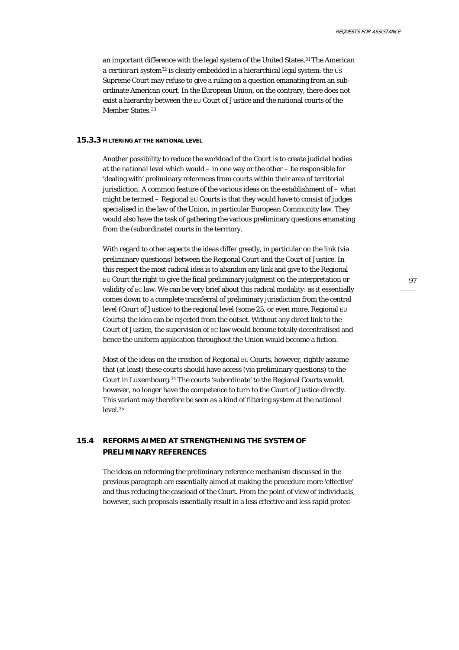an important difference with the legal system of the United States.31 The American *a certiorari* system<sup>32</sup> is clearly embedded in a hierarchical legal system: the US Supreme Court may refuse to give a ruling on a question emanating from an subordinate American court. In the European Union, on the contrary, there does not exist a hierarchy between the EU Court of Justice and the national courts of the Member States.<sup>33</sup>

### **15.3.3 FILTERING AT THE NATIONAL LEVEL**

Another possibility to reduce the workload of the Court is to create judicial bodies at the *national* level which would – in one way or the other – be responsible for 'dealing with' preliminary references from courts within their area of territorial jurisdiction. A common feature of the various ideas on the establishment of – what might be termed – Regional EU Courts is that they would have to consist of judges specialised in the law of the Union, in particular European Community law. They would also have the task of gathering the various preliminary questions emanating from the (subordinate) courts in the territory.

With regard to other aspects the ideas differ greatly, in particular on the *link* (via preliminary questions) between the Regional Court and the Court of Justice. In this respect the most radical idea is to abandon any link and give to the Regional EU Court the right to give the final preliminary judgment on the interpretation or validity of EC law. We can be very brief about this radical modality: as it essentially comes down to a complete transferral of preliminary jurisdiction from the central level (Court of Justice) to the regional level (some 25, or even more, Regional EU Courts) the idea can be rejected from the outset. Without any direct link to the Court of Justice, the supervision of EC law would become totally decentralised and hence the uniform application throughout the Union would become a fiction.

Most of the ideas on the creation of Regional EU Courts, however, rightly assume that (at least) these courts should have access (via preliminary questions) to the Court in Luxembourg.34 The courts 'subordinate' to the Regional Courts would, however, no longer have the competence to turn to the Court of Justice directly. This variant may therefore be seen as a kind of filtering system at the *national* level.35

# **15.4 REFORMS AIMED AT STRENGTHENING THE SYSTEM OF PRELIMINARY REFERENCES**

The ideas on reforming the preliminary reference mechanism discussed in the previous paragraph are essentially aimed at making the procedure more 'effective' and thus reducing the caseload of the Court. From the point of view of *individuals*, however, such proposals essentially result in a less effective and less rapid protec-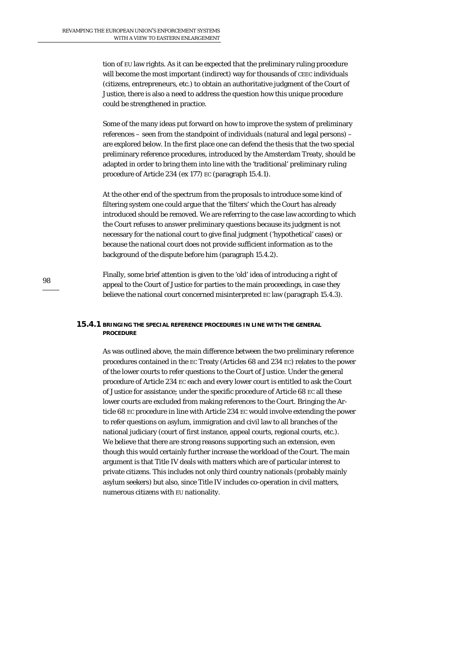tion of EU law rights. As it can be expected that the preliminary ruling procedure will become the most important (indirect) way for thousands of CEEC individuals (citizens, entrepreneurs, etc.) to obtain an authoritative judgment of the Court of Justice, there is also a need to address the question how this unique procedure could be strengthened in practice.

Some of the many ideas put forward on how to improve the system of preliminary references – seen from the standpoint of individuals (natural and legal persons) – are explored below. In the first place one can defend the thesis that the two special preliminary reference procedures, introduced by the Amsterdam Treaty, should be adapted in order to bring them into line with the 'traditional' preliminary ruling procedure of Article 234 (ex 177) EC (paragraph 15.4.1).

At the other end of the spectrum from the proposals to introduce some kind of filtering system one could argue that the 'filters' which the Court has already introduced should be removed. We are referring to the case law according to which the Court refuses to answer preliminary questions because its judgment is not necessary for the national court to give final judgment ('hypothetical' cases) or because the national court does not provide sufficient information as to the background of the dispute before him (paragraph 15.4.2).

Finally, some brief attention is given to the 'old' idea of introducing a right of appeal to the Court of Justice for parties to the main proceedings, in case they believe the national court concerned misinterpreted EC law (paragraph 15.4.3).

### **15.4.1 BRINGING THE SPECIAL REFERENCE PROCEDURES IN LINE WITH THE GENERAL PROCEDURE**

As was outlined above, the main difference between the two preliminary reference procedures contained in the EC Treaty (Articles 68 and 234 EC) relates to the power of the lower courts to refer questions to the Court of Justice. Under the general procedure of Article 234 EC each and every lower court is entitled to ask the Court of Justice for assistance; under the specific procedure of Article 68 EC all these lower courts are excluded from making references to the Court. Bringing the Article 68 EC procedure in line with Article 234 EC would involve extending the power to refer questions on asylum, immigration and civil law to all branches of the national judiciary (court of first instance, appeal courts, regional courts, etc.). We believe that there are strong reasons supporting such an extension, even though this would certainly further increase the workload of the Court. The main argument is that Title IV deals with matters which are of particular interest to private citizens. This includes not only third country nationals (probably mainly asylum seekers) but also, since Title IV includes co-operation in civil matters, numerous citizens with EU nationality.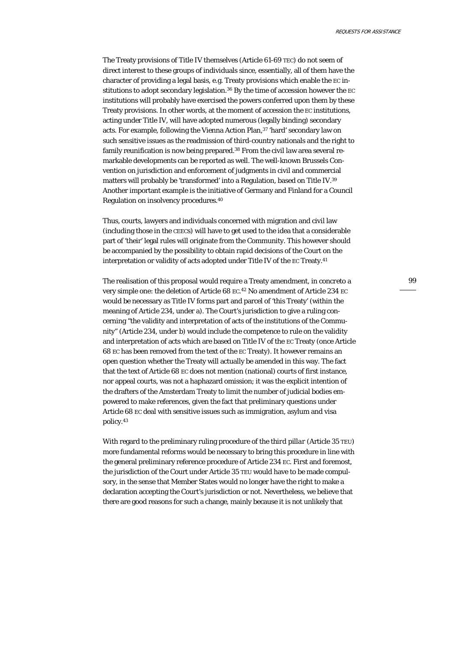The Treaty provisions of Title IV themselves (Article 61-69 TEC) do not seem of direct interest to these groups of individuals since, essentially, all of them have the character of providing a legal basis, e.g. Treaty provisions which enable the EC institutions to adopt secondary legislation.<sup>36</sup> By the time of accession however the EC institutions will probably have exercised the powers conferred upon them by these Treaty provisions. In other words, at the moment of accession the EC institutions, acting under Title IV, will have adopted numerous (legally binding) secondary acts. For example, following the Vienna Action Plan,<sup>37</sup> 'hard' secondary law on such sensitive issues as the readmission of third-country nationals and the right to family reunification is now being prepared.<sup>38</sup> From the civil law area several remarkable developments can be reported as well. The well-known Brussels Convention on jurisdiction and enforcement of judgments in civil and commercial matters will probably be 'transformed' into a Regulation, based on Title IV.39 Another important example is the initiative of Germany and Finland for a Council Regulation on insolvency procedures.40

Thus, courts, lawyers and individuals concerned with migration and civil law (including those in the CEECs) will have to get used to the idea that a considerable part of 'their' legal rules will originate from the Community. This however should be accompanied by the possibility to obtain rapid decisions of the Court on the interpretation or validity of acts adopted under Title IV of the EC Treaty.41

The realisation of this proposal would require a Treaty amendment, *in concreto* a very simple one: the deletion of Article 68 EC. 42 No amendment of Article 234 EC would be necessary as Title IV forms part and parcel of 'this Treaty' (within the meaning of Article 234, under a). The Court's jurisdiction to give a ruling concerning "the validity and interpretation of acts of the institutions of the Community" (Article 234, under b) would include the competence to rule on the validity and interpretation of acts which are based on Title IV of the EC Treaty (once Article 68 EC has been removed from the text of the EC Treaty). It however remains an open question whether the Treaty will actually be amended in this way. The fact that the text of Article 68 EC does not mention (national) courts of first instance, nor appeal courts, was not a haphazard omission; it was the explicit intention of the drafters of the Amsterdam Treaty to limit the number of judicial bodies empowered to make references, given the fact that preliminary questions under Article 68 EC deal with sensitive issues such as immigration, asylum and visa policy.43

With regard to the preliminary ruling procedure of the *third pillar* (Article 35 TEU) more fundamental reforms would be necessary to bring this procedure in line with the general preliminary reference procedure of Article 234 EC. First and foremost, the jurisdiction of the Court under Article 35 TEU would have to be made compulsory, in the sense that Member States would no longer have the right to make a declaration accepting the Court's jurisdiction or not. Nevertheless, we believe that there are good reasons for such a change, mainly because it is not unlikely that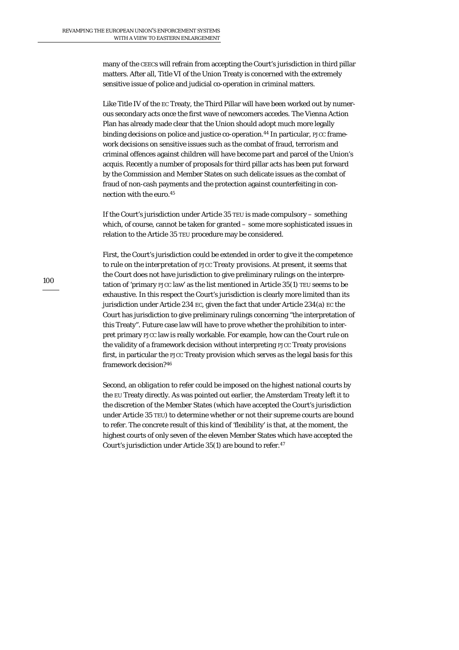many of the CEECs will refrain from accepting the Court's jurisdiction in third pillar matters. After all, Title VI of the Union Treaty is concerned with the extremely sensitive issue of police and judicial co-operation in criminal matters.

Like Title IV of the EC Treaty, the Third Pillar will have been worked out by numerous secondary acts once the first wave of newcomers accedes. The Vienna Action Plan has already made clear that the Union should adopt much more legally binding decisions on police and justice co-operation.<sup>44</sup> In particular, PJCC framework decisions on sensitive issues such as the combat of fraud, terrorism and criminal offences against children will have become part and parcel of the Union's acquis. Recently a number of proposals for third pillar acts has been put forward by the Commission and Member States on such delicate issues as the combat of fraud of non-cash payments and the protection against counterfeiting in connection with the euro.45

If the Court's jurisdiction under Article 35 TEU is made compulsory – something which, of course, cannot be taken for granted – some more sophisticated issues in relation to the Article 35 TEU procedure may be considered.

First, the Court's jurisdiction could be extended in order to give it the competence to rule on the *interpretation of PJCC Treaty provisions*. At present, it seems that the Court does not have jurisdiction to give preliminary rulings on the interpretation of 'primary PJCC law' as the list mentioned in Article 35(1) TEU seems to be exhaustive. In this respect the Court's jurisdiction is clearly more limited than its jurisdiction under Article 234 EC, given the fact that under Article 234(a) EC the Court has jurisdiction to give preliminary rulings concerning "the interpretation of this Treaty". Future case law will have to prove whether the prohibition to interpret primary PJCC law is really workable. For example, how can the Court rule on the validity of a framework decision without interpreting PJCC Treaty provisions first, in particular the PJCC Treaty provision which serves as the legal basis for this framework decision?46

Second, an *obligation* to refer could be imposed on the highest national courts by the EU Treaty directly. As was pointed out earlier, the Amsterdam Treaty left it to the discretion of the Member States (which have accepted the Court's jurisdiction under Article 35 TEU) to determine whether or not their supreme courts are bound to refer. The concrete result of this kind of 'flexibility' is that, at the moment, the highest courts of only seven of the eleven Member States which have accepted the Court's jurisdiction under Article 35(1) are bound to refer.47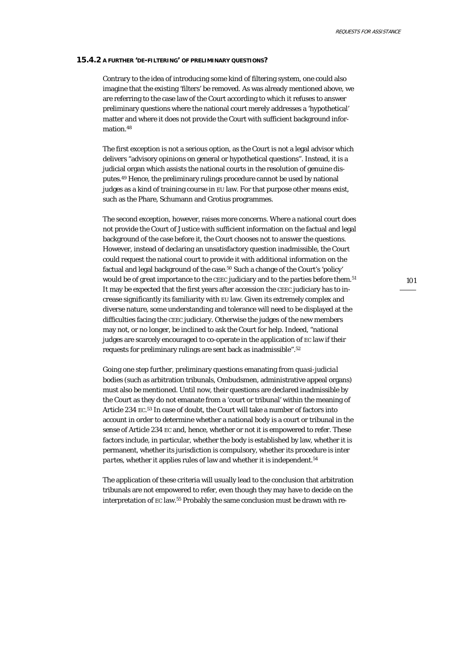#### **15.4.2 A FURTHER 'DE-FILTERING' OF PRELIMINARY QUESTIONS?**

Contrary to the idea of introducing some kind of filtering system, one could also imagine that the existing 'filters' be removed. As was already mentioned above, we are referring to the case law of the Court according to which it refuses to answer preliminary questions where the national court merely addresses a 'hypothetical' matter and where it does not provide the Court with sufficient background information.48

The first exception is not a serious option, as the Court is not a legal advisor which delivers "advisory opinions on general or hypothetical questions". Instead, it is a judicial organ which assists the national courts in the resolution of genuine disputes.49 Hence, the preliminary rulings procedure cannot be used by national judges as a kind of training course in EU law. For that purpose other means exist, such as the Phare, Schumann and Grotius programmes.

The second exception, however, raises more concerns. Where a national court does not provide the Court of Justice with sufficient information on the factual and legal background of the case before it, the Court chooses not to answer the questions. However, instead of declaring an unsatisfactory question inadmissible, the Court could request the national court to provide it with additional information on the factual and legal background of the case.50 Such a change of the Court's 'policy' would be of great importance to the CEEC judiciary and to the parties before them.<sup>51</sup> It may be expected that the first years after accession the CEEC judiciary has to increase significantly its familiarity with EU law. Given its extremely complex and diverse nature, some understanding and tolerance will need to be displayed at the difficulties facing the CEEC judiciary. Otherwise the judges of the new members may not, or no longer, be inclined to ask the Court for help. Indeed, "national judges are scarcely encouraged to co-operate in the application of EC law if their requests for preliminary rulings are sent back as inadmissible".52

Going one step further, preliminary questions emanating from *quasi-judicial* bodies (such as arbitration tribunals, Ombudsmen, administrative appeal organs) must also be mentioned. Until now, their questions are declared inadmissible by the Court as they do not emanate from a 'court or tribunal' within the meaning of Article 234 EC.<sup>53</sup> In case of doubt, the Court will take a number of factors into account in order to determine whether a national body is a court or tribunal in the sense of Article 234 EC and, hence, whether or not it is empowered to refer. These factors include, in particular, whether the body is established by law, whether it is permanent, whether its jurisdiction is compulsory, whether its procedure is *inter*  partes, whether it applies rules of law and whether it is independent.<sup>54</sup>

The application of these criteria will usually lead to the conclusion that arbitration tribunals are not empowered to refer, even though they may have to decide on the interpretation of EC law.55 Probably the same conclusion must be drawn with re-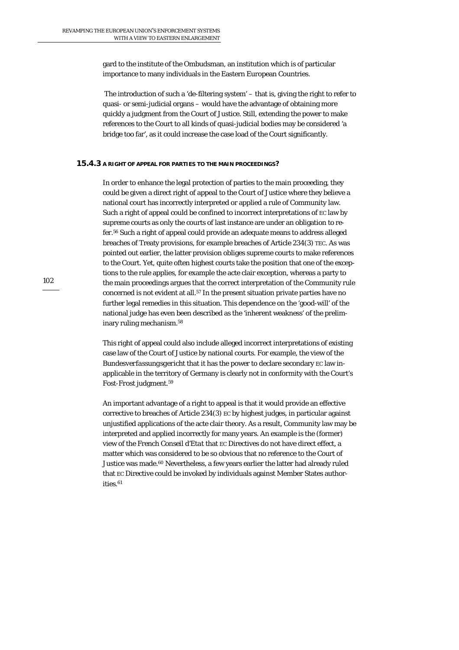gard to the institute of the Ombudsman, an institution which is of particular importance to many individuals in the Eastern European Countries.

 The introduction of such a 'de-filtering system' – that is, giving the right to refer to quasi- or semi-judicial organs – would have the advantage of obtaining more quickly a judgment from the Court of Justice. Still, extending the power to make references to the Court to all kinds of quasi-judicial bodies may be considered 'a bridge too far', as it could increase the case load of the Court significantly.

### **15.4.3 A RIGHT OF APPEAL FOR PARTIES TO THE MAIN PROCEEDINGS?**

In order to enhance the legal protection of parties to the main proceeding, they could be given a direct right of appeal to the Court of Justice where they believe a national court has incorrectly interpreted or applied a rule of Community law. Such a right of appeal could be confined to incorrect interpretations of EC law by supreme courts as only the courts of last instance are under an obligation to refer.56 Such a right of appeal could provide an adequate means to address alleged breaches of Treaty provisions, for example breaches of Article 234(3) TEC. As was pointed out earlier, the latter provision obliges supreme courts to make references to the Court. Yet, quite often highest courts take the position that one of the exceptions to the rule applies, for example the acte clair exception, whereas a party to the main proceedings argues that the correct interpretation of the Community rule concerned is not evident at all.57 In the present situation private parties have no further legal remedies in this situation. This dependence on the 'good-will' of the national judge has even been described as the 'inherent weakness' of the preliminary ruling mechanism.58

This right of appeal could also include alleged incorrect interpretations of existing case law of the Court of Justice by national courts. For example, the view of the *Bundesverfassungsgericht* that it has the power to declare secondary EC law inapplicable in the territory of Germany is clearly not in conformity with the Court's *Fost-Frost* judgment.59

An important advantage of a right to appeal is that it would provide an effective corrective to breaches of Article 234(3) EC by highest judges, in particular against unjustified applications of the acte clair theory. As a result, Community law may be interpreted and applied incorrectly for many years. An example is the (former) view of the French *Conseil d'Etat* that EC Directives do not have direct effect, a matter which was considered to be so obvious that no reference to the Court of Justice was made.<sup>60</sup> Nevertheless, a few years earlier the latter had already ruled that EC Directive could be invoked by individuals against Member States authorities.<sup>61</sup>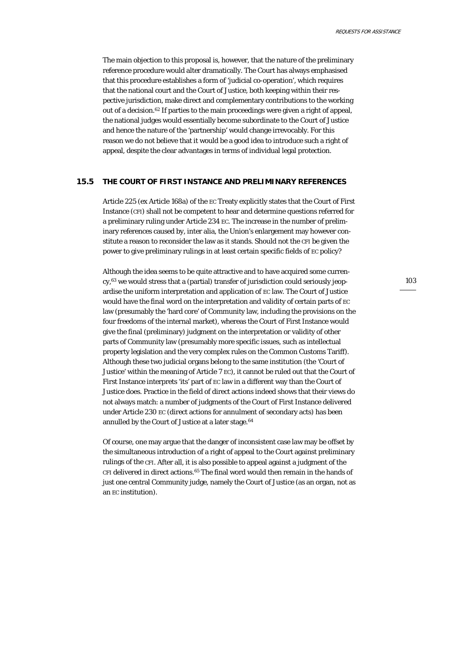The main objection to this proposal is, however, that the nature of the preliminary reference procedure would alter dramatically. The Court has always emphasised that this procedure establishes a form of 'judicial co-operation', which requires that the national court and the Court of Justice, both keeping within their respective jurisdiction, make direct and complementary contributions to the working out of a decision.62 If parties to the main proceedings were given a right of appeal, the national judges would essentially become subordinate to the Court of Justice and hence the nature of the 'partnership' would change irrevocably. For this reason we do not believe that it would be a good idea to introduce such a right of appeal, despite the clear advantages in terms of individual legal protection.

### **15.5 THE COURT OF FIRST INSTANCE AND PRELIMINARY REFERENCES**

Article 225 (ex Article 168a) of the EC Treaty explicitly states that the Court of First Instance (CFI) shall not be competent to hear and determine questions referred for a preliminary ruling under Article 234 EC. The increase in the number of preliminary references caused by, inter alia, the Union's enlargement may however constitute a reason to reconsider the law as it stands. Should not the CFI be given the power to give preliminary rulings in at least certain specific fields of EC policy?

Although the idea seems to be quite attractive and to have acquired some currency,63 we would stress that a (partial) transfer of jurisdiction could seriously jeopardise the uniform interpretation and application of EC law. The Court of Justice would have the final word on the interpretation and validity of certain parts of EC law (presumably the 'hard core' of Community law, including the provisions on the four freedoms of the internal market), whereas the Court of First Instance would give the final (preliminary) judgment on the interpretation or validity of other parts of Community law (presumably more specific issues, such as intellectual property legislation and the very complex rules on the Common Customs Tariff). Although these two judicial organs belong to the same institution (the 'Court of Justice' within the meaning of Article 7 EC), it cannot be ruled out that the Court of First Instance interprets 'its' part of EC law in a different way than the Court of Justice does. Practice in the field of direct actions indeed shows that their views do not always match: a number of judgments of the Court of First Instance delivered under Article 230 EC (direct actions for annulment of secondary acts) has been annulled by the Court of Justice at a later stage.64

Of course, one may argue that the danger of inconsistent case law may be offset by the simultaneous introduction of a right of appeal to the Court against preliminary rulings of the CFI. After all, it is also possible to appeal against a judgment of the CFI delivered in direct actions.65 The final word would then remain in the hands of just one central Community judge, namely the Court of Justice (as an organ, not as an EC institution).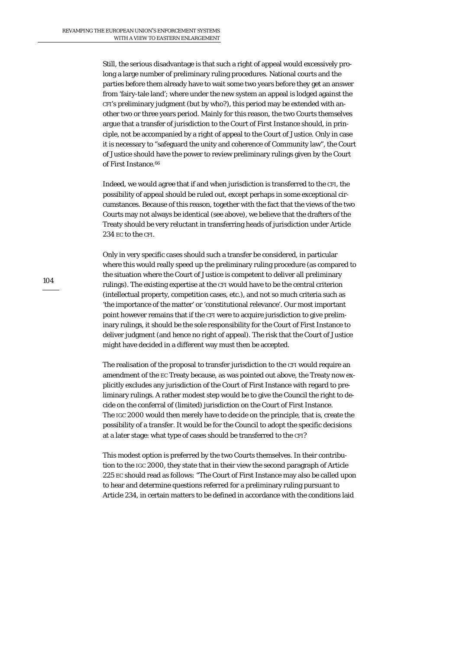Still, the serious disadvantage is that such a right of appeal would excessively prolong a large number of preliminary ruling procedures. National courts and the parties before them already have to wait some two years before they get an answer from 'fairy-tale land'; where under the new system an appeal is lodged against the CFI's preliminary judgment (but by who?), this period may be extended with another two or three years period. Mainly for this reason, the two Courts themselves argue that a transfer of jurisdiction to the Court of First Instance should, in principle, not be accompanied by a right of appeal to the Court of Justice. Only in case it is necessary to "safeguard the unity and coherence of Community law", the Court of Justice should have the power to review preliminary rulings given by the Court of First Instance.<sup>66</sup>

Indeed, we would agree that if and when jurisdiction is transferred to the CFI, the possibility of appeal should be ruled out, except perhaps in some exceptional circumstances. Because of this reason, together with the fact that the views of the two Courts may not always be identical (see above), we believe that the drafters of the Treaty should be very reluctant in transferring heads of jurisdiction under Article 234 EC to the CFI.

Only in very specific cases should such a transfer be considered, in particular where this would really speed up the preliminary ruling procedure (as compared to the situation where the Court of Justice is competent to deliver all preliminary rulings). The existing expertise at the CFI would have to be the central criterion (intellectual property, competition cases, etc.), and not so much criteria such as 'the importance of the matter' or 'constitutional relevance'. Our most important point however remains that if the CFI were to acquire jurisdiction to give preliminary rulings, it should be the sole responsibility for the Court of First Instance to deliver judgment (and hence no right of appeal). The risk that the Court of Justice might have decided in a different way must then be accepted.

The realisation of the proposal to transfer jurisdiction to the CFI would require an amendment of the EC Treaty because, as was pointed out above, the Treaty now explicitly excludes any jurisdiction of the Court of First Instance with regard to preliminary rulings. A rather modest step would be to give the Council the right to decide on the conferral of (limited) jurisdiction on the Court of First Instance. The IGC 2000 would then merely have to decide on the principle, that is, create the possibility of a transfer. It would be for the Council to adopt the specific decisions at a later stage: what type of cases should be transferred to the CFI?

This modest option is preferred by the two Courts themselves. In their contribution to the IGC 2000, they state that in their view the second paragraph of Article 225 EC should read as follows: "The Court of First Instance may also be called upon to hear and determine questions referred for a preliminary ruling pursuant to Article 234, in certain matters to be defined in accordance with the conditions laid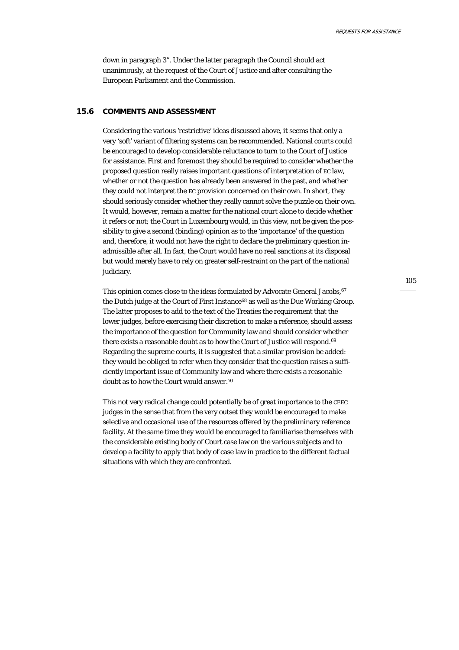down in paragraph 3". Under the latter paragraph the Council should act unanimously, at the request of the Court of Justice and after consulting the European Parliament and the Commission.

### **15.6 COMMENTS AND ASSESSMENT**

Considering the various 'restrictive' ideas discussed above, it seems that only a very 'soft' variant of filtering systems can be recommended. National courts could be encouraged to develop considerable reluctance to turn to the Court of Justice for assistance. First and foremost they should be required to consider whether the proposed question really raises important questions of interpretation of EC law, whether or not the question has already been answered in the past, and whether they could not interpret the EC provision concerned on their own. In short, they should seriously consider whether they really cannot solve the puzzle on their own. It would, however, remain a matter for the national court *alone* to decide whether it refers or not; the Court in Luxembourg would, in this view, not be given the possibility to give a second (binding) opinion as to the 'importance' of the question and, therefore, it would not have the right to declare the preliminary question inadmissible after all. In fact, the Court would have no real sanctions at its disposal but would merely have to rely on greater self-restraint on the part of the national judiciary.

This opinion comes close to the ideas formulated by Advocate General Jacobs, 67 the Dutch judge at the Court of First Instance<sup>68</sup> as well as the Due Working Group. The latter proposes to add to the text of the Treaties the requirement that the lower judges, before exercising their discretion to make a reference, should assess the importance of the question for Community law and should consider whether there exists a reasonable doubt as to how the Court of Justice will respond.<sup>69</sup> Regarding the supreme courts, it is suggested that a similar provision be added: they would be obliged to refer when they consider that the question raises a sufficiently important issue of Community law and where there exists a reasonable doubt as to how the Court would answer.70

This not very radical change could potentially be of great importance to the CEEC judges in the sense that from the very outset they would be encouraged to make selective and occasional use of the resources offered by the preliminary reference facility. At the same time they would be encouraged to familiarise themselves with the considerable existing body of Court case law on the various subjects and to develop a facility to apply that body of case law in practice to the different factual situations with which they are confronted.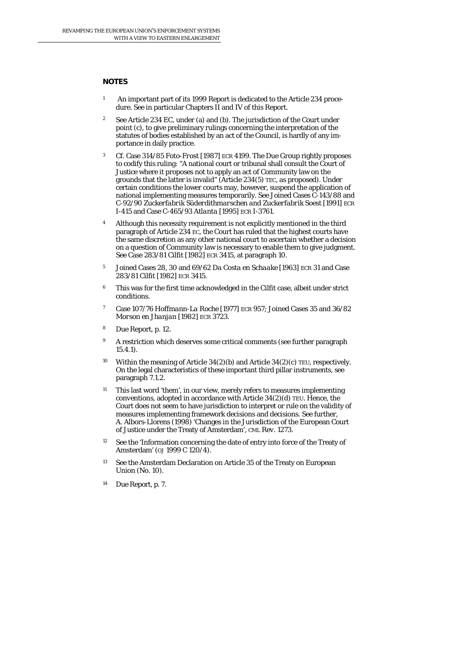### **NOTES**

- 1 An important part of its 1999 Report is dedicated to the Article 234 procedure. See in particular Chapters II and IV of this Report.
- 2 See Article 234 EC, under (a) and (b). The jurisdiction of the Court under point (c), to give preliminary rulings concerning the interpretation of the statutes of bodies established by an act of the Council, is hardly of any importance in daily practice.
- 3 Cf. Case 314/85 *Foto-Frost* [1987] ECR 4199. The Due Group rightly proposes to codify this ruling: "A national court or tribunal shall consult the Court of Justice where it proposes not to apply an act of Community law on the grounds that the latter is invalid" (Article 234(5) TEC, as proposed). Under certain conditions the lower courts may, however, suspend the application of national implementing measures temporarily. See Joined Cases C-143/88 and C-92/90 *Zuckerfabrik Süderdithmarschen and Zuckerfabrik Soest* [1991] ECR I-415 and Case C-465/93 *Atlanta* [1995] ECR I-3761.
- 4 Although this necessity requirement is not explicitly mentioned in the third paragraph of Article 234 EC, the Court has ruled that the highest courts have the same discretion as any other national court to ascertain whether a decision on a question of Community law is necessary to enable them to give judgment. See Case 283/81 *Cilfit* [1982] ECR 3415, at paragraph 10.
- 5 Joined Cases 28, 30 and 69/62 *Da Costa en Schaake* [1963] ECR 31 and Case 283/81 *Cilfit* [1982] ECR 3415.
- 6 This was for the first time acknowledged in the *Cilfit* case, albeit under strict conditions.
- 7 Case 107/76 *Hoffmann-La Roche* [1977] ECR 957; Joined Cases 35 and 36/82 *Morson en Jhanjan* [1982] ECR 3723.
- 8 Due Report, p. 12.
- <sup>9</sup> A restriction which deserves some critical comments (see further paragraph 15.4.1).
- <sup>10</sup> Within the meaning of Article  $34(2)(b)$  and Article  $34(2)(c)$  TEU, respectively. On the legal characteristics of these important third pillar instruments, see paragraph 7.1.2.
- <sup>11</sup> This last word 'them', in our view, merely refers to measures implementing *conventions*, adopted in accordance with Article 34(2)(d) TEU. Hence, the Court does not seem to have jurisdiction to interpret or rule on the validity of measures implementing framework decisions and decisions. See further, A. Albors-Llorens (1998) 'Changes in the Jurisdiction of the European Court of Justice under the Treaty of Amsterdam', *CML Rev*. 1273.
- <sup>12</sup> See the 'Information concerning the date of entry into force of the Treaty of Amsterdam' (*OJ* 1999 C 120/4).
- <sup>13</sup> See the Amsterdam Declaration on Article 35 of the Treaty on European Union (No. 10).
- 14 Due Report, p. 7.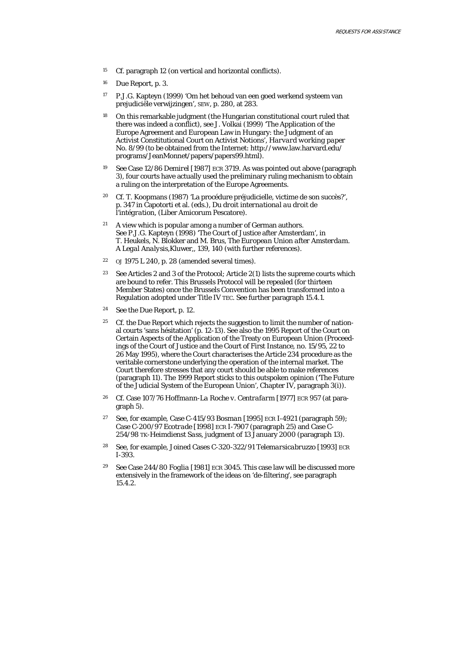- 15 Cf. paragraph 12 (on vertical and horizontal conflicts).
- 16 Due Report, p. 3.
- 17 P.J.G. Kapteyn (1999) 'Om het behoud van een goed werkend systeem van prejudiciële verwijzingen', *SEW*, p. 280, at 283.
- 18 On this remarkable judgment (the Hungarian constitutional court ruled that there was indeed a conflict), see J. Volkai (1999) 'The Application of the Europe Agreement and European Law in Hungary: the Judgment of an Activist Constitutional Court on Activist Notions', *Harvard working paper No. 8/99* (to be obtained from the Internet: http://www.law.harvard.edu/ programs/JeanMonnet/papers/papers99.html).
- 19 See Case 12/86 *Demirel* [1987] ECR 3719. As was pointed out above (paragraph 3), four courts have actually used the preliminary ruling mechanism to obtain a ruling on the interpretation of the Europe Agreements.
- 20 Cf. T. Koopmans (1987) 'La procédure préjudicielle, victime de son succès?', p. 347 in Capotorti et al. (eds.), *Du droit international au droit de l'intégration*, (Liber Amicorum Pescatore).
- $21$  A view which is popular among a number of German authors. See P.J.G. Kapteyn (1998) 'The Court of Justice after Amsterdam', in T. Heukels, N. Blokker and M. Brus, *The European Union after Amsterdam. A Legal Analysis*,Kluwer,, 139, 140 (with further references).
- <sup>22</sup> *OJ* 1975 L 240, p. 28 (amended several times).
- 23 See Articles 2 and 3 of the Protocol; Article 2(1) lists the supreme courts which are bound to refer. This Brussels Protocol will be repealed (for thirteen Member States) once the Brussels Convention has been transformed into a Regulation adopted under Title IV TEC. See further paragraph 15.4.1.
- 24 See the Due Report, p. 12.
- <sup>25</sup> Cf. the Due Report which rejects the suggestion to limit the number of national courts 'sans hésitation' (p. 12-13). See also the 1995 Report of the Court on Certain Aspects of the Application of the Treaty on European Union (Proceedings of the Court of Justice and the Court of First Instance, no. 15/95, 22 to 26 May 1995), where the Court characterises the Article 234 procedure as the veritable cornerstone underlying the operation of the internal market. The Court therefore stresses that any court should be able to make references (paragraph 11). The 1999 Report sticks to this outspoken opinion ('The Future of the Judicial System of the European Union', Chapter IV, paragraph 3(i)).
- 26 Cf. Case 107/76 *Hoffmann-La Roche v. Centrafarm* [1977] ECR 957 (at paragraph 5).
- 27 See, for example, Case C-415/93 *Bosman* [1995] ECR I-4921 (paragraph 59); Case C-200/97 *Ecotrade* [1998] ECR I-7907 (paragraph 25) and Case C-254/98 TK*-Heimdienst Sass*, judgment of 13 January 2000 (paragraph 13).
- 28 See, for example, Joined Cases C-320-322/91 *Telemarsicabruzzo* [1993] ECR I-393.
- 29 See Case 244/80 *Foglia* [1981] ECR 3045. This case law will be discussed more extensively in the framework of the ideas on 'de-filtering', see paragraph 15.4.2.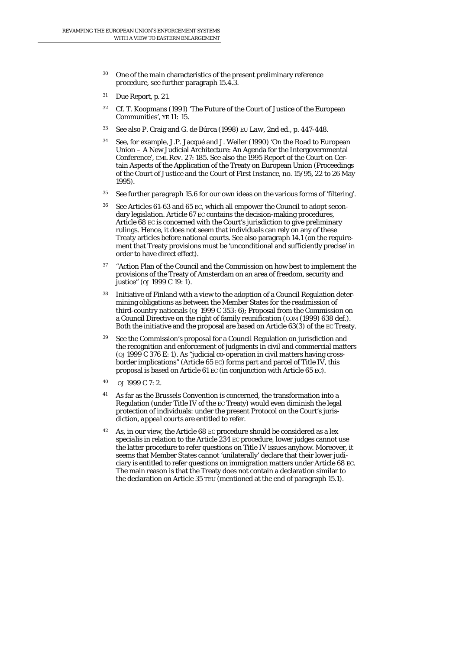- 30 One of the main characteristics of the present preliminary reference procedure, see further paragraph 15.4.3.
- 31 Due Report, p. 21.
- 32 Cf. T. Koopmans (1991) 'The Future of the Court of Justice of the European Communities', *YE 11:* 15.
- 33 See also P. Craig and G. de Búrca (1998) *EU Law*, 2nd ed., p. 447-448.
- 34 See, for example, J.P. Jacqué and J. Weiler (1990) 'On the Road to European Union – A New Judicial Architecture: An Agenda for the Intergovernmental Conference', *CML Rev.* 27: 185. See also the 1995 Report of the Court on Certain Aspects of the Application of the Treaty on European Union (Proceedings of the Court of Justice and the Court of First Instance, no. 15/95, 22 to 26 May 1995).
- 35 See further paragraph 15.6 for our own ideas on the various forms of 'filtering'.
- 36 See Articles 61-63 and 65 EC, which all empower the Council to adopt secondary legislation. Article 67 EC contains the decision-making procedures, Article 68 EC is concerned with the Court's jurisdiction to give preliminary rulings. Hence, it does not seem that individuals can rely on any of these Treaty articles before national courts. See also paragraph 14.1 (on the requirement that Treaty provisions must be 'unconditional and sufficiently precise' in order to have direct effect).
- <sup>37</sup> "Action Plan of the Council and the Commission on how best to implement the provisions of the Treaty of Amsterdam on an area of freedom, security and justice" (*OJ* 1999 C 19: 1).
- 38 Initiative of Finland with a view to the adoption of a Council Regulation determining obligations as between the Member States for the readmission of third-country nationals (*OJ* 1999 C 353: 6); Proposal from the Commission on a Council Directive on the right of family reunification (*COM* (1999) 638 def.). Both the initiative and the proposal are based on Article 63(3) of the EC Treaty.
- <sup>39</sup> See the Commission's proposal for a Council Regulation on jurisdiction and the recognition and enforcement of judgments in civil and commercial matters (*OJ* 1999 C 376 E: 1). As "judicial co-operation in civil matters having crossborder implications" (Article 65 EC) forms part and parcel of Title IV, this proposal is based on Article 61 EC (in conjunction with Article 65 EC).
- 40 OJ 1999 C 7: 2.
- 41 As far as the Brussels Convention is concerned, the transformation into a Regulation (under Title IV of the EC Treaty) would even diminish the legal protection of individuals: under the present Protocol on the Court's jurisdiction, *appeal courts* are entitled to refer.
- 42 As, in our view, the Article 68 EC procedure should be considered as a *lex specialis* in relation to the Article 234 EC procedure, lower judges cannot use the latter procedure to refer questions on Title IV issues anyhow. Moreover, it seems that Member States cannot 'unilaterally' declare that their lower judiciary is entitled to refer questions on immigration matters under Article 68 EC. The main reason is that the Treaty does not contain a declaration similar to the declaration on Article 35 TEU (mentioned at the end of paragraph 15.1).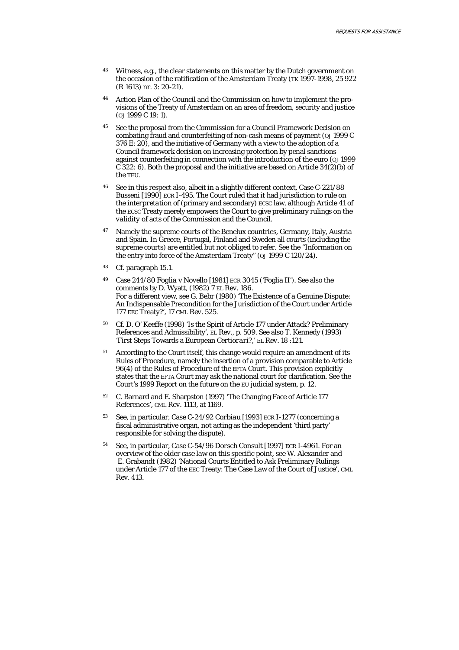- <sup>43</sup> Witness, e.g., the clear statements on this matter by the Dutch government on the occasion of the ratification of the Amsterdam Treaty (TK 1997-1998, 25 922 (R 1613) nr. 3: 20-21).
- 44 Action Plan of the Council and the Commission on how to implement the provisions of the Treaty of Amsterdam on an area of freedom, security and justice (*OJ* 1999 C 19: 1).
- 45 See the proposal from the Commission for a Council Framework Decision on combating fraud and counterfeiting of non-cash means of payment (*OJ* 1999 C 376 E: 20), and the initiative of Germany with a view to the adoption of a Council framework decision on increasing protection by penal sanctions against counterfeiting in connection with the introduction of the euro (*OJ* 1999 C 322: 6). Both the proposal and the initiative are based on Article 34(2)(b) of the TEU.
- 46 See in this respect also, albeit in a slightly different context, Case C-221/88 *Busseni* [1990] ECR I-495. The Court ruled that it had jurisdiction to rule on the *interpretation* of (primary and secondary) ECSC law, although Article 41 of the ECSC Treaty merely empowers the Court to give preliminary rulings on the *validity* of acts of the Commission and the Council.
- <sup>47</sup> Namely the supreme courts of the Benelux countries, Germany, Italy, Austria and Spain. In Greece, Portugal, Finland and Sweden all courts (including the supreme courts) are entitled but not obliged to refer. See the "Information on the entry into force of the Amsterdam Treaty" (*OJ* 1999 C 120/24).
- 48 Cf. paragraph 15.1.
- 49 Case 244/80 *Foglia* v *Novello* [1981] ECR 3045 ('Foglia II'). See also the comments by D. Wyatt, (1982) 7 *EL Rev*. 186. For a different view, see G. Bebr (1980) 'The Existence of a Genuine Dispute: An Indispensable Precondition for the Jurisdiction of the Court under Article 177 EEC Treaty?', 17 *CML Rev.* 525.
- 50 Cf. D. O' Keeffe (1998) 'Is the Spirit of Article 177 under Attack? Preliminary References and Admissibility', *EL Rev.*, p. 509. See also T. Kennedy (1993) 'First Steps Towards a European *Certiorari*?,' *EL Rev*. 18 :121.
- 51 According to the Court itself, this change would require an amendment of its Rules of Procedure, namely the insertion of a provision comparable to Article 96(4) of the Rules of Procedure of the EFTA Court. This provision explicitly states that the EFTA Court may ask the national court for clarification. See the Court's 1999 Report on the future on the EU judicial system, p. 12.
- 52 C. Barnard and E. Sharpston (1997) 'The Changing Face of Article 177 References', *CML Rev.* 1113, at 1169.
- 53 See, in particular, Case C-24/92 *Corbiau* [1993] ECR I-1277 (concerning a fiscal administrative organ, not acting as the independent 'third party' responsible for solving the dispute).
- 54 See, in particular, Case C-54/96 *Dorsch Consult* [1997] ECR I-4961. For an overview of the older case law on this specific point, see W. Alexander and E. Grabandt (1982) 'National Courts Entitled to Ask Preliminary Rulings under Article 177 of the EEC Treaty: The Case Law of the Court of Justice', *CML Rev.* 413.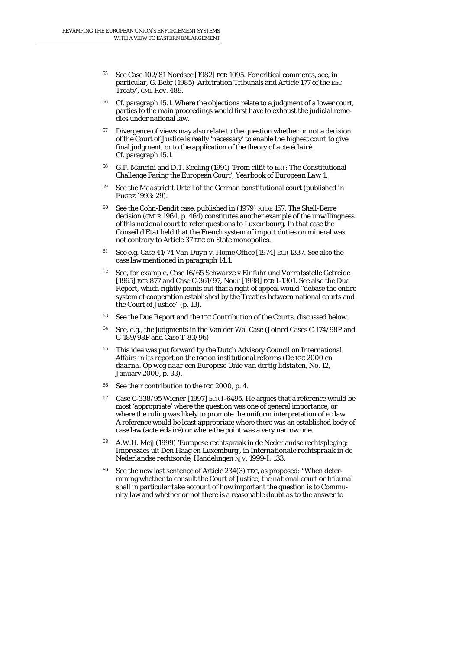- 55 See Case 102/81 *Nordsee* [1982] ECR 1095. For critical comments, see, in particular, G. Bebr (1985) 'Arbitration Tribunals and Article 177 of the EEC Treaty', *CML Rev.* 489.
- 56 Cf. paragraph 15.1. Where the objections relate to a judgment of a lower court, parties to the main proceedings would first have to exhaust the judicial remedies under national law.
- <sup>57</sup> Divergence of views may also relate to the question whether or not a decision of the Court of Justice is really 'necessary' to enable the highest court to give final judgment, or to the application of the theory of *acte éclairé*. Cf. paragraph 15.1.
- 58 G.F. Mancini and D.T. Keeling (1991) 'From cilfit to ERT: The Constitutional Challenge Facing the European Court', *Yearbook of European Law* 1.
- 59 See the *Maastricht Urteil* of the German constitutional court (published in *EuGRZ* 1993: 29).
- 60 See the *Cohn-Bendit* case, published in (1979) *RTDE* 157. The Shell-Berre decision (*CMLR* 1964, p. 464) constitutes another example of the unwillingness of this national court to refer questions to Luxembourg. In that case the *Conseil d'Etat* held that the French system of import duties on mineral was not contrary to Article 37 EEC on State monopolies.
- 61 See e.g. Case 41/74 *Van Duyn* v. *Home Office* [1974] ECR 1337. See also the case law mentioned in paragraph 14.1.
- 62 See, for example, Case 16/65 *Schwarze* v *Einfuhr und Vorratsstelle Getreide* [1965] ECR 877 and Case C-361/97, *Nour* [1998] ECR I-1301. See also the Due Report, which rightly points out that a right of appeal would "debase the entire system of cooperation established by the Treaties between national courts and the Court of Justice" (p. 13).
- 63 See the Due Report and the IGC Contribution of the Courts, discussed below.
- 64 See, e.g., the judgments in the Van der Wal Case (Joined Cases C-174/98P and C-189/98P and Case T-83/96).
- <sup>65</sup> This idea was put forward by the Dutch Advisory Council on International Affairs in its report on the IGC on institutional reforms (*De IGC 2000 en daarna. Op weg naar een Europese Unie van dertig lidstaten*, No. 12, January 2000, p. 33).
- 66 See their contribution to the IGC 2000, p. 4.
- 67 Case C-338/95 *Wiener* [1997] ECR I-6495. He argues that a reference would be most 'appropriate' where the question was one of general importance, or where the ruling was likely to promote the uniform interpretation of EC law. A reference would be least appropriate where there was an established body of case law (*acte éclairé*) or where the point was a very narrow one.
- 68 A.W.H. Meij (1999) 'Europese rechtspraak in de Nederlandse rechtspleging: Impressies uit Den Haag en Luxemburg', in *Internationale rechtspraak in de Nederlandse rechtsorde*, Handelingen NJV, 1999-I: 133.
- See the new last sentence of Article 234(3) TEC, as proposed: "When determining whether to consult the Court of Justice, *the national court or tribunal* shall in particular take account of how important the question is to Community law and whether or not there is a reasonable doubt as to the answer to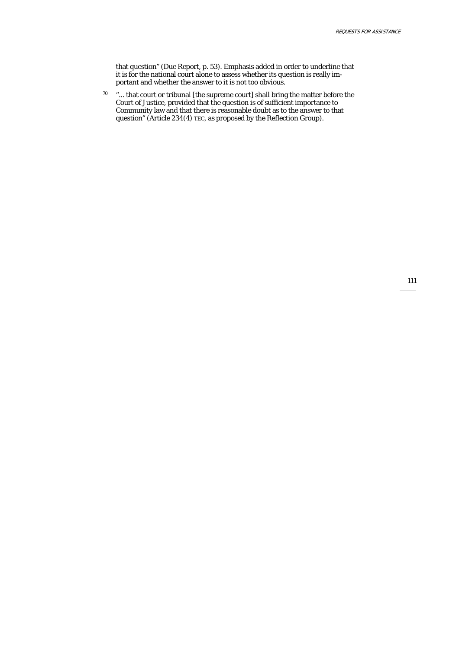that question" (Due Report, p. 53). Emphasis added in order to underline that it is for the national court alone to assess whether its question is really important and whether the answer to it is not too obvious.

 $70$  "... that court or tribunal [the supreme court] shall bring the matter before the Court of Justice, provided that the question is of sufficient importance to Community law and that there is reasonable doubt as to the answer to that question" (Article 234(4) TEC, as proposed by the Reflection Group).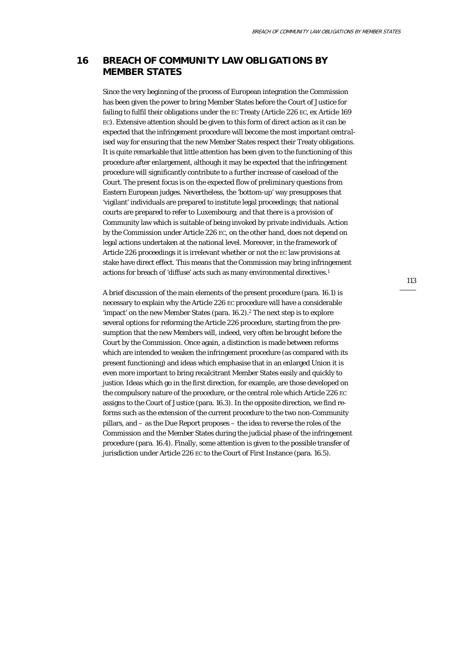# **16 BREACH OF COMMUNITY LAW OBLIGATIONS BY MEMBER STATES**

Since the very beginning of the process of European integration the Commission has been given the power to bring Member States before the Court of Justice for failing to fulfil their obligations under the EC Treaty (Article 226 EC, ex Article 169 EC). Extensive attention should be given to this form of direct action as it can be expected that the infringement procedure will become the most important *centralised* way for ensuring that the new Member States respect their Treaty obligations. It is quite remarkable that little attention has been given to the functioning of this procedure after enlargement, although it may be expected that the infringement procedure will significantly contribute to a further increase of caseload of the Court. The present focus is on the expected flow of preliminary questions from Eastern European judges. Nevertheless, the 'bottom-up' way presupposes that 'vigilant' individuals are prepared to institute legal proceedings; that national courts are prepared to refer to Luxembourg; and that there is a provision of Community law which is suitable of being invoked by private individuals. Action by the Commission under Article 226 EC, on the other hand, does not depend on legal actions undertaken at the national level. Moreover, in the framework of Article 226 proceedings it is irrelevant whether or not the EC law provisions at stake have direct effect. This means that the Commission may bring infringement actions for breach of 'diffuse' acts such as many environmental directives.<sup>1</sup>

A brief discussion of the main elements of the present procedure (para. 16.1) is necessary to explain why the Article 226 EC procedure will have a considerable 'impact' on the new Member States (para. 16.2).<sup>2</sup> The next step is to explore several options for reforming the Article 226 procedure, starting from the presumption that the new Members will, indeed, very often be brought before the Court by the Commission. Once again, a distinction is made between reforms which are intended to weaken the infringement procedure (as compared with its present functioning) and ideas which emphasise that in an enlarged Union it is even more important to bring recalcitrant Member States easily and quickly to justice. Ideas which go in the first direction, for example, are those developed on the compulsory nature of the procedure, or the central role which Article 226 EC assigns to the Court of Justice (para. 16.3). In the opposite direction, we find reforms such as the extension of the current procedure to the two non-Community pillars, and – as the Due Report proposes – the idea to reverse the roles of the Commission and the Member States during the judicial phase of the infringement procedure (para. 16.4). Finally, some attention is given to the possible transfer of jurisdiction under Article 226 EC to the Court of First Instance (para. 16.5).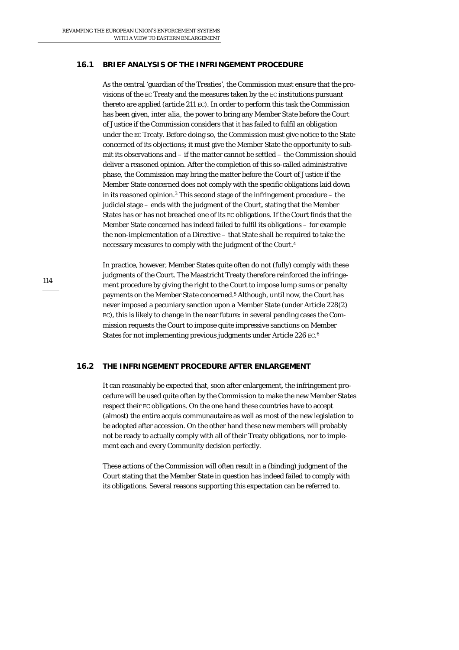## **16.1 BRIEF ANALYSIS OF THE INFRINGEMENT PROCEDURE**

As the central 'guardian of the Treaties', the Commission must ensure that the provisions of the EC Treaty and the measures taken by the EC institutions pursuant thereto are applied (article 211 EC). In order to perform this task the Commission has been given, *inter alia*, the power to bring any Member State before the Court of Justice if the Commission considers that it has failed to fulfil an obligation under the EC Treaty. Before doing so, the Commission must give notice to the State concerned of its objections; it must give the Member State the opportunity to submit its observations and – if the matter cannot be settled – the Commission should deliver a reasoned opinion. After the completion of this so-called administrative phase, the Commission may bring the matter before the Court of Justice if the Member State concerned does not comply with the specific obligations laid down in its reasoned opinion.3 This second stage of the infringement procedure – the judicial stage – ends with the judgment of the Court, stating that the Member States has or has not breached one of its EC obligations. If the Court finds that the Member State concerned has indeed failed to fulfil its obligations – for example the non-implementation of a Directive – that State shall be required to take the necessary measures to comply with the judgment of the Court.4

In practice, however, Member States quite often do not (fully) comply with these judgments of the Court. The Maastricht Treaty therefore reinforced the infringement procedure by giving the right to the Court to impose lump sums or penalty payments on the Member State concerned.5 Although, until now, the Court has never imposed a pecuniary sanction upon a Member State (under Article 228(2) EC), this is likely to change in the near future: in several pending cases the Commission requests the Court to impose quite impressive sanctions on Member States for not implementing previous judgments under Article 226 EC.<sup>6</sup>

### **16.2 THE INFRINGEMENT PROCEDURE AFTER ENLARGEMENT**

It can reasonably be expected that, soon after enlargement, the infringement procedure will be used quite often by the Commission to make the new Member States respect their EC obligations. On the one hand these countries have to accept (almost) the entire acquis communautaire as well as most of the new legislation to be adopted after accession. On the other hand these new members will probably not be ready to actually comply with all of their Treaty obligations, nor to implement each and every Community decision perfectly.

These actions of the Commission will often result in a (binding) judgment of the Court stating that the Member State in question has indeed failed to comply with its obligations. Several reasons supporting this expectation can be referred to.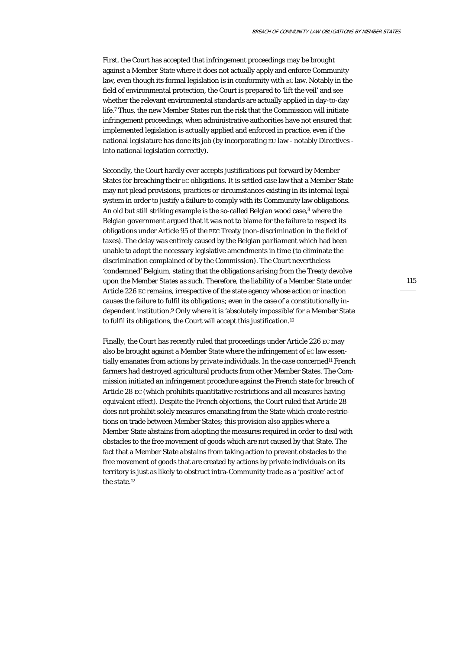First, the Court has accepted that infringement proceedings may be brought against a Member State where it does not actually apply and enforce Community law, even though its formal legislation is in conformity with EC law. Notably in the field of environmental protection, the Court is prepared to 'lift the veil' and see whether the relevant environmental standards are actually applied in day-to-day life.7 Thus, the new Member States run the risk that the Commission will initiate infringement proceedings, when administrative authorities have not ensured that implemented legislation is actually applied and enforced in practice, even if the national legislature has done its job (by incorporating EU law - notably Directives into national legislation correctly).

Secondly, the Court hardly ever accepts *justifications* put forward by Member States for breaching their EC obligations. It is settled case law that a Member State may not plead provisions, practices or circumstances existing in its internal legal system in order to justify a failure to comply with its Community law obligations. An old but still striking example is the so-called Belgian wood case,<sup>8</sup> where the Belgian *government* argued that it was not to blame for the failure to respect its obligations under Article 95 of the EEC Treaty (non-discrimination in the field of taxes). The delay was entirely caused by the Belgian *parliament* which had been unable to adopt the necessary legislative amendments in time (to eliminate the discrimination complained of by the Commission). The Court nevertheless 'condemned' Belgium, stating that the obligations arising from the Treaty devolve upon the Member States *as such*. Therefore, the liability of a Member State under Article 226 EC remains, irrespective of the state agency whose action or inaction causes the failure to fulfil its obligations; even in the case of a constitutionally independent institution.9 Only where it is 'absolutely impossible' for a Member State to fulfil its obligations, the Court will accept this justification.10

Finally, the Court has recently ruled that proceedings under Article 226 EC may also be brought against a Member State where the infringement of EC law essentially emanates from actions by *private* individuals. In the case concerned<sup>11</sup> French farmers had destroyed agricultural products from other Member States. The Commission initiated an infringement procedure against the French state for breach of Article 28 EC (which prohibits quantitative restrictions and all measures having equivalent effect). Despite the French objections, the Court ruled that Article 28 does not prohibit solely measures emanating from the State which create restrictions on trade between Member States; this provision also applies where a Member State abstains from adopting the measures required in order to deal with obstacles to the free movement of goods which are not caused by that State. The fact that a Member State *abstains* from taking action to prevent obstacles to the free movement of goods that are created by actions by private individuals on its territory is just as likely to obstruct intra-Community trade as a 'positive' act of the state.12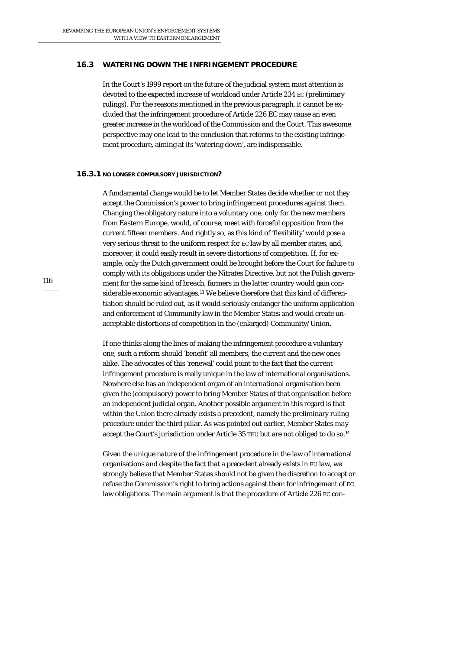## **16.3 WATERING DOWN THE INFRINGEMENT PROCEDURE**

In the Court's 1999 report on the future of the judicial system most attention is devoted to the expected increase of workload under Article 234 EC (preliminary rulings). For the reasons mentioned in the previous paragraph, it cannot be excluded that the infringement procedure of Article 226 EC may cause an even greater increase in the workload of the Commission and the Court. This awesome perspective may one lead to the conclusion that reforms to the existing infringement procedure, aiming at its 'watering down', are indispensable.

### **16.3.1 NO LONGER COMPULSORY JURISDICTION?**

A fundamental change would be to let Member States decide whether or not they accept the Commission's power to bring infringement procedures against them. Changing the obligatory nature into a voluntary one, *only* for the new members from Eastern Europe, would, of course, meet with forceful opposition from the current fifteen members. And rightly so, as this kind of 'flexibility' would pose a very serious threat to the uniform respect for EC law by all member states, and, moreover, it could easily result in severe distortions of competition. If, for example, only the Dutch government could be brought before the Court for failure to comply with its obligations under the Nitrates Directive, but not the Polish government for the same kind of breach, farmers in the latter country would gain considerable economic advantages.13 We believe therefore that this kind of differentiation should be ruled out, as it would seriously endanger the uniform application and enforcement of Community law in the Member States and would create unacceptable distortions of competition in the (enlarged) Community/Union.

If one thinks along the lines of making the infringement procedure a voluntary one, such a reform should 'benefit' all members, the current and the new ones alike. The advocates of this 'renewal' could point to the fact that the current infringement procedure is really unique in the law of international organisations. Nowhere else has an independent organ of an international organisation been given the (compulsory) power to bring Member States of that organisation before an independent judicial organ. Another possible argument in this regard is that within the Union there already exists a precedent, namely the preliminary ruling procedure under the third pillar. As was pointed out earlier, Member States *may* accept the Court's jurisdiction under Article 35 TEU but are not obliged to do so.<sup>14</sup>

Given the unique nature of the infringement procedure in the law of international organisations and despite the fact that a precedent already exists in EU law, we strongly believe that Member States should *not* be given the discretion to accept or refuse the Commission's right to bring actions against them for infringement of EC law obligations. The main argument is that the procedure of Article 226 EC con-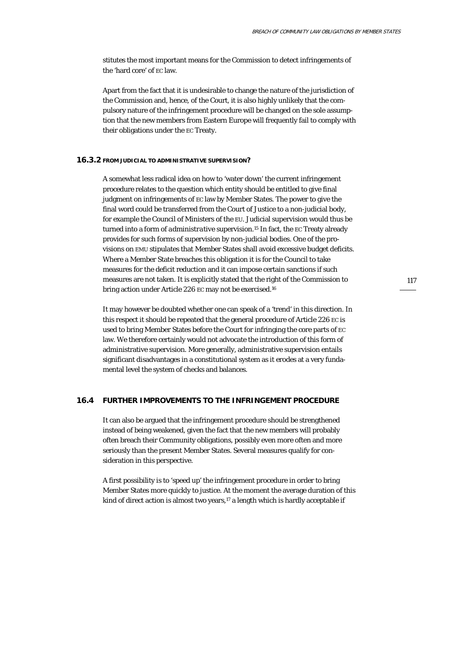stitutes the most important means for the Commission to detect infringements of the 'hard core' of EC law.

Apart from the fact that it is undesirable to change the nature of the jurisdiction of the Commission and, hence, of the Court, it is also highly unlikely that the compulsory nature of the infringement procedure will be changed on the sole assumption that the new members from Eastern Europe will frequently fail to comply with their obligations under the EC Treaty.

#### **16.3.2 FROM JUDICIAL TO ADMINISTRATIVE SUPERVISION?**

A somewhat less radical idea on how to 'water down' the current infringement procedure relates to the question which entity should be entitled to give final judgment on infringements of EC law by Member States. The power to give the final word could be transferred from the Court of Justice to a non-judicial body, for example the Council of Ministers of the EU. Judicial supervision would thus be turned into a form of *administrative* supervision.15 In fact, the EC Treaty already provides for such forms of supervision by non-judicial bodies. One of the provisions on EMU stipulates that Member States shall avoid excessive budget deficits. Where a Member State breaches this obligation it is for the *Council* to take measures for the deficit reduction and it can impose certain sanctions if such measures are not taken. It is explicitly stated that the right of the Commission to bring action under Article 226 EC may not be exercised.16

It may however be doubted whether one can speak of a 'trend' in this direction. In this respect it should be repeated that the general procedure of Article 226 EC is used to bring Member States before the Court for infringing the core parts of EC law. We therefore certainly would not advocate the introduction of this form of administrative supervision. More generally, administrative supervision entails significant disadvantages in a constitutional system as it erodes at a very fundamental level the system of checks and balances.

# **16.4 FURTHER IMPROVEMENTS TO THE INFRINGEMENT PROCEDURE**

It can also be argued that the infringement procedure should be strengthened instead of being weakened, given the fact that the new members will probably often breach their Community obligations, possibly even more often and more seriously than the present Member States. Several measures qualify for consideration in this perspective.

A first possibility is to 'speed up' the infringement procedure in order to bring Member States more quickly to justice. At the moment the average duration of this kind of direct action is almost two years, $17$  a length which is hardly acceptable if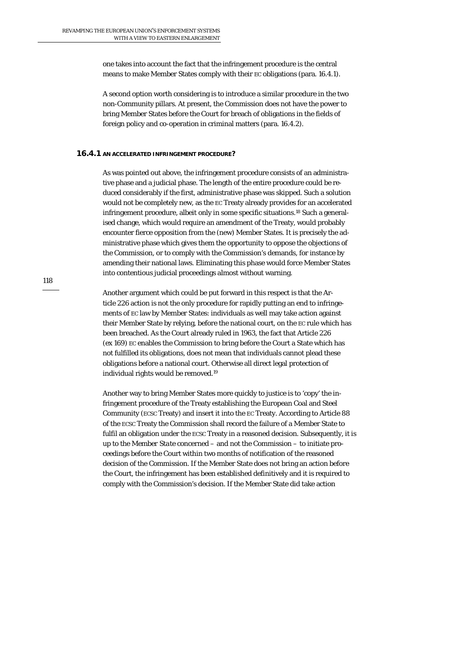one takes into account the fact that the infringement procedure is the central means to make Member States comply with their EC obligations (para. 16.4.1).

A second option worth considering is to introduce a similar procedure in the two non-Community pillars. At present, the Commission does not have the power to bring Member States before the Court for breach of obligations in the fields of foreign policy and co-operation in criminal matters (para. 16.4.2).

#### **16.4.1 AN ACCELERATED INFRINGEMENT PROCEDURE?**

As was pointed out above, the infringement procedure consists of an administrative phase and a judicial phase. The length of the entire procedure could be reduced considerably if the first, administrative phase was skipped. Such a solution would not be completely new, as the EC Treaty already provides for an accelerated infringement procedure, albeit only in some specific situations.18 Such a generalised change, which would require an amendment of the Treaty, would probably encounter fierce opposition from the (new) Member States. It is precisely the administrative phase which gives them the opportunity to oppose the objections of the Commission, or to comply with the Commission's demands, for instance by amending their national laws. Eliminating this phase would force Member States into contentious judicial proceedings almost without warning.

Another argument which could be put forward in this respect is that the Article 226 action is not the only procedure for rapidly putting an end to infringements of EC law by Member States: individuals as well may take action against their Member State by relying, before the national court, on the EC rule which has been breached. As the Court already ruled in 1963, the fact that Article 226 (ex 169) EC enables the Commission to bring before the Court a State which has not fulfilled its obligations, does not mean that individuals cannot plead these obligations before a national court. Otherwise all direct legal protection of individual rights would be removed.19

Another way to bring Member States more quickly to justice is to 'copy' the infringement procedure of the Treaty establishing the European Coal and Steel Community (ECSC Treaty) and insert it into the EC Treaty. According to Article 88 of the ECSC Treaty the Commission shall record the failure of a Member State to fulfil an obligation under the ECSC Treaty in a reasoned decision. Subsequently, it is up to the *Member State* concerned – and not the Commission – to initiate proceedings before the Court within two months of notification of the reasoned decision of the Commission. If the Member State does not bring an action before the Court, the infringement has been established definitively and it is required to comply with the Commission's decision. If the Member State *did* take action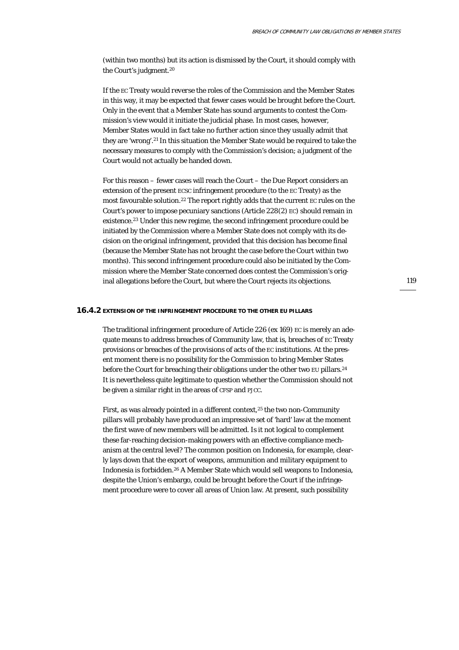(within two months) but its action is dismissed by the Court, it should comply with the Court's judgment.20

If the EC Treaty would *reverse* the roles of the Commission and the Member States in this way, it may be expected that fewer cases would be brought before the Court. Only in the event that a Member State has sound arguments to contest the Commission's view would it initiate the judicial phase. In most cases, however, Member States would in fact take no further action since they usually admit that they are 'wrong'.21 In this situation the Member State would be required to take the necessary measures to comply with the Commission's decision; a judgment of the Court would not actually be handed down.

For this reason – fewer cases will reach the Court – the Due Report considers an extension of the present ECSC infringement procedure (to the EC Treaty) as the most favourable solution.22 The report rightly adds that the current EC rules on the Court's power to impose pecuniary sanctions (Article 228(2) EC) should remain in existence.23 Under this new regime, the second infringement procedure could be initiated by the Commission where a Member State does not comply with its decision on the original infringement, provided that this decision has become final (because the Member State has not brought the case before the Court within two months). This second infringement procedure could also be initiated by the Commission where the Member State concerned *does* contest the Commission's original allegations before the Court, but where the Court rejects its objections.

119

#### **16.4.2 EXTENSION OF THE INFRINGEMENT PROCEDURE TO THE OTHER EU PILLARS**

The traditional infringement procedure of Article 226 (ex 169) EC is merely an adequate means to address breaches of *Community* law, that is, breaches of EC Treaty provisions or breaches of the provisions of acts of the EC institutions. At the present moment there is no possibility for the Commission to bring Member States before the Court for breaching their obligations under the other two EU pillars.<sup>24</sup> It is nevertheless quite legitimate to question whether the Commission should not be given a similar right in the areas of CFSP and PJCC.

First, as was already pointed in a different context,<sup>25</sup> the two non-Community pillars will probably have produced an impressive set of 'hard' law at the moment the first wave of new members will be admitted. Is it not logical to *complement* these far-reaching decision-making powers with an effective compliance mechanism at the central level? The common position on Indonesia, for example, clearly lays down that the export of weapons, ammunition and military equipment to Indonesia is forbidden.26 A Member State which would sell weapons to Indonesia, despite the Union's embargo, could be brought before the Court if the infringement procedure were to cover all areas of *Union* law. At present, such possibility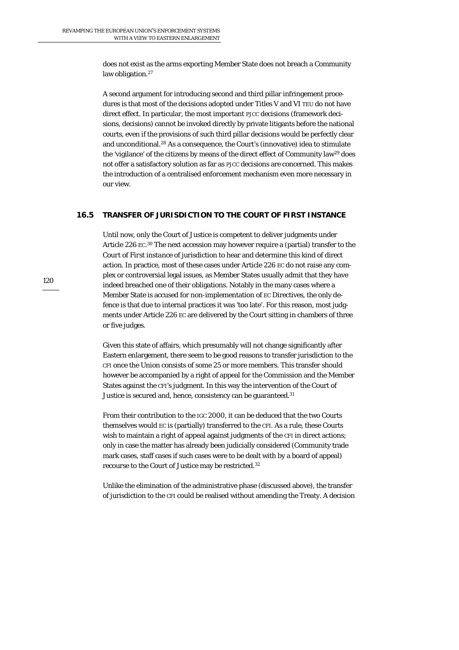does not exist as the arms exporting Member State does not breach a *Community* law obligation.<sup>27</sup>

A second argument for introducing second and third pillar infringement procedures is that most of the decisions adopted under Titles V and VI TEU do not have direct effect. In particular, the most important PJCC decisions (framework decisions, decisions) cannot be invoked directly by private litigants before the national courts, even if the provisions of such third pillar decisions would be perfectly clear and unconditional.28 As a consequence, the Court's (innovative) idea to stimulate the 'vigilance' of the citizens by means of the direct effect of Community law29 does not offer a satisfactory solution as far as PJCC decisions are concerned. This makes the introduction of a centralised enforcement mechanism even more necessary in our view.

# **16.5 TRANSFER OF JURISDICTION TO THE COURT OF FIRST INSTANCE**

Until now, only the Court of Justice is competent to deliver judgments under Article 226 EC.<sup>30</sup> The next accession may however require a (partial) transfer to the *Court of First instance* of jurisdiction to hear and determine this kind of direct action. In practice, most of these cases under Article 226 EC do not raise any complex or controversial legal issues, as Member States usually admit that they have indeed breached one of their obligations. Notably in the many cases where a Member State is accused for non-implementation of EC Directives, the only defence is that due to internal practices it was 'too late'. For this reason, most judgments under Article 226 EC are delivered by the Court sitting in chambers of three or five judges.

Given this state of affairs, which presumably will not change significantly after Eastern enlargement, there seem to be good reasons to transfer jurisdiction to the CFI once the Union consists of some 25 or more members. This transfer should however be accompanied by a right of appeal for the Commission and the Member States against the CFI's judgment. In this way the intervention of the Court of Justice is secured and, hence, consistency can be guaranteed.<sup>31</sup>

From their contribution to the IGC 2000, it can be deduced that the two Courts themselves would EC is (partially) transferred to the CFI. As a rule, these Courts wish to maintain a right of appeal against judgments of the CFI in direct actions; only in case the matter has already been judicially considered (Community trade mark cases, staff cases if such cases were to be dealt with by a board of appeal) recourse to the Court of Justice may be restricted.32

Unlike the elimination of the administrative phase (discussed above), the transfer of jurisdiction to the CFI could be realised without amending the Treaty. A decision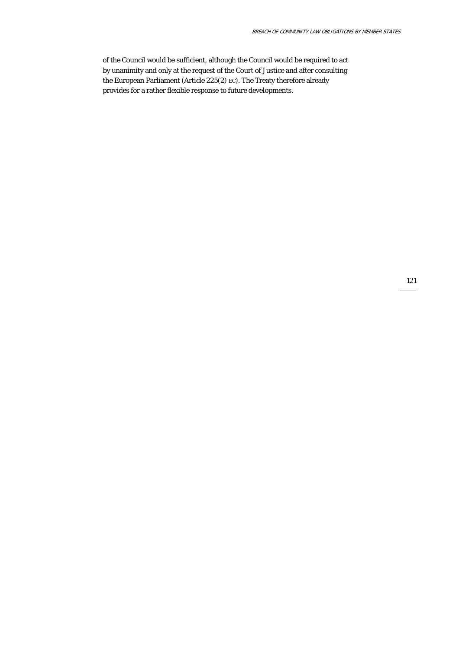of the Council would be sufficient, although the Council would be required to act by unanimity and only at the request of the Court of Justice and after consulting the European Parliament (Article 225(2) EC). The Treaty therefore already provides for a rather flexible response to future developments.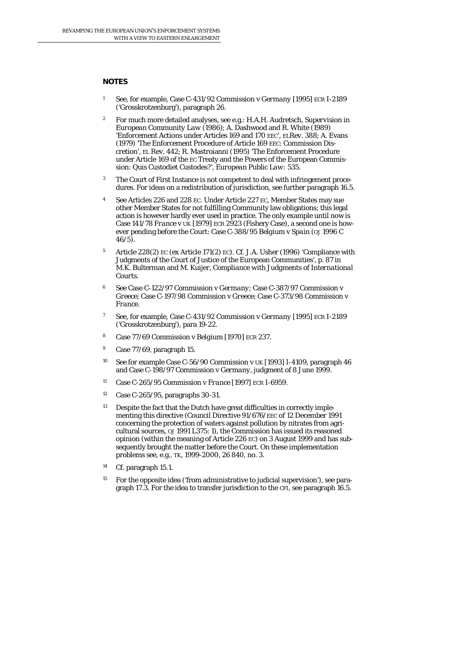#### **NOTES**

- 1 See, for example, Case C-431/92 *Commission* v *Germany* [1995] ECR I-2189 ('Grosskrotzenburg'), paragraph 26.
- 2 For much more detailed analyses, see e.g.: H.A.H. Audretsch, *Supervision in European Community Law* (1986); A. Dashwood and R. White (1989) 'Enforcement Actions under Articles 169 and 170 EEC', *ELRev.* 388; A. Evans (1979) 'The Enforcement Procedure of Article 169 EEC: Commission Discretion', *EL Rev.* 442; R. Mastroianni (1995) 'The Enforcement Procedure under Article 169 of the EC Treaty and the Powers of the European Commission: Quis Custodiet Custodes?', *European Public Law:* 535.
- 3 The Court of First Instance is not competent to deal with infringement procedures. For ideas on a redistribution of jurisdiction, see further paragraph 16.5.
- See Articles 226 and 228 EC. Under Article 227 EC, Member States may sue other Member States for not fulfilling Community law obligations; this legal action is however hardly ever used in practice. The only example until now is Case 141/78 *France* v *UK* [1979] ECR 2923 (Fishery Case), a second one is however pending before the Court: Case C-388/95 *Belgium* v *Spain* (*OJ* 1996 C 46/5).
- 5 Article 228(2) EC (ex Article 171(2) EC). Cf. J.A. Usher (1996) 'Compliance with Judgments of the Court of Justice of the European Communities', p. 87 in M.K. Bulterman and M. Kuijer, *Compliance with Judgments of International Courts*.
- 6 See Case C-122/97 *Commission* v *Germany*; Case C-387/97 *Commission* v *Greece*; Case C-197/98 *Commission* v *Greece*; Case C-373/98 *Commission* v *France*.
- 7 See, for example, Case C-431/92 *Commission* v *Germany* [1995] ECR I-2189 ('Grosskrotzenburg'), para 19-22.
- 8 Case 77/69 Commission v *Belgium* [1970] ECR 237.
- 9 Case 77/69, paragraph 15.
- 10 See for example Case C-56/90 *Commission* v *UK* [1993] I-4109, paragraph 46 and Case C-198/97 *Commission* v *Germany*, judgment of 8 June 1999.
- 11 Case C-265/95 *Commission* v *France* [1997] ECR I-6959.
- 12 Case C-265/95, paragraphs 30-31.
- <sup>13</sup> Despite the fact that the Dutch have great difficulties in correctly implementing this directive (Council Directive 91/676/EEC of 12 December 1991 concerning the protection of waters against pollution by nitrates from agricultural sources, *OJ* 1991 L375: 1), the Commission has issued its reasoned opinion (within the meaning of Article 226 EC) on 3 August 1999 and has subsequently brought the matter before the Court. On these implementation problems see, e.g., *TK, 1999-2000, 26 840, no. 3.*
- 14 Cf. paragraph 15.1.
- 15 For the opposite idea ('from administrative to judicial supervision'), see paragraph 17.3. For the idea to transfer jurisdiction to the CFI, see paragraph 16.5.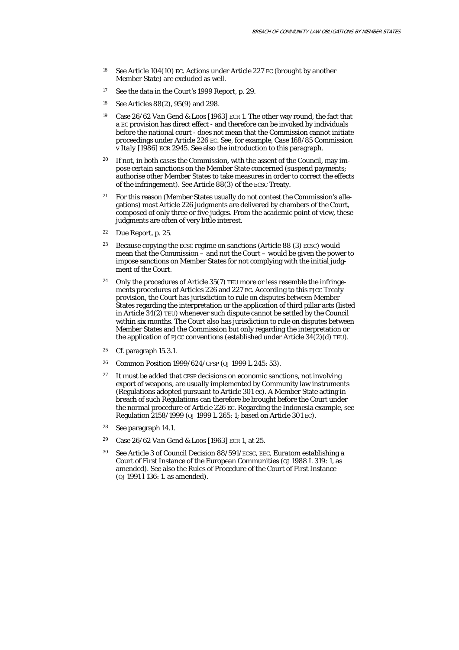- 16 See Article 104(10) EC. Actions under Article 227 EC (brought by another Member State) are excluded as well.
- <sup>17</sup> See the data in the Court's 1999 Report, p. 29.
- 18 See Articles 88(2), 95(9) and 298.
- 19 Case 26/62 *Van Gend & Loos* [1963] ECR 1. The other way round, the fact that a EC provision has direct effect - and therefore can be invoked by individuals before the national court - does not mean that the Commission cannot initiate proceedings under Article 226 EC. See, for example, Case 168/85 *Commission* v *Italy* [1986] ECR 2945. See also the introduction to this paragraph.
- <sup>20</sup> If not, in both cases the Commission, with the assent of the Council, may impose certain sanctions on the Member State concerned (suspend payments; authorise other Member States to take measures in order to correct the effects of the infringement). See Article 88(3) of the ECSC Treaty.
- <sup>21</sup> For this reason (Member States usually do not contest the Commission's allegations) most Article 226 judgments are delivered by chambers of the Court, composed of only three or five judges. From the academic point of view, these judgments are often of very little interest.
- 22 Due Report, p. 25.
- <sup>23</sup> Because copying the ECSC regime on sanctions (Article 88 (3) ECSC) would mean that the *Commission* – and not the Court – would be given the power to impose sanctions on Member States for not complying with the initial judgment of the Court.
- <sup>24</sup> Only the procedures of Article 35(7) TEU more or less resemble the infringements procedures of Articles 226 and 227 EC. According to this PJCC Treaty provision, the Court has jurisdiction to rule on disputes between Member States regarding the interpretation or the application of third pillar acts (listed in Article 34(2) TEU) whenever such dispute cannot be settled by the Council within six months. The Court also has jurisdiction to rule on disputes between Member States and the Commission but only regarding the interpretation or the application of PJCC conventions (established under Article  $34(2)(d)$  TEU).
- 25 Cf. paragraph 15.3.1.
- 26 Common Position 1999/624/CFSP (*OJ* 1999 L 245: 53).
- $27$  It must be added that CFSP decisions on economic sanctions, not involving export of weapons, are usually implemented by Community law instruments (Regulations adopted pursuant to Article 301 ec). A Member State acting in breach of such Regulations can therefore be brought before the Court under the normal procedure of Article 226 EC. Regarding the Indonesia example, see Regulation 2158/1999 (*OJ* 1999 L 265: 1; based on Article 301 EC).
- 28 See paragraph 14.1.
- 29 Case 26/62 *Van Gend & Loos* [1963] ECR 1, at 25.
- 30 See Article 3 of Council Decision 88/591/ECSC, EEC, Euratom establishing a Court of First Instance of the European Communities (*OJ* 1988 L 319: 1, as amended). See also the Rules of Procedure of the Court of First Instance (*OJ* 1991 l 136: 1. as amended).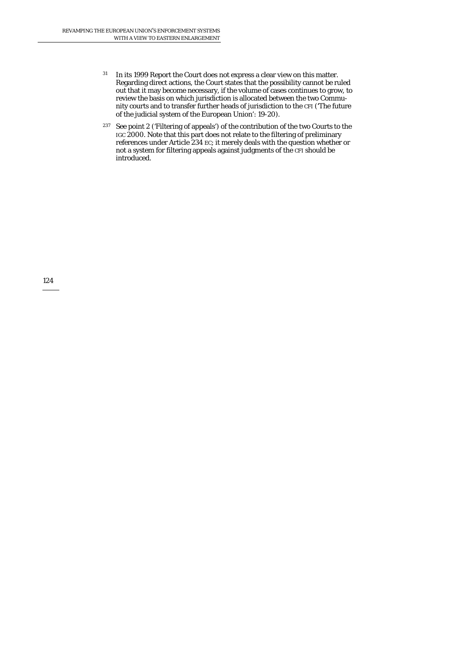- 31 In its 1999 Report the Court does not express a clear view on this matter. Regarding direct actions, the Court states that the possibility cannot be ruled out that it may become necessary, if the volume of cases continues to grow, to review the basis on which jurisdiction is allocated between the two Community courts and to transfer further heads of jurisdiction to the CFI ('The future of the judicial system of the European Union': 19-20).
- 237 See point 2 ('Filtering of appeals') of the contribution of the two Courts to the IGC 2000. Note that this part does not relate to the filtering of preliminary references under Article 234 EC; it merely deals with the question whether or not a system for filtering appeals against judgments of the CFI should be introduced.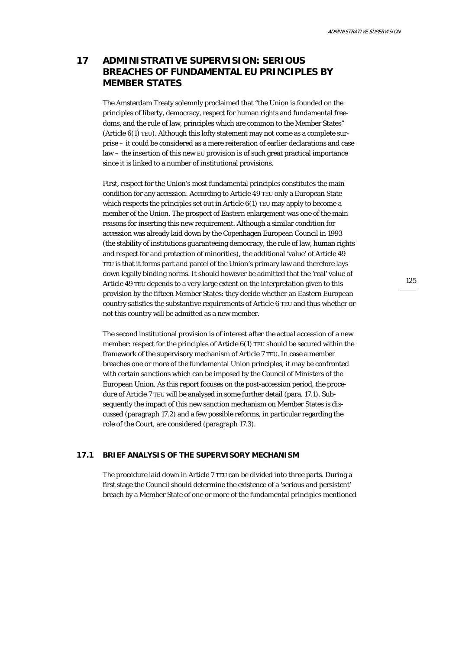# **17 ADMINISTRATIVE SUPERVISION: SERIOUS BREACHES OF FUNDAMENTAL EU PRINCIPLES BY MEMBER STATES**

The Amsterdam Treaty solemnly proclaimed that "the Union is founded on the principles of liberty, democracy, respect for human rights and fundamental freedoms, and the rule of law, principles which are common to the Member States" (Article 6(1) TEU). Although this lofty statement may not come as a complete surprise – it could be considered as a mere reiteration of earlier declarations and case law – the insertion of this new EU provision is of such great practical importance since it is linked to a number of institutional provisions.

First, respect for the Union's most fundamental principles constitutes the main condition for any accession. According to Article 49 TEU only a European State which respects the principles set out in Article 6(1) TEU may apply to become a member of the Union. The prospect of Eastern enlargement was one of the main reasons for inserting this new requirement. Although a similar condition for accession was already laid down by the Copenhagen European Council in 1993 (the stability of institutions guaranteeing democracy, the rule of law, human rights and respect for and protection of minorities), the additional 'value' of Article 49 TEU is that it forms part and parcel of the Union's primary law and therefore lays down legally binding norms. It should however be admitted that the 'real' value of Article 49 TEU depends to a very large extent on the interpretation given to this provision by the fifteen Member States: they decide whether an Eastern European country satisfies the substantive requirements of Article 6 TEU and thus whether or not this country will be admitted as a new member.

The second institutional provision is of interest *after* the actual accession of a new member: respect for the principles of Article  $6(1)$  TEU should be secured within the framework of the supervisory mechanism of Article 7 TEU. In case a member breaches one or more of the fundamental Union principles, it may be confronted with certain *sanctions* which can be imposed by the Council of Ministers of the European Union. As this report focuses on the post-accession period, the procedure of Article 7 TEU will be analysed in some further detail (para. 17.1). Subsequently the impact of this new sanction mechanism on Member States is discussed (paragraph 17.2) and a few possible reforms, in particular regarding the role of the Court, are considered (paragraph 17.3).

## **17.1 BRIEF ANALYSIS OF THE SUPERVISORY MECHANISM**

The procedure laid down in Article 7 TEU can be divided into three parts. During a first stage the Council should determine the *existence* of a 'serious and persistent' breach by a Member State of one or more of the fundamental principles mentioned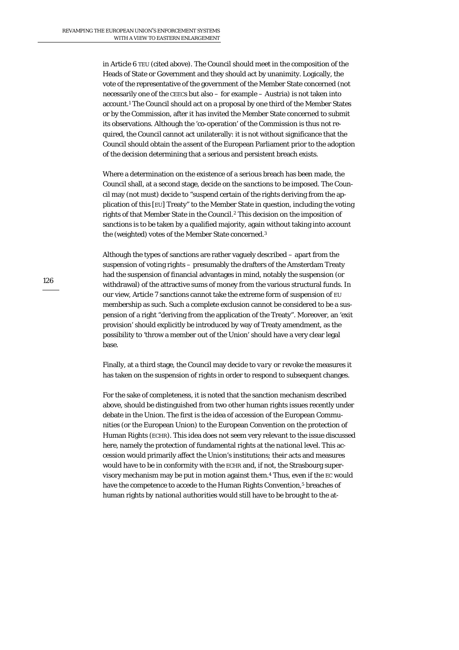in Article 6 TEU (cited above). The Council should meet in the composition of the Heads of State or Government and they should act by unanimity. Logically, the vote of the representative of the government of the Member State concerned (not necessarily one of the CEECs but also – for example – Austria) is not taken into account.1 The Council should act on a proposal by one third of the Member States or by the Commission, after it has invited the Member State concerned to submit its observations. Although the 'co-operation' of the Commission is thus not required, the Council cannot act unilaterally: it is not without significance that the Council should obtain the *assent* of the European Parliament prior to the adoption of the decision determining that a serious and persistent breach exists.

Where a determination on the existence of a serious breach has been made, the Council shall, at a second stage, decide on the *sanctions* to be imposed. The Council may (not *must*) decide to "suspend certain of the rights deriving from the application of this [EU] Treaty" to the Member State in question, including the voting rights of that Member State in the Council.2 This decision on the imposition of sanctions is to be taken by a qualified majority, again without taking into account the (weighted) votes of the Member State concerned.3

Although the types of sanctions are rather vaguely described – apart from the suspension of voting rights – presumably the drafters of the Amsterdam Treaty had the suspension of financial advantages in mind, notably the suspension (or withdrawal) of the attractive sums of money from the various structural funds. In our view, Article 7 sanctions cannot take the extreme form of suspension of EU membership as such. Such a complete exclusion cannot be considered to be a suspension of a right "deriving from the application of the Treaty". Moreover, an 'exit provision' should explicitly be introduced by way of Treaty amendment, as the possibility to 'throw a member out of the Union' should have a very clear legal base.

Finally, at a third stage, the Council may decide to *vary or revoke* the measures it has taken on the suspension of rights in order to respond to subsequent changes.

For the sake of completeness, it is noted that the sanction mechanism described above, should be distinguished from two other human rights issues recently under debate in the Union. The first is the idea of accession of the European Communities (or the European Union) to the European Convention on the protection of Human Rights (ECHR). This idea does not seem very relevant to the issue discussed here, namely the protection of fundamental rights at the *national* level. This accession would primarily affect the Union's institutions; their acts and measures would have to be in conformity with the ECHR and, if not, the Strasbourg supervisory mechanism may be put in motion against them.4 Thus, even if the EC would have the competence to accede to the Human Rights Convention,<sup>5</sup> breaches of human rights *by national authorities* would still have to be brought to the at-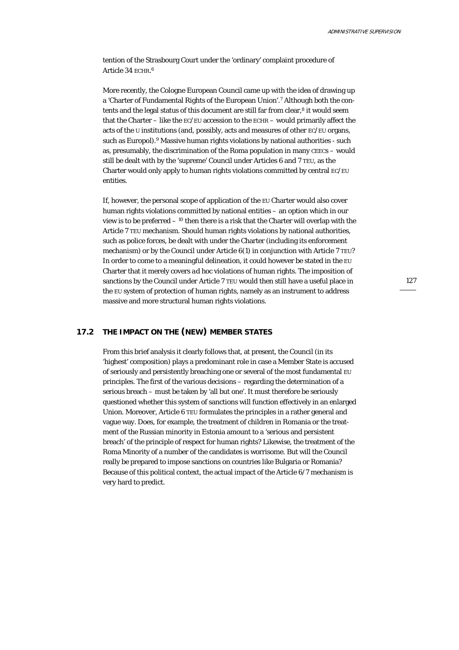tention of the Strasbourg Court under the 'ordinary' complaint procedure of Article 34 ECHR. 6

More recently, the Cologne European Council came up with the idea of drawing up a 'Charter of Fundamental Rights of the European Union'.7 Although both the contents and the legal status of this document are still far from clear,<sup>8</sup> it would seem that the Charter – like the EC/EU accession to the ECHR – would primarily affect the acts of the U institutions (and, possibly, acts and measures of other EC/EU organs, such as Europol).9 Massive human rights violations by national authorities - such as, presumably, the discrimination of the Roma population in many CEECs – would still be dealt with by the 'supreme' Council under Articles 6 and 7 TEU, as the Charter would only apply to human rights violations committed by central EC/EU entities.

If, however, the personal scope of application of the EU Charter would also cover human rights violations committed by national entities – an option which in our view is to be preferred  $-10$  then there is a risk that the Charter will overlap with the Article 7 TEU mechanism. Should human rights violations by national authorities, such as police forces, be dealt with under the Charter (including its enforcement mechanism) or by the Council under Article  $6(1)$  in conjunction with Article  $7 \text{ TEU}$ ? In order to come to a meaningful delineation, it could however be stated in the EU Charter that it merely covers *ad hoc* violations of human rights. The imposition of sanctions by the Council under Article 7 TEU would then still have a useful place in the EU system of protection of human rights, namely as an instrument to address massive and more structural human rights violations.

## **17.2 THE IMPACT ON THE (NEW) MEMBER STATES**

From this brief analysis it clearly follows that, at present, the *Council* (in its 'highest' composition) plays a predominant role in case a Member State is accused of seriously and persistently breaching one or several of the most fundamental EU principles. The first of the various decisions – regarding the determination of a serious breach – must be taken by 'all but one'. It must therefore be seriously questioned whether this system of sanctions will function effectively in an enlarged Union. Moreover, Article 6 TEU formulates the principles in a rather general and vague way. Does, for example, the treatment of children in Romania or the treatment of the Russian minority in Estonia amount to a 'serious and persistent breach' of the principle of respect for human rights? Likewise, the treatment of the Roma Minority of a number of the candidates is worrisome. But will the Council really be prepared to impose sanctions on countries like Bulgaria or Romania? Because of this political context, the actual impact of the Article 6/7 mechanism is very hard to predict.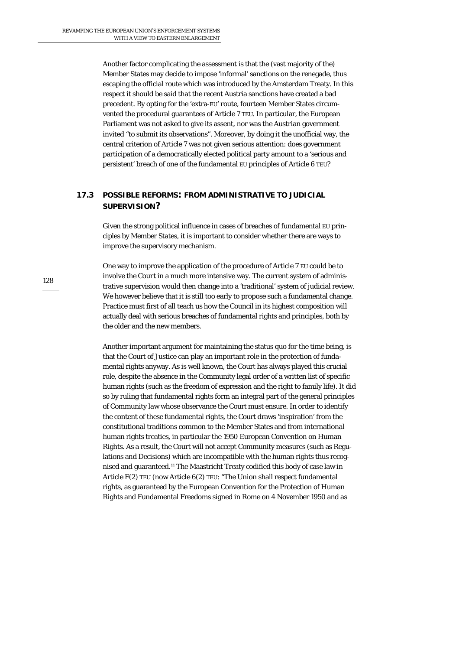Another factor complicating the assessment is that the (vast majority of the) Member States may decide to impose 'informal' sanctions on the renegade, thus escaping the official route which was introduced by the Amsterdam Treaty. In this respect it should be said that the recent Austria sanctions have created a bad precedent. By opting for the 'extra-EU' route, fourteen Member States circumvented the procedural guarantees of Article 7 TEU. In particular, the European Parliament was not asked to give its assent, nor was the Austrian government invited "to submit its observations". Moreover, by doing it the unofficial way, the central criterion of Article 7 was not given serious attention: does government participation of a democratically elected political party amount to a 'serious and persistent' breach of one of the fundamental EU principles of Article 6 TEU?

# **17.3 POSSIBLE REFORMS: FROM ADMINISTRATIVE TO JUDICIAL SUPERVISION?**

Given the strong political influence in cases of breaches of fundamental EU principles by Member States, it is important to consider whether there are ways to improve the supervisory mechanism.

One way to improve the application of the procedure of Article 7 EU could be to involve the *Court* in a much more intensive way. The current system of administrative supervision would then change into a 'traditional' system of judicial review. We however believe that it is still too early to propose such a fundamental change. Practice must first of all teach us how the Council in its highest composition will actually deal with serious breaches of fundamental rights and principles, both by the older and the new members.

Another important argument for maintaining the status quo for the time being, is that the Court of Justice can play an important role in the protection of fundamental rights anyway. As is well known, the Court has always played this crucial role, despite the absence in the Community legal order of a written list of specific human rights (such as the freedom of expression and the right to family life). It did so by ruling that fundamental rights form an integral part of the general principles of Community law whose observance the Court must ensure. In order to identify the content of these fundamental rights, the Court draws 'inspiration' from the constitutional traditions common to the Member States and from international human rights treaties, in particular the 1950 European Convention on Human Rights. As a result, the Court will not accept Community measures (such as Regulations and Decisions) which are incompatible with the human rights thus recognised and guaranteed.11 The Maastricht Treaty codified this body of case law in Article F(2) TEU (now Article 6(2) TEU: "The Union shall respect fundamental rights, as guaranteed by the European Convention for the Protection of Human Rights and Fundamental Freedoms signed in Rome on 4 November 1950 and as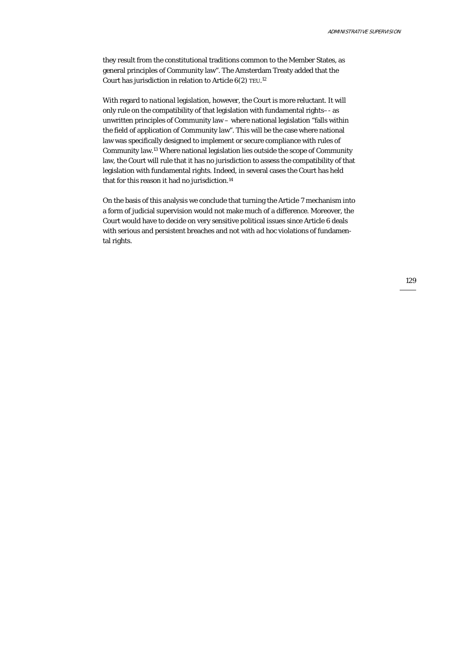they result from the constitutional traditions common to the Member States, as general principles of Community law". The Amsterdam Treaty added that the Court has jurisdiction in relation to Article  $6(2)$  TEU.<sup>12</sup>

With regard to *national* legislation, however, the Court is more reluctant. It will only rule on the compatibility of that legislation with fundamental rights–- as unwritten principles of Community law – where national legislation "falls within the field of application of Community law". This will be the case where national law was specifically designed to implement or secure compliance with rules of Community law.13 Where national legislation lies outside the scope of Community law, the Court will rule that it has no jurisdiction to assess the compatibility of that legislation with fundamental rights. Indeed, in several cases the Court has held that for this reason it had no jurisdiction.<sup>14</sup>

On the basis of this analysis we conclude that turning the Article 7 mechanism into a form of judicial supervision would not make much of a difference. Moreover, the Court would have to decide on very sensitive political issues since Article 6 deals with serious and persistent breaches and not with *ad hoc* violations of fundamental rights.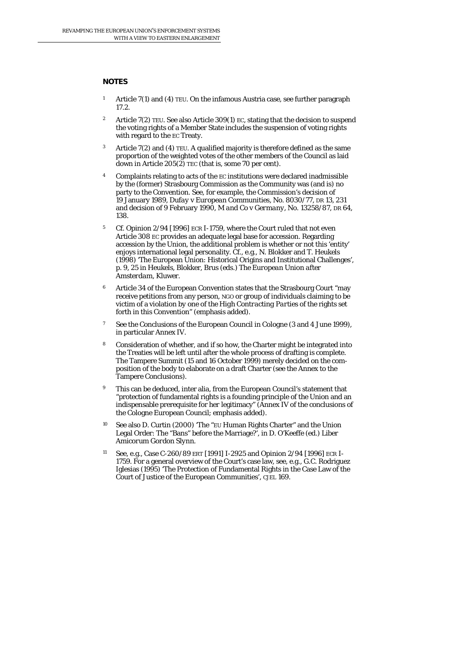## **NOTES**

- 1 Article 7(1) and (4) TEU. On the infamous Austria case, see further paragraph 17.2.
- <sup>2</sup> Article 7(2) TEU. See also Article 309(1) EC, stating that the decision to suspend the voting rights of a Member State includes the suspension of voting rights with regard to the EC Treaty.
- Article  $7(2)$  and  $(4)$  TEU. A qualified majority is therefore defined as the same proportion of the weighted votes of the other members of the Council as laid down in Article  $205(2)$  TEC (that is, some 70 per cent).
- Complaints relating to acts of the EC institutions were declared inadmissible by the (former) Strasbourg Commission as the Community was (and is) no party to the Convention. See, for example, the Commission's decision of 19 January 1989, *Dufay* v *European Communities*, No. 8030/77, DR 13, 231 and decision of 9 February 1990, *M and Co* v *Germany*, No. 13258/87, DR 64, 138.
- <sup>5</sup> Cf. Opinion 2/94 [1996] ECR I-1759, where the Court ruled that not even Article 308 EC provides an adequate legal base for accession. Regarding accession by the *Union*, the additional problem is whether or not this 'entity' enjoys international legal personality. Cf., e.g., N. Blokker and T. Heukels (1998) 'The European Union: Historical Origins and Institutional Challenges', p. 9, 25 in Heukels, Blokker, Brus (eds.) *The European Union after Amsterdam*, Kluwer.
- 6 Article 34 of the European Convention states that the Strasbourg Court "may receive petitions from any person, NGO or group of individuals claiming to be victim of a violation *by one of the High Contracting Parties* of the rights set forth in this Convention" (emphasis added).
- <sup>7</sup> See the Conclusions of the European Council in Cologne (3 and 4 June 1999), in particular Annex IV.
- 8 Consideration of whether, and if so how, the Charter might be integrated into the Treaties will be left until after the whole process of drafting is complete. The Tampere Summit (15 and 16 October 1999) merely decided on the composition of the body to elaborate on a draft Charter (see the Annex to the Tampere Conclusions).
- This can be deduced, inter alia, from the European Council's statement that "protection of fundamental rights is a founding principle *of the Union* and an indispensable prerequisite for *her* legitimacy" (Annex IV of the conclusions of the Cologne European Council; emphasis added).
- 10 See also D. Curtin (2000) 'The "EU Human Rights Charter" and the Union Legal Order: The "Bans" before the Marriage?', in D. O'Keeffe (ed*.) Liber Amicorum Gordon Slynn*.
- 11 See, e.g., Case C-260/89 *ERT* [1991] I-2925 and Opinion 2/94 [1996] ECR I-1759. For a general overview of the Court's case law, see, e.g., G.C. Rodriguez Iglesias (1995) 'The Protection of Fundamental Rights in the Case Law of the Court of Justice of the European Communities', CJEL 169.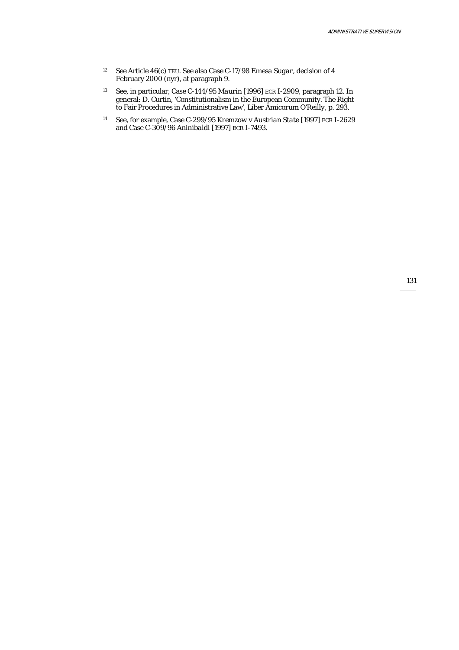- 12 See Article 46(c) TEU. See also Case C-17/98 *Emesa Sugar*, decision of 4 February 2000 (nyr), at paragraph 9.
- 13 See, in particular, Case C-144/95 *Maurin* [1996] ECR I-2909, paragraph 12. In general: D. Curtin, 'Constitutionalism in the European Community. The Right to Fair Procedures in Administrative Law', *Liber Amicorum O'Reilly*, p. 293.
- 14 See, for example, Case C-299/95 *Kremzow* v *Austrian State* [1997] ECR I-2629 and Case C-309/96 *Aninibaldi* [1997] ECR I-7493.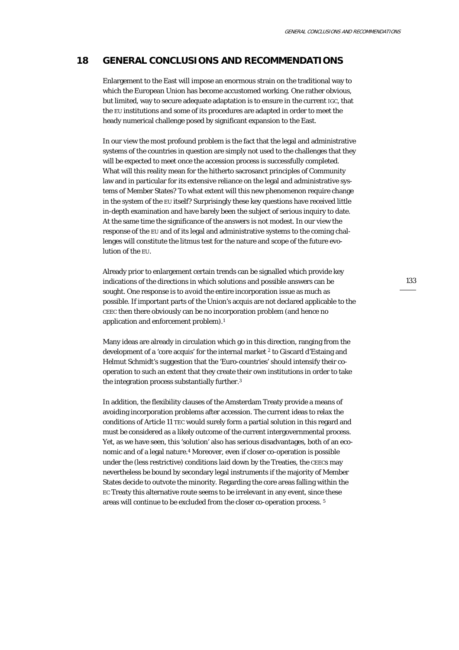# **18 GENERAL CONCLUSIONS AND RECOMMENDATIONS**

Enlargement to the East will impose an enormous strain on the traditional way to which the European Union has become accustomed working. One rather obvious, but limited, way to secure adequate adaptation is to ensure in the current IGC, that the EU institutions and some of its procedures are adapted in order to meet the heady numerical challenge posed by significant expansion to the East.

In our view the most profound problem is the fact that the legal and administrative systems of the countries in question are simply not used to the challenges that they will be expected to meet once the accession process is successfully completed. What will this reality mean for the hitherto sacrosanct principles of Community law and in particular for its extensive reliance on the legal and administrative systems of Member States? To what extent will this new phenomenon require change in the system of the EU itself? Surprisingly these key questions have received little in-depth examination and have barely been the subject of serious inquiry to date. At the same time the significance of the answers is not modest. In our view the response of the EU and of its legal and administrative systems to the coming challenges will constitute the litmus test for the nature and scope of the future evolution of the EU.

Already prior to enlargement certain trends can be signalled which provide key indications of the directions in which solutions and possible answers can be sought. One response is to *avoid* the entire incorporation issue as much as possible. If important parts of the Union's acquis are not declared applicable to the CEEC then there obviously can be no incorporation problem (and hence no application and enforcement problem).<sup>1</sup>

Many ideas are already in circulation which go in this direction, ranging from the development of a 'core acquis' for the internal market 2 to Giscard d'Estaing and Helmut Schmidt's suggestion that the 'Euro-countries' should intensify their cooperation to such an extent that they create their own institutions in order to take the integration process substantially further.<sup>3</sup>

In addition, the flexibility clauses of the Amsterdam Treaty provide a means of avoiding incorporation problems after accession. The current ideas to relax the conditions of Article 11 TEC would surely form a partial solution in this regard and must be considered as a likely outcome of the current intergovernmental process. Yet, as we have seen, this 'solution' also has serious disadvantages, both of an economic and of a legal nature.4 Moreover, even if closer co-operation is possible under the (less restrictive) conditions laid down by the Treaties, the CEECs may nevertheless be bound by secondary legal instruments if the majority of Member States decide to outvote the minority. Regarding the core areas falling within the EC Treaty this alternative route seems to be irrelevant in any event, since these areas will continue to be excluded from the closer co-operation process. 5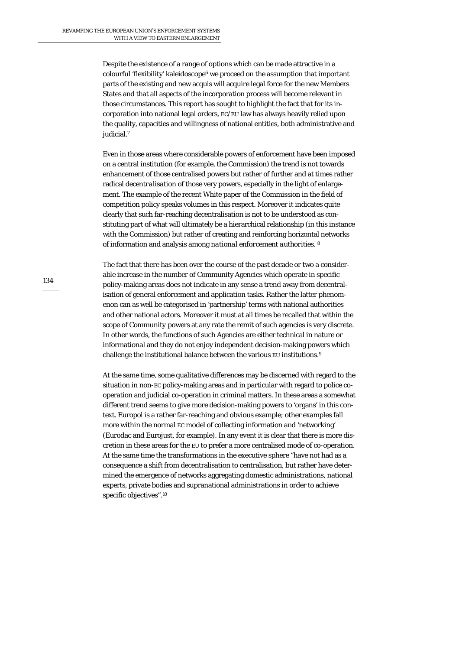Despite the existence of a range of options which can be made attractive in a colourful 'flexibility' kaleidoscope<sup>6</sup> we proceed on the assumption that important parts of the existing and new acquis will acquire legal force for the new Members States and that all aspects of the incorporation process will become relevant in those circumstances. This report has sought to highlight the fact that for its incorporation into national legal orders, EC/EU law has always heavily relied upon the quality, capacities and willingness of national entities, both administrative and judicial.7

Even in those areas where considerable powers of enforcement have been imposed on a central institution (for example, the Commission) the trend is not towards enhancement of those centralised powers but rather of further and at times rather radical *decentralisation* of those very powers, especially in the light of enlargement. The example of the recent White paper of the Commission in the field of competition policy speaks volumes in this respect. Moreover it indicates quite clearly that such far-reaching decentralisation is not to be understood as constituting part of what will ultimately be a hierarchical relationship (in this instance with the Commission) but rather of creating and reinforcing horizontal networks of information and analysis among *national enforcement authorities.* <sup>8</sup>

The fact that there has been over the course of the past decade or two a considerable increase in the number of Community Agencies which operate in specific policy-making areas does not indicate in any sense a trend away from decentralisation of general enforcement and application tasks. Rather the latter phenomenon can as well be categorised in 'partnership' terms with national authorities and other national actors. Moreover it must at all times be recalled that within the scope of *Community* powers at any rate the remit of such agencies is very discrete. In other words, the functions of such Agencies are either technical in nature or informational and they do not enjoy independent decision-making powers which challenge the institutional balance between the various EU institutions.9

At the same time, some qualitative differences may be discerned with regard to the situation in non-EC policy-making areas and in particular with regard to police cooperation and judicial co-operation in criminal matters. In these areas a somewhat different trend seems to give more decision-making powers to 'organs' in this context. Europol is a rather far-reaching and obvious example; other examples fall more within the normal EC model of collecting information and 'networking' (Eurodac and Eurojust, for example). In any event it is clear that there is more discretion in these areas for the EU to prefer a more centralised mode of co-operation. At the same time the transformations in the executive sphere "have not had as a consequence a shift from decentralisation to centralisation, but rather have determined the emergence of networks aggregating domestic administrations, national experts, private bodies and supranational administrations in order to achieve specific objectives".10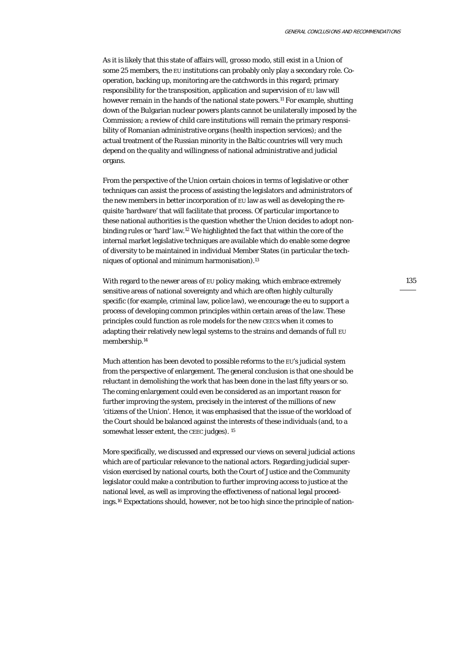As it is likely that this state of affairs will, *grosso modo*, still exist in a Union of some 25 members, the EU institutions can probably only play a secondary role. Cooperation, backing up, monitoring are the catchwords in this regard; primary responsibility for the transposition, application and supervision of EU law will however remain in the hands of the national state powers.<sup>11</sup> For example, shutting down of the Bulgarian nuclear powers plants cannot be unilaterally imposed by the Commission; a review of child care institutions will remain the primary responsibility of Romanian administrative organs (health inspection services); and the actual treatment of the Russian minority in the Baltic countries will very much depend on the quality and willingness of national administrative and judicial organs.

From the perspective of the Union certain choices in terms of legislative or other techniques can assist the process of assisting the legislators and administrators of the new members in better incorporation of EU law as well as developing the requisite 'hardware' that will facilitate that process. Of particular importance to these national authorities is the question whether the Union decides to adopt nonbinding rules or 'hard' law.12 We highlighted the fact that within the core of the internal market legislative techniques are available which do enable some degree of diversity to be maintained in individual Member States (in particular the techniques of optional and minimum harmonisation).13

With regard to the newer areas of EU policy making, which embrace extremely sensitive areas of national sovereignty and which are often highly culturally specific (for example, criminal law, police law), we encourage the eu to support a process of developing common principles within certain areas of the law. These principles could function as role models for the new CEECs when it comes to adapting their relatively new legal systems to the strains and demands of full EU membership.14

Much attention has been devoted to possible reforms to the EU's judicial system from the perspective of enlargement. The general conclusion is that one should be reluctant in demolishing the work that has been done in the last fifty years or so. The coming enlargement could even be considered as an important reason for further improving the system, precisely in the interest of the millions of new 'citizens of the Union'. Hence, it was emphasised that the issue of the workload of the Court should be balanced against the interests of these individuals (and, to a somewhat lesser extent, the CEEC judges). <sup>15</sup>

More specifically, we discussed and expressed our views on several judicial actions which are of particular relevance to the national actors. Regarding judicial supervision exercised by national courts, both the Court of Justice and the Community legislator could make a contribution to further improving access to justice at the national level, as well as improving the effectiveness of national legal proceedings.16 Expectations should, however, not be too high since the principle of nation-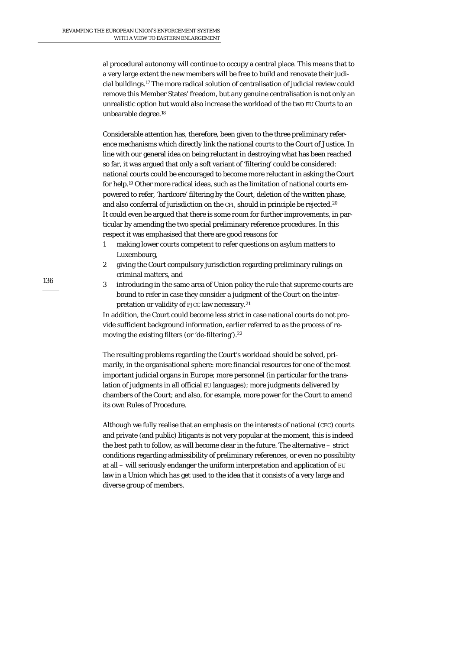al procedural autonomy will continue to occupy a central place. This means that to a very large extent the new members will be free to build and renovate their judicial buildings.17 The more radical solution of centralisation of judicial review could remove this Member States' freedom, but any genuine centralisation is not only an unrealistic option but would also increase the workload of the two EU Courts to an unbearable degree.18

Considerable attention has, therefore, been given to the three preliminary reference mechanisms which directly link the national courts to the Court of Justice. In line with our general idea on being reluctant in destroying what has been reached so far, it was argued that only a soft variant of 'filtering' could be considered: national courts could be encouraged to become more reluctant in asking the Court for help.19 Other more radical ideas, such as the limitation of national courts empowered to refer, 'hardcore' filtering by the Court, deletion of the written phase, and also conferral of jurisdiction on the CFI, should in principle be rejected.<sup>20</sup> It could even be argued that there is some room for further improvements, in particular by amending the two special preliminary reference procedures. In this respect it was emphasised that there are good reasons for

- 1 making lower courts competent to refer questions on asylum matters to Luxembourg,
- 2 giving the Court compulsory jurisdiction regarding preliminary rulings on criminal matters, and
- 3 introducing in the same area of Union policy the rule that supreme courts are bound to refer in case they consider a judgment of the Court on the interpretation or validity of PJCC law necessary.21

In addition, the Court could become less strict in case national courts do not provide sufficient background information, earlier referred to as the process of removing the existing filters (or 'de-filtering').22

The resulting problems regarding the Court's workload should be solved, primarily, in the organisational sphere: more financial resources for one of the most important judicial organs in Europe; more personnel (in particular for the translation of judgments in all official EU languages); more judgments delivered by chambers of the Court; and also, for example, more power for the Court to amend its own Rules of Procedure.

Although we fully realise that an emphasis on the interests of national (CEC) courts and private (and public) litigants is not very popular at the moment, this is indeed the best path to follow, as will become clear in the future. The alternative – strict conditions regarding admissibility of preliminary references, or even no possibility at all – will seriously endanger the uniform interpretation and application of EU law in a Union which has get used to the idea that it consists of a very large and diverse group of members.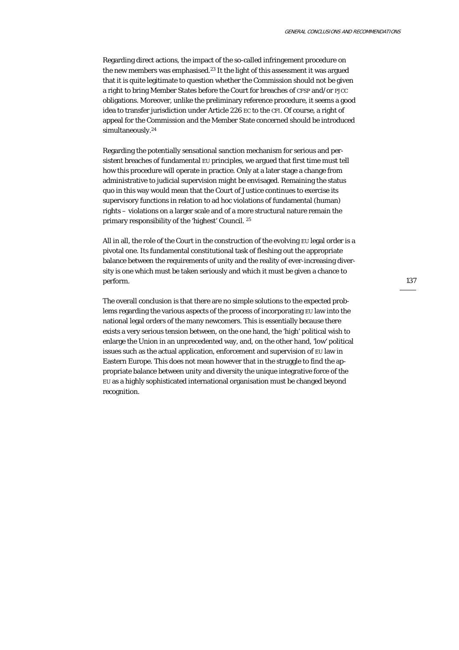Regarding direct actions, the impact of the so-called infringement procedure on the new members was emphasised.<sup>23</sup> It the light of this assessment it was argued that it is quite legitimate to question whether the Commission should not be given a right to bring Member States before the Court for breaches of CFSP and/or PJCC obligations. Moreover, unlike the preliminary reference procedure, it seems a good idea to transfer jurisdiction under Article 226 EC to the CFI. Of course, a right of appeal for the Commission and the Member State concerned should be introduced simultaneously.<sup>24</sup>

Regarding the potentially sensational sanction mechanism for serious and persistent breaches of fundamental EU principles, we argued that first time must tell how this procedure will operate in practice. Only at a later stage a change from administrative to judicial supervision might be envisaged. Remaining the status quo in this way would mean that the Court of Justice continues to exercise its supervisory functions in relation to ad hoc violations of fundamental (human) rights – violations on a larger scale and of a more structural nature remain the primary responsibility of the 'highest' Council. 25

All in all, the role of the Court in the construction of the evolving EU legal order is a pivotal one. Its fundamental constitutional task of fleshing out the appropriate balance between the requirements of unity and the reality of ever-increasing diversity is one which must be taken seriously and which it must be given a chance to perform.

The overall conclusion is that there are no simple solutions to the expected problems regarding the various aspects of the process of incorporating EU law into the national legal orders of the many newcomers. This is essentially because there exists a very serious tension between, on the one hand, the 'high' political wish to enlarge the Union in an unprecedented way, and, on the other hand, 'low' political issues such as the actual application, enforcement and supervision of EU law in Eastern Europe. This does not mean however that in the struggle to find the appropriate balance between unity and diversity the unique integrative force of the EU as a highly sophisticated international organisation must be changed beyond recognition.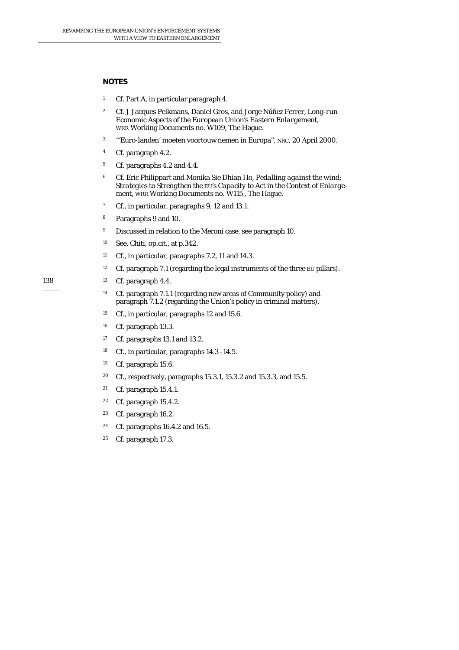# **NOTES**

- 1 Cf. Part A, in particular paragraph 4.
- 2 Cf. J Jacques Pelkmans, Daniel Gros, and Jorge Núñez Ferrer, *Long-run Economic Aspects of the European Union's Eastern Enlargement*, WRR Working Documents no. W109, The Hague*.*
- 3 "'Euro-landen' moeten voortouw nemen in Europa", *NRC*, 20 April 2000.
- 4 Cf. paragraph 4.2.
- 5 Cf. paragraphs 4.2 and 4.4.
- 6 Cf. Eric Philippart and Monika Sie Dhian Ho, *Pedalling against the wind; Strategies to Strengthen the EU's Capacity to Act in the Context of Enlargement*, WRR Working Documents no. W115 , The Hague.
- 7 Cf., in particular, paragraphs 9, 12 and 13.1.
- 8 Paragraphs 9 and 10.
- <sup>9</sup> Discussed in relation to the Meroni case, see paragraph 10.
- 10 See, Chiti, op.cit., at p.342.
- 11 Cf., in particular, paragraphs 7.2, 11 and 14.3.
- <sup>12</sup> Cf. paragraph 7.1 (regarding the legal instruments of the three EU pillars).
- 13 Cf. paragraph 4.4.
	- 14 Cf. paragraph 7.1.1 (regarding new areas of Community policy) and paragraph 7.1.2 (regarding the Union's policy in criminal matters).
	- <sup>15</sup> Cf., in particular, paragraphs 12 and 15.6.
	- 16 Cf. paragraph 13.3.
	- <sup>17</sup> Cf. paragraphs 13.1 and 13.2.
	- 18 Cf., in particular, paragraphs 14.3 -14.5.
	- 19 Cf. paragraph 15.6.
	- 20 Cf., respectively, paragraphs 15.3.1, 15.3.2 and 15.3.3, and 15.5.
	- 21 Cf. paragraph 15.4.1.
	- 22 Cf. paragraph 15.4.2.
	- 23 Cf. paragraph 16.2.
	- 24 Cf. paragraphs 16.4.2 and 16.5.
	- 25 Cf. paragraph 17.3.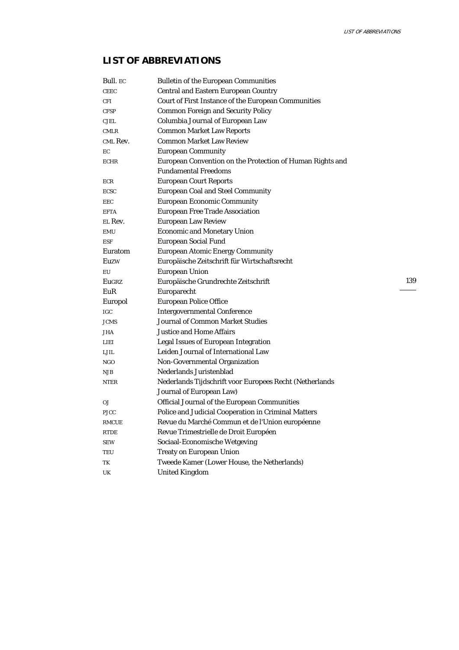139

# **LIST OF ABBREVIATIONS**

| Bull. EC     | <b>Bulletin of the European Communities</b>               |
|--------------|-----------------------------------------------------------|
| <b>CEEC</b>  | Central and Eastern European Country                      |
| CFI          | Court of First Instance of the European Communities       |
| <b>CFSP</b>  | <b>Common Foreign and Security Policy</b>                 |
| <b>CJEL</b>  | Columbia Journal of European Law                          |
| <b>CMLR</b>  | <b>Common Market Law Reports</b>                          |
| CML Rev.     | <b>Common Market Law Review</b>                           |
| EC           | <b>European Community</b>                                 |
| <b>ECHR</b>  | European Convention on the Protection of Human Rights and |
|              | <b>Fundamental Freedoms</b>                               |
| ECR          | <b>European Court Reports</b>                             |
| <b>ECSC</b>  | <b>European Coal and Steel Community</b>                  |
| EEC          | <b>European Economic Community</b>                        |
| <b>EFTA</b>  | European Free Trade Association                           |
| EL Rev.      | European Law Review                                       |
| <b>EMU</b>   | <b>Economic and Monetary Union</b>                        |
| <b>ESF</b>   | European Social Fund                                      |
| Euratom      | <b>European Atomic Energy Community</b>                   |
| Euzw         | Europäische Zeitschrift für Wirtschaftsrecht              |
| EU           | European Union                                            |
| Eugrz        | Europäische Grundrechte Zeitschrift                       |
| EuR          | Europarecht                                               |
| Europol      | <b>European Police Office</b>                             |
| <b>IGC</b>   | <b>Intergovernmental Conference</b>                       |
| <b>JCMS</b>  | Journal of Common Market Studies                          |
| JHA          | <b>Justice and Home Affairs</b>                           |
| <b>LIEI</b>  | Legal Issues of European Integration                      |
| LJIL         | Leiden Journal of International Law                       |
| <b>NGO</b>   | Non-Governmental Organization                             |
| NJB          | Nederlands Juristenblad                                   |
| <b>NTER</b>  | Nederlands Tijdschrift voor Europees Recht (Netherlands   |
|              | Journal of European Law)                                  |
| OJ           | Official Journal of the European Communities              |
| <b>PJCC</b>  | Police and Judicial Cooperation in Criminal Matters       |
| <b>RMCUE</b> | Revue du Marché Commun et de l'Union européenne           |
| <b>RTDE</b>  | Revue Trimestrielle de Droit Européen                     |
| <b>SEW</b>   | Sociaal-Economische Wetgeving                             |
| TEU          | Treaty on European Union                                  |
| TK           | Tweede Kamer (Lower House, the Netherlands)               |
| UK           | United Kingdom                                            |